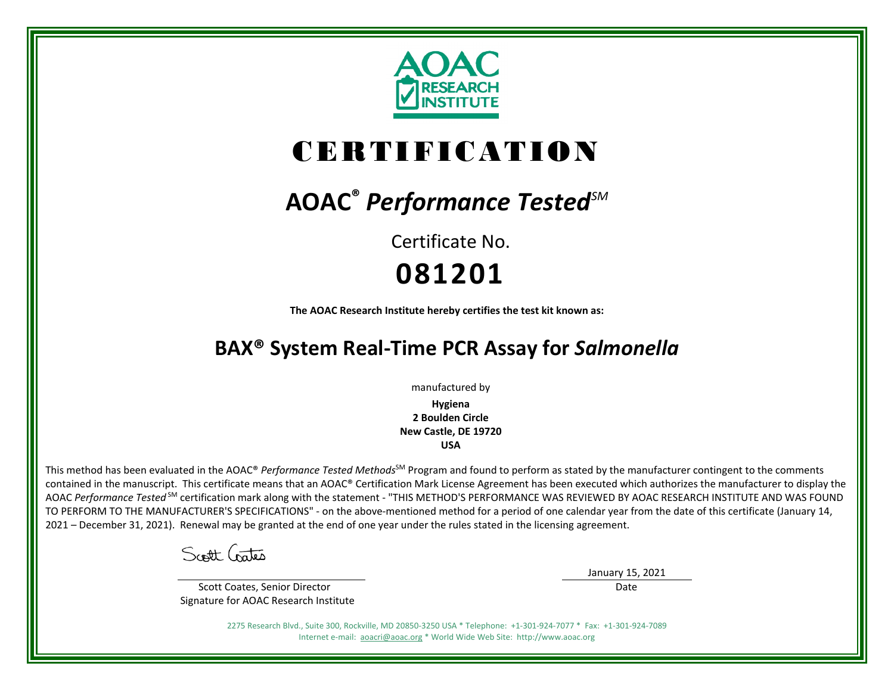

# CERTIFICATION

# **AOAC®** *Performance TestedSM*

Certificate No. **081201**

**The AOAC Research Institute hereby certifies the test kit known as:**

# **BAX® System Real-Time PCR Assay for** *Salmonella*

manufactured by

**Hygiena 2 Boulden Circle New Castle, DE 19720 USA**

This method has been evaluated in the AOAC® *Performance Tested Methods*<sup>SM</sup> Program and found to perform as stated by the manufacturer contingent to the comments contained in the manuscript. This certificate means that an AOAC® Certification Mark License Agreement has been executed which authorizes the manufacturer to display the AOAC *Performance Tested* SM certification mark along with the statement - "THIS METHOD'S PERFORMANCE WAS REVIEWED BY AOAC RESEARCH INSTITUTE AND WAS FOUND TO PERFORM TO THE MANUFACTURER'S SPECIFICATIONS" - on the above-mentioned method for a period of one calendar year from the date of this certificate (January 14, 2021 – December 31, 2021). Renewal may be granted at the end of one year under the rules stated in the licensing agreement.

Scott Critis

 Scott Coates, Senior Director Signature for AOAC Research Institute January 15, 2021

Date

2275 Research Blvd., Suite 300, Rockville, MD 20850-3250 USA \* Telephone: +1-301-924-7077 \* Fax: +1-301-924-7089 Internet e-mail: [aoacri@aoac.org](mailto:aoacri@aoac.org) \* World Wide Web Site: http://www.aoac.org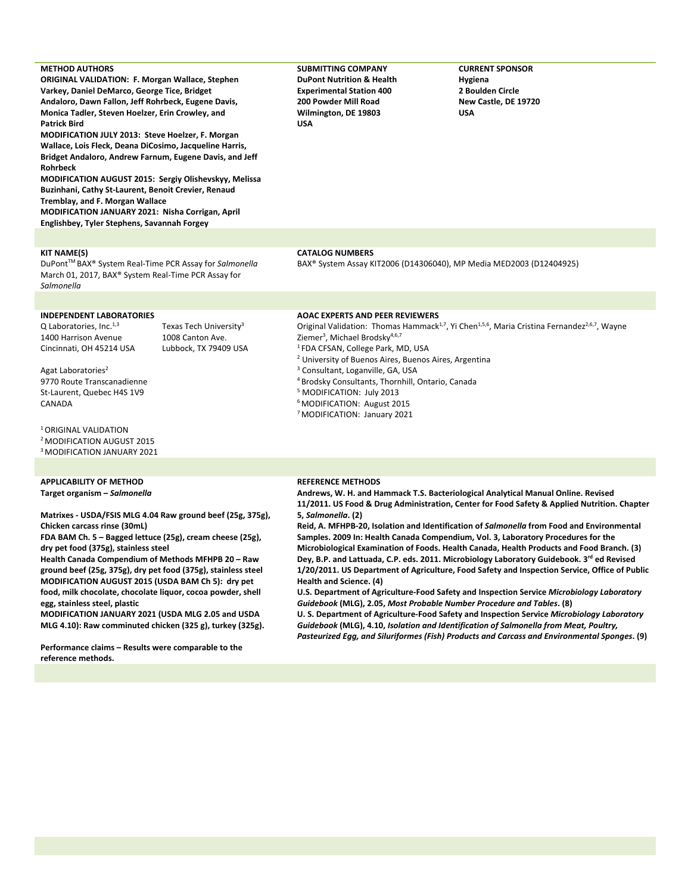| <b>METHOD AUTHORS</b><br><b>ORIGINAL VALIDATION: F. Morgan Wallace, Stephen</b><br>Varkey, Daniel DeMarco, George Tice, Bridget<br>Andaloro, Dawn Fallon, Jeff Rohrbeck, Eugene Davis,<br>Monica Tadler, Steven Hoelzer, Erin Crowley, and<br><b>Patrick Bird</b><br>MODIFICATION JULY 2013: Steve Hoelzer, F. Morgan<br>Wallace, Lois Fleck, Deana DiCosimo, Jacqueline Harris,<br>Bridget Andaloro, Andrew Farnum, Eugene Davis, and Jeff<br><b>Rohrbeck</b><br>MODIFICATION AUGUST 2015: Sergiy Olishevskyy, Melissa<br>Buzinhani, Cathy St-Laurent, Benoit Crevier, Renaud<br>Tremblay, and F. Morgan Wallace<br>MODIFICATION JANUARY 2021: Nisha Corrigan, April<br>Englishbey, Tyler Stephens, Savannah Forgey |                                                                                 | <b>SUBMITTING COMPANY</b><br><b>DuPont Nutrition &amp; Health</b><br><b>Experimental Station 400</b><br><b>200 Powder Mill Road</b><br>Wilmington, DE 19803<br>USA                                                                                                                                                                                                                                                                                                 | <b>CURRENT SPONSOR</b><br>Hygiena<br>2 Boulden Circle<br>New Castle, DE 19720<br><b>USA</b>                                       |
|----------------------------------------------------------------------------------------------------------------------------------------------------------------------------------------------------------------------------------------------------------------------------------------------------------------------------------------------------------------------------------------------------------------------------------------------------------------------------------------------------------------------------------------------------------------------------------------------------------------------------------------------------------------------------------------------------------------------|---------------------------------------------------------------------------------|--------------------------------------------------------------------------------------------------------------------------------------------------------------------------------------------------------------------------------------------------------------------------------------------------------------------------------------------------------------------------------------------------------------------------------------------------------------------|-----------------------------------------------------------------------------------------------------------------------------------|
|                                                                                                                                                                                                                                                                                                                                                                                                                                                                                                                                                                                                                                                                                                                      |                                                                                 |                                                                                                                                                                                                                                                                                                                                                                                                                                                                    |                                                                                                                                   |
| <b>KIT NAME(S)</b><br><b>CATALOG NUMBERS</b><br>DuPont™BAX® System Real-Time PCR Assay for Salmonella<br>BAX® System Assay KIT2006 (D14306040), MP Media MED2003 (D12404925)<br>March 01, 2017, BAX® System Real-Time PCR Assay for<br>Salmonella                                                                                                                                                                                                                                                                                                                                                                                                                                                                    |                                                                                 |                                                                                                                                                                                                                                                                                                                                                                                                                                                                    |                                                                                                                                   |
|                                                                                                                                                                                                                                                                                                                                                                                                                                                                                                                                                                                                                                                                                                                      |                                                                                 |                                                                                                                                                                                                                                                                                                                                                                                                                                                                    |                                                                                                                                   |
| <b>INDEPENDENT LABORATORIES</b><br>Q Laboratories, Inc. $1,3$<br>1400 Harrison Avenue<br>Cincinnati, OH 45214 USA<br>Agat Laboratories <sup>2</sup><br>9770 Route Transcanadienne<br>St-Laurent, Quebec H4S 1V9<br>CANADA<br><sup>1</sup> ORIGINAL VALIDATION<br><sup>2</sup> MODIFICATION AUGUST 2015<br><sup>3</sup> MODIFICATION JANUARY 2021                                                                                                                                                                                                                                                                                                                                                                     | Texas Tech University <sup>3</sup><br>1008 Canton Ave.<br>Lubbock, TX 79409 USA | <b>AOAC EXPERTS AND PEER REVIEWERS</b><br>Ziemer <sup>3</sup> , Michael Brodsky <sup>4,6,7</sup><br><sup>1</sup> FDA CFSAN, College Park, MD, USA<br><sup>2</sup> University of Buenos Aires, Buenos Aires, Argentina<br><sup>3</sup> Consultant, Loganville, GA, USA<br><sup>4</sup> Brodsky Consultants, Thornhill, Ontario, Canada<br><sup>5</sup> MODIFICATION: July 2013<br><sup>6</sup> MODIFICATION: August 2015<br><sup>7</sup> MODIFICATION: January 2021 | Original Validation: Thomas Hammack <sup>1,7</sup> , Yi Chen <sup>1,5,6</sup> , Maria Cristina Fernandez <sup>2,6,7</sup> , Wayne |
| <b>APPLICABILITY OF METHOD</b>                                                                                                                                                                                                                                                                                                                                                                                                                                                                                                                                                                                                                                                                                       |                                                                                 | <b>REFERENCE METHODS</b>                                                                                                                                                                                                                                                                                                                                                                                                                                           |                                                                                                                                   |

**Target organism –** *Salmonella*

**Matrixes - USDA/FSIS MLG 4.04 Raw ground beef (25g, 375g), Chicken carcass rinse (30mL)**

**FDA BAM Ch. 5 – Bagged lettuce (25g), cream cheese (25g), dry pet food (375g), stainless steel**

**Health Canada Compendium of Methods MFHPB 20 – Raw ground beef (25g, 375g), dry pet food (375g), stainless steel MODIFICATION AUGUST 2015 (USDA BAM Ch 5): dry pet food, milk chocolate, chocolate liquor, cocoa powder, shell egg, stainless steel, plastic**

**MODIFICATION JANUARY 2021 (USDA MLG 2.05 and USDA MLG 4.10): Raw comminuted chicken (325 g), turkey (325g).**

**Performance claims – Results were comparable to the reference methods.**

#### **REFERENCE METHODS**

**Andrews, W. H. and Hammack T.S. Bacteriological Analytical Manual Online. Revised 11/2011. US Food & Drug Administration, Center for Food Safety & Applied Nutrition. Chapter 5,** *Salmonella***. (2)**

**Reid, A. MFHPB-20, Isolation and Identification of** *Salmonella* **from Food and Environmental Samples. 2009 In: Health Canada Compendium, Vol. 3, Laboratory Procedures for the Microbiological Examination of Foods. Health Canada, Health Products and Food Branch. (3)** Dey, B.P. and Lattuada, C.P. eds. 2011. Microbiology Laboratory Guidebook. 3<sup>rd</sup> ed Revised **1/20/2011. US Department of Agriculture, Food Safety and Inspection Service, Office of Public Health and Science. (4)**

**U.S. Department of Agriculture-Food Safety and Inspection Service** *Microbiology Laboratory Guidebook* **(MLG), 2.05,** *Most Probable Number Procedure and Tables***. (8)**

**U. S. Department of Agriculture-Food Safety and Inspection Service** *Microbiology Laboratory Guidebook* **(MLG), 4.10,** *Isolation and Identification of Salmonella from Meat, Poultry, Pasteurized Egg, and Siluriformes (Fish) Products and Carcass and Environmental Sponges***. (9)**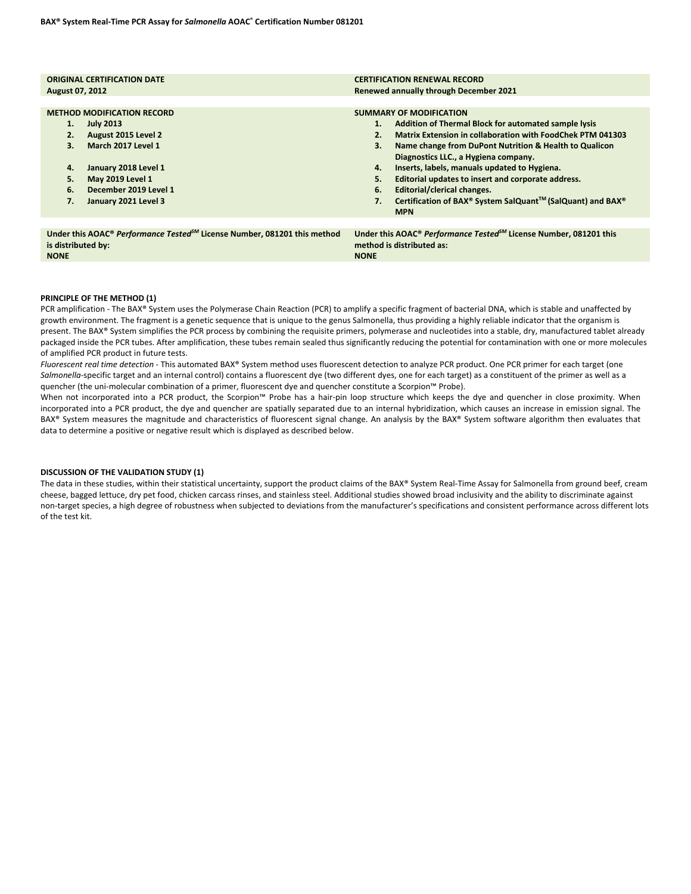| <b>ORIGINAL CERTIFICATION DATE</b>                                                                                                                                                                                                         | <b>CERTIFICATION RENEWAL RECORD</b>                                                                                                                                                                                                                                                                                                                                                                                                                                                                                      |  |  |  |
|--------------------------------------------------------------------------------------------------------------------------------------------------------------------------------------------------------------------------------------------|--------------------------------------------------------------------------------------------------------------------------------------------------------------------------------------------------------------------------------------------------------------------------------------------------------------------------------------------------------------------------------------------------------------------------------------------------------------------------------------------------------------------------|--|--|--|
| <b>August 07, 2012</b>                                                                                                                                                                                                                     | <b>Renewed annually through December 2021</b>                                                                                                                                                                                                                                                                                                                                                                                                                                                                            |  |  |  |
| <b>METHOD MODIFICATION RECORD</b><br><b>July 2013</b><br>1.<br>August 2015 Level 2<br>2.<br>March 2017 Level 1<br>З.<br>January 2018 Level 1<br>4.<br><b>May 2019 Level 1</b><br>5.<br>December 2019 Level 1<br>6.<br>January 2021 Level 3 | <b>SUMMARY OF MODIFICATION</b><br>Addition of Thermal Block for automated sample lysis<br>1.<br><b>Matrix Extension in collaboration with FoodChek PTM 041303</b><br>2.<br>3.<br>Name change from DuPont Nutrition & Health to Qualicon<br>Diagnostics LLC., a Hygiena company.<br>Inserts, labels, manuals updated to Hygiena.<br>4.<br>5.<br>Editorial updates to insert and corporate address.<br>Editorial/clerical changes.<br>6.<br>Certification of BAX® System SalQuant™ (SalQuant) and BAX®<br>7.<br><b>MPN</b> |  |  |  |
| Under this AOAC® Performance Tested <sup>5M</sup> License Number, 081201 this method                                                                                                                                                       | Under this AOAC <sup>®</sup> Performance Tested <sup>5M</sup> License Number, 081201 this                                                                                                                                                                                                                                                                                                                                                                                                                                |  |  |  |
| is distributed by:                                                                                                                                                                                                                         | method is distributed as:                                                                                                                                                                                                                                                                                                                                                                                                                                                                                                |  |  |  |

```
NONE
```
### **PRINCIPLE OF THE METHOD (1)**

**NONE**

PCR amplification - The BAX® System uses the Polymerase Chain Reaction (PCR) to amplify a specific fragment of bacterial DNA, which is stable and unaffected by growth environment. The fragment is a genetic sequence that is unique to the genus Salmonella, thus providing a highly reliable indicator that the organism is present. The BAX® System simplifies the PCR process by combining the requisite primers, polymerase and nucleotides into a stable, dry, manufactured tablet already packaged inside the PCR tubes. After amplification, these tubes remain sealed thus significantly reducing the potential for contamination with one or more molecules of amplified PCR product in future tests.

*Fluorescent real time detection* - This automated BAX® System method uses fluorescent detection to analyze PCR product. One PCR primer for each target (one *Salmonella-*specific target and an internal control) contains a fluorescent dye (two different dyes, one for each target) as a constituent of the primer as well as a quencher (the uni-molecular combination of a primer, fluorescent dye and quencher constitute a Scorpion™ Probe).

When not incorporated into a PCR product, the Scorpion™ Probe has a hair-pin loop structure which keeps the dye and quencher in close proximity. When incorporated into a PCR product, the dye and quencher are spatially separated due to an internal hybridization, which causes an increase in emission signal. The BAX® System measures the magnitude and characteristics of fluorescent signal change. An analysis by the BAX® System software algorithm then evaluates that data to determine a positive or negative result which is displayed as described below.

#### **DISCUSSION OF THE VALIDATION STUDY (1)**

The data in these studies, within their statistical uncertainty, support the product claims of the BAX® System Real-Time Assay for Salmonella from ground beef, cream cheese, bagged lettuce, dry pet food, chicken carcass rinses, and stainless steel. Additional studies showed broad inclusivity and the ability to discriminate against non-target species, a high degree of robustness when subjected to deviations from the manufacturer's specifications and consistent performance across different lots of the test kit.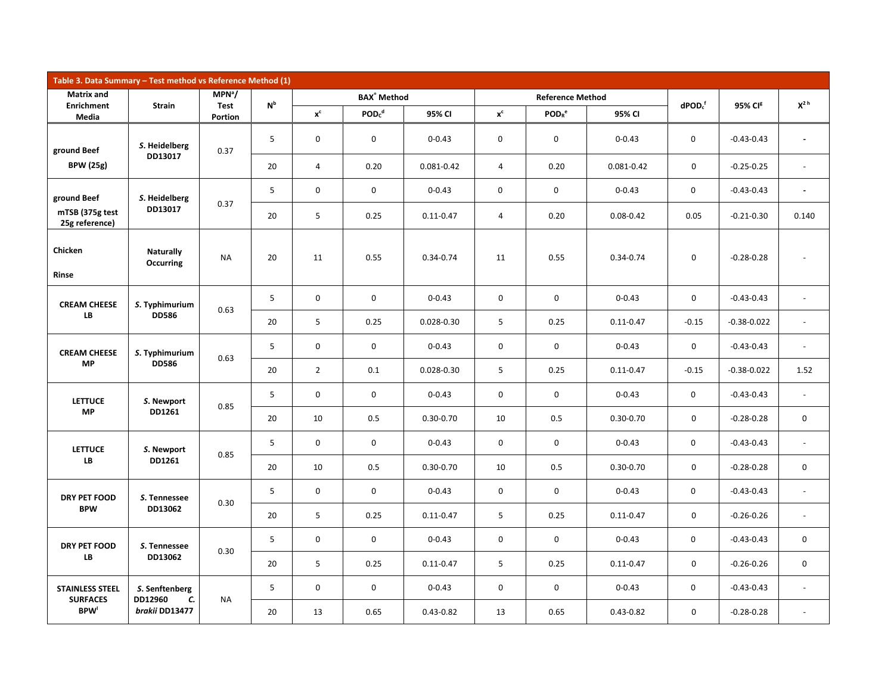| Table 3. Data Summary - Test method vs Reference Method (1) |                                      |                        |                           |                     |                               |                |                         |                               |               |               |                     |                          |                |                |
|-------------------------------------------------------------|--------------------------------------|------------------------|---------------------------|---------------------|-------------------------------|----------------|-------------------------|-------------------------------|---------------|---------------|---------------------|--------------------------|----------------|----------------|
| <b>Matrix and</b>                                           |                                      | $MPN^3/$               | $\mathsf{N}^{\mathsf{b}}$ |                     | <b>BAX<sup>®</sup></b> Method |                | <b>Reference Method</b> |                               |               | $d$ POD $cf$  |                     | $X^{2h}$                 |                |                |
| <b>Enrichment</b><br>Media                                  | Strain                               | <b>Test</b><br>Portion |                           | $x^c$               | PODc <sup>d</sup>             | 95% CI         | $x^c$                   | POD <sub>R</sub> <sup>e</sup> | 95% CI        |               | 95% CI <sup>g</sup> |                          |                |                |
| ground Beef                                                 | S. Heidelberg                        | 0.37                   | 5                         | $\mathbf 0$         | 0                             | $0 - 0.43$     | 0                       | 0                             | $0 - 0.43$    | 0             | $-0.43 - 0.43$      | $\blacksquare$           |                |                |
| <b>BPW</b> (25g)                                            | DD13017                              |                        | 20                        | $\overline{4}$      | 0.20                          | 0.081-0.42     | $\overline{4}$          | 0.20                          | 0.081-0.42    | $\mathbf 0$   | $-0.25 - 0.25$      | $\omega$                 |                |                |
| ground Beef                                                 | S. Heidelberg                        | 0.37                   | 5                         | $\mathbf 0$         | $\mathbf 0$                   | $0 - 0.43$     | 0                       | $\mathbf 0$                   | $0 - 0.43$    | $\mathbf 0$   | $-0.43 - 0.43$      | ä,                       |                |                |
| mTSB (375g test<br>25g reference)                           | DD13017                              |                        | 20                        | 5                   | 0.25                          | $0.11 - 0.47$  | $\overline{4}$          | 0.20                          | $0.08 - 0.42$ | 0.05          | $-0.21 - 0.30$      | 0.140                    |                |                |
| Chicken<br><b>Rinse</b>                                     | <b>Naturally</b><br><b>Occurring</b> | <b>NA</b>              | 20                        | 11                  | 0.55                          | $0.34 - 0.74$  | 11                      | 0.55                          | $0.34 - 0.74$ | $\mathsf{O}$  | $-0.28 - 0.28$      | $\blacksquare$           |                |                |
| <b>CREAM CHEESE</b>                                         | S. Typhimurium                       | 0.63                   | 5                         | $\mathbf 0$         | $\mathbf 0$                   | $0 - 0.43$     | $\mathbf 0$             | $\mathsf 0$                   | $0 - 0.43$    | $\mathbf 0$   | $-0.43 - 0.43$      | $\blacksquare$           |                |                |
| LB                                                          | <b>DD586</b>                         |                        | 20                        | 5                   | 0.25                          | $0.028 - 0.30$ | 5                       | 0.25                          | $0.11 - 0.47$ | $-0.15$       | $-0.38 - 0.022$     | $\sim$                   |                |                |
| <b>CREAM CHEESE</b>                                         | S. Typhimurium<br><b>DD586</b>       |                        |                           | 0.63                | 5                             | $\mathbf 0$    | $\mathsf 0$             | $0 - 0.43$                    | $\mathbf 0$   | $\mathsf 0$   | $0 - 0.43$          | $\mathsf{O}$             | $-0.43 - 0.43$ | $\blacksquare$ |
| <b>MP</b>                                                   |                                      |                        | 20                        | $\overline{2}$      | 0.1                           | $0.028 - 0.30$ | 5                       | 0.25                          | $0.11 - 0.47$ | $-0.15$       | $-0.38 - 0.022$     | 1.52                     |                |                |
| <b>LETTUCE</b>                                              | S. Newport                           |                        | 0.85                      | 5                   | $\mathbf 0$                   | $\mathbf 0$    | $0 - 0.43$              | $\mathbf 0$                   | $\mathbf 0$   | $0 - 0.43$    | $\mathbf 0$         | $-0.43 - 0.43$           | $\blacksquare$ |                |
| <b>MP</b>                                                   | DD1261                               |                        | 20                        | 10                  | 0.5                           | $0.30 - 0.70$  | 10                      | 0.5                           | $0.30 - 0.70$ | $\mathbf 0$   | $-0.28 - 0.28$      | 0                        |                |                |
| <b>LETTUCE</b>                                              | S. Newport                           | 0.85                   | 5                         | $\mathbf 0$         | $\mathbf 0$                   | $0 - 0.43$     | $\mathbf 0$             | $\mathbf 0$                   | $0 - 0.43$    | $\mathbf 0$   | $-0.43 - 0.43$      | $\blacksquare$           |                |                |
| LB                                                          | DD1261                               |                        | 20                        | 10                  | 0.5                           | $0.30 - 0.70$  | 10                      | 0.5                           | $0.30 - 0.70$ | $\mathbf 0$   | $-0.28 - 0.28$      | $\mathbf 0$              |                |                |
| DRY PET FOOD                                                | S. Tennessee                         | 0.30                   | 5                         | $\mathbf 0$         | $\mathbf 0$                   | $0 - 0.43$     | $\mathbf 0$             | $\mathbf 0$                   | $0 - 0.43$    | $\mathbf 0$   | $-0.43 - 0.43$      | $\omega$                 |                |                |
| <b>BPW</b>                                                  | DD13062                              |                        | 20                        | 5                   | 0.25                          | $0.11 - 0.47$  | 5                       | 0.25                          | $0.11 - 0.47$ | $\mathbf 0$   | $-0.26 - 0.26$      | $\overline{\phantom{a}}$ |                |                |
| DRY PET FOOD                                                | S. Tennessee                         | 0.30                   | 5                         | $\mathbf 0$         | $\mathbf 0$                   | $0 - 0.43$     | $\mathbf 0$             | $\mathbf 0$                   | $0 - 0.43$    | $\mathbf 0$   | $-0.43 - 0.43$      | 0                        |                |                |
| LB                                                          | DD13062                              |                        | 20                        | 5                   | 0.25                          | $0.11 - 0.47$  | 5                       | 0.25                          | $0.11 - 0.47$ | $\mathbf 0$   | $-0.26 - 0.26$      | $\mathsf 0$              |                |                |
| <b>STAINLESS STEEL</b><br><b>SURFACES</b>                   | S. Senftenberg<br>DD12960            |                        | 5                         | $\mathsf{O}\xspace$ | $\mathsf 0$                   | $0 - 0.43$     | $\mathsf 0$             | $\mathsf 0$                   | $0 - 0.43$    | $\mathbf 0$   | $-0.43 - 0.43$      | $\blacksquare$           |                |                |
| <b>BPW</b>                                                  | brakii DD13477                       |                        | c.<br><b>NA</b>           | 20                  | 13                            | 0.65           | $0.43 - 0.82$           | 13                            | 0.65          | $0.43 - 0.82$ | $\mathbf 0$         | $-0.28 - 0.28$           | $\overline{a}$ |                |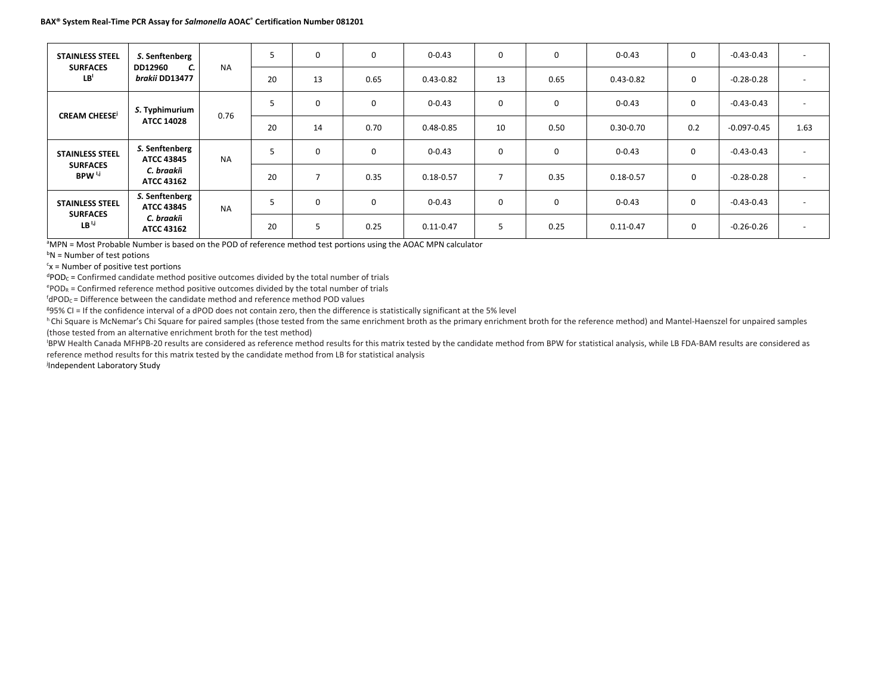| <b>STAINLESS STEEL</b>                                         | S. Senftenberg<br>DD12960<br>C.<br>brakii DD13477 | <b>NA</b> | 5  | $\mathbf 0$ | $\mathbf 0$ | $0 - 0.43$    | $\mathbf 0$   | 0        | $0 - 0.43$    | $\mathbf 0$   | $-0.43 - 0.43$  | $\sim$                   |
|----------------------------------------------------------------|---------------------------------------------------|-----------|----|-------------|-------------|---------------|---------------|----------|---------------|---------------|-----------------|--------------------------|
| <b>SURFACES</b><br>LB <sup>1</sup>                             |                                                   |           | 20 | 13          | 0.65        | $0.43 - 0.82$ | 13            | 0.65     | $0.43 - 0.82$ | 0             | $-0.28 - 0.28$  | $\overline{\phantom{0}}$ |
| <b>CREAM CHEESE<sup>j</sup></b>                                | S. Typhimurium                                    | 0.76      | 5  | 0           | $\mathbf 0$ | $0 - 0.43$    | $\mathbf 0$   | 0        | $0 - 0.43$    | $\mathbf 0$   | $-0.43-0.43$    | $\overline{\phantom{a}}$ |
|                                                                | <b>ATCC 14028</b>                                 |           | 20 | 14          | 0.70        | $0.48 - 0.85$ | 10            | 0.50     | $0.30 - 0.70$ | 0.2           | $-0.097 - 0.45$ | 1.63                     |
| <b>STAINLESS STEEL</b>                                         | S. Senftenberg<br><b>ATCC 43845</b>               | <b>NA</b> | 5  | 0           | $\mathbf 0$ | $0 - 0.43$    | $\mathbf 0$   | 0        | $0 - 0.43$    | $\mathbf 0$   | $-0.43 - 0.43$  | $\overline{\phantom{0}}$ |
| <b>SURFACES</b><br>BPW <sup>I,j</sup>                          | C. braakii<br><b>ATCC 43162</b>                   |           | 20 |             | 0.35        | $0.18 - 0.57$ |               | 0.35     | $0.18 - 0.57$ | $\mathbf 0$   | $-0.28 - 0.28$  | $\overline{a}$           |
| <b>STAINLESS STEEL</b><br><b>SURFACES</b><br>LB <sup>1,1</sup> | S. Senftenberg<br><b>ATCC 43845</b>               | <b>NA</b> | 5  | $\Omega$    | $\Omega$    | $0 - 0.43$    | $\mathbf 0$   | $\Omega$ | $0 - 0.43$    | $\mathbf 0$   | $-0.43 - 0.43$  | $\sim$                   |
|                                                                | C. braakii<br><b>ATCC 43162</b>                   |           |    | 20          |             | 0.25          | $0.11 - 0.47$ | 5        | 0.25          | $0.11 - 0.47$ | 0               | $-0.26 - 0.26$           |

<sup>a</sup>MPN = Most Probable Number is based on the POD of reference method test portions using the AOAC MPN calculator

<sup>b</sup>N = Number of test potions

 $c<sub>x</sub>$  = Number of positive test portions

 $d$ POD<sub>C</sub> = Confirmed candidate method positive outcomes divided by the total number of trials

ePOD<sub>R</sub> = Confirmed reference method positive outcomes divided by the total number of trials

<sup>f</sup>dPOD<sub>C</sub> = Difference between the candidate method and reference method POD values

g 95% CI = If the confidence interval of a dPOD does not contain zero, then the difference is statistically significant at the 5% level

h Chi Square is McNemar's Chi Square for paired samples (those tested from the same enrichment broth as the primary enrichment broth for the reference method) and Mantel-Haenszel for unpaired samples (those tested from an alternative enrichment broth for the test method)

BPW Health Canada MFHPB-20 results are considered as reference method results for this matrix tested by the candidate method from BPW for statistical analysis, while LB FDA-BAM results are considered as reference method results for this matrix tested by the candidate method from LB for statistical analysis

j Independent Laboratory Study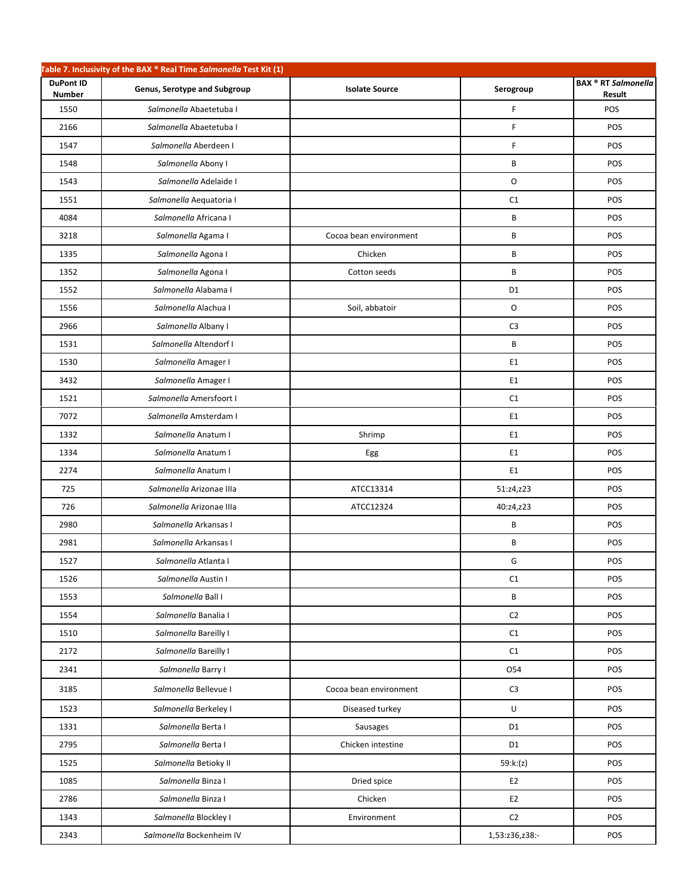|                                   | Table 7. Inclusivity of the BAX ® Real Time Salmonella Test Kit (1) |                        |                |                                      |
|-----------------------------------|---------------------------------------------------------------------|------------------------|----------------|--------------------------------------|
| <b>DuPont ID</b><br><b>Number</b> | Genus, Serotype and Subgroup                                        | <b>Isolate Source</b>  | Serogroup      | <b>BAX ® RT Salmonella</b><br>Result |
| 1550                              | Salmonella Abaetetuba I                                             |                        | F              | POS                                  |
| 2166                              | Salmonella Abaetetuba I                                             |                        | F              | POS                                  |
| 1547                              | Salmonella Aberdeen I                                               |                        | F              | POS                                  |
| 1548                              | Salmonella Abony I                                                  |                        | B              | POS                                  |
| 1543                              | Salmonella Adelaide I                                               |                        | O              | POS                                  |
| 1551                              | Salmonella Aequatoria I                                             |                        | C1             | POS                                  |
| 4084                              | Salmonella Africana I                                               |                        | B              | POS                                  |
| 3218                              | Salmonella Agama I                                                  | Cocoa bean environment | B              | POS                                  |
| 1335                              | Salmonella Agona I                                                  | Chicken                | B              | POS                                  |
| 1352                              | Salmonella Agona I                                                  | Cotton seeds           | B              | POS                                  |
| 1552                              | Salmonella Alabama I                                                |                        | D <sub>1</sub> | POS                                  |
| 1556                              | Salmonella Alachua I                                                | Soil, abbatoir         | O              | POS                                  |
| 2966                              | Salmonella Albany I                                                 |                        | C <sub>3</sub> | POS                                  |
| 1531                              | Salmonella Altendorf I                                              |                        | В              | POS                                  |
| 1530                              | Salmonella Amager I                                                 |                        | E1             | POS                                  |
| 3432                              | Salmonella Amager I                                                 |                        | E <sub>1</sub> | POS                                  |
| 1521                              | Salmonella Amersfoort I                                             |                        | C1             | POS                                  |
| 7072                              | Salmonella Amsterdam I                                              |                        | E1             | POS                                  |
| 1332                              | Salmonella Anatum I                                                 | Shrimp                 | E <sub>1</sub> | POS                                  |
| 1334                              | Salmonella Anatum I                                                 | Egg                    | E1             | POS                                  |
| 2274                              | Salmonella Anatum I                                                 |                        | E1             | POS                                  |
| 725                               | Salmonella Arizonae IIIa                                            | ATCC13314              | 51:z4,z23      | POS                                  |
| 726                               | Salmonella Arizonae IIIa                                            | ATCC12324              | 40:z4,z23      | POS                                  |
| 2980                              | Salmonella Arkansas I                                               |                        | B              | POS                                  |
| 2981                              | Salmonella Arkansas I                                               |                        | B              | POS                                  |
| 1527                              | Salmonella Atlanta I                                                |                        | G              | POS                                  |
| 1526                              | Salmonella Austin I                                                 |                        | C1             | POS                                  |
| 1553                              | Salmonella Ball I                                                   |                        | B              | POS                                  |
| 1554                              | Salmonella Banalia I                                                |                        | C <sub>2</sub> | POS                                  |
| 1510                              | Salmonella Bareilly I                                               |                        | C1             | POS                                  |
| 2172                              | Salmonella Bareilly I                                               |                        | C1             | POS                                  |
| 2341                              | Salmonella Barry I                                                  |                        | 054            | POS                                  |
| 3185                              | Salmonella Bellevue I                                               | Cocoa bean environment | C <sub>3</sub> | POS                                  |
| 1523                              | Salmonella Berkeley I                                               | Diseased turkey        | $\sf U$        | POS                                  |
| 1331                              | Salmonella Berta I                                                  | Sausages               | D <sub>1</sub> | POS                                  |
| 2795                              | Salmonella Berta I                                                  | Chicken intestine      | D1             | POS                                  |
| 1525                              | Salmonella Betioky II                                               |                        | 59:k:(z)       | POS                                  |
| 1085                              | Salmonella Binza I                                                  | Dried spice            | E <sub>2</sub> | POS                                  |
| 2786                              | Salmonella Binza I                                                  | Chicken                | E <sub>2</sub> | POS                                  |
| 1343                              | Salmonella Blockley I                                               | Environment            | C <sub>2</sub> | POS                                  |
| 2343                              | Salmonella Bockenheim IV                                            |                        | 1,53:z36,z38:- | POS                                  |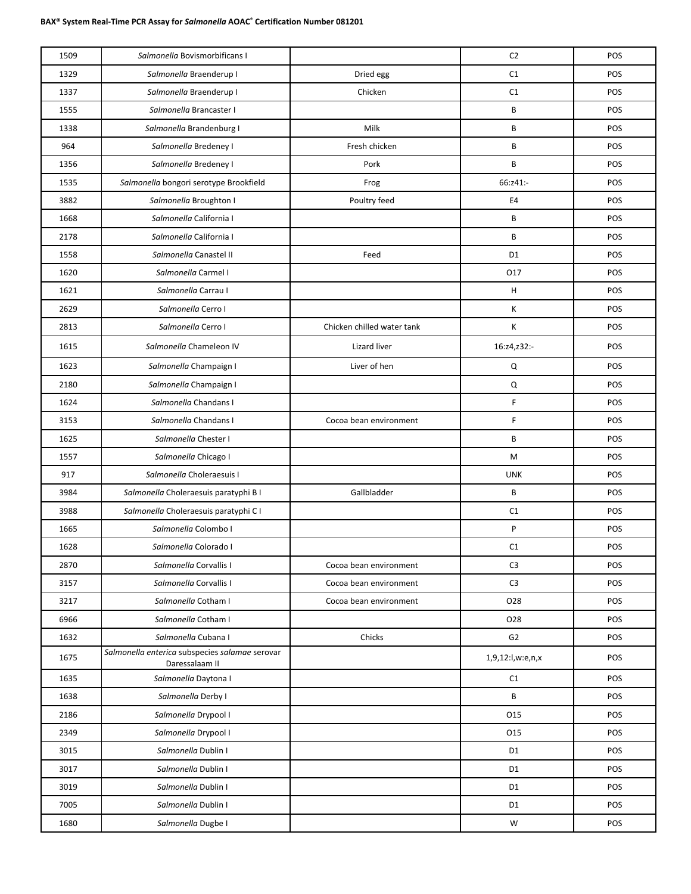| C1<br>1329<br>Salmonella Braenderup I<br>Dried egg<br>POS<br>Salmonella Braenderup I<br>Chicken<br>C1<br>POS<br>1337<br>B<br>POS<br>1555<br>Salmonella Brancaster I<br>Milk<br>B<br>1338<br>Salmonella Brandenburg I<br>POS<br>964<br>Salmonella Bredeney I<br>POS<br>Fresh chicken<br>В<br>B<br>1356<br>Salmonella Bredeney I<br>Pork<br>POS<br>Salmonella bongori serotype Brookfield<br>66:z41:-<br>1535<br>POS<br>Frog<br>Salmonella Broughton I<br>E4<br>POS<br>3882<br>Poultry feed<br>B<br>POS<br>1668<br>Salmonella California I<br>Salmonella California I<br>B<br>2178<br>POS<br>Salmonella Canastel II<br>D <sub>1</sub><br>POS<br>1558<br>Feed<br>1620<br>Salmonella Carmel I<br>017<br>POS<br>H<br>Salmonella Carrau I<br>1621<br>POS<br>2629<br>Salmonella Cerro I<br>К<br>POS<br>2813<br>Salmonella Cerro I<br>К<br>Chicken chilled water tank<br>POS<br>Salmonella Chameleon IV<br>1615<br>Lizard liver<br>16:z4,z32:-<br>POS<br>Liver of hen<br>1623<br>Salmonella Champaign I<br>Q<br>POS<br>2180<br>Salmonella Champaign I<br>Q<br>POS<br>F<br>Salmonella Chandans I<br>POS<br>1624<br>F<br>3153<br>Salmonella Chandans I<br>POS<br>Cocoa bean environment<br>1625<br>Salmonella Chester I<br>B<br>POS<br>Salmonella Chicago I<br>M<br>POS<br>1557<br><b>UNK</b><br>917<br>Salmonella Choleraesuis I<br>POS<br>3984<br>Gallbladder<br>B<br>POS<br>Salmonella Choleraesuis paratyphi B I<br>Salmonella Choleraesuis paratyphi C I<br>C1<br>POS<br>3988<br>P<br>1665<br>Salmonella Colombo I<br>POS<br>1628<br>Salmonella Colorado I<br>C1<br>POS<br>2870<br>Salmonella Corvallis I<br>C <sub>3</sub><br>POS<br>Cocoa bean environment<br>C <sub>3</sub><br>POS<br>3157<br>Salmonella Corvallis I<br>Cocoa bean environment<br>3217<br>Salmonella Cotham I<br>O28<br>POS<br>Cocoa bean environment<br>6966<br>Salmonella Cotham I<br>028<br>POS<br>Salmonella Cubana I<br>Chicks<br>G2<br>POS<br>1632<br>Salmonella enterica subspecies salamae serovar<br>1675<br>1,9,12:l,w:e,n,x<br>POS<br>Daressalaam II<br>1635<br>Salmonella Daytona I<br>POS<br>C1<br>B<br>Salmonella Derby I<br>POS<br>1638<br>Salmonella Drypool I<br>015<br>2186<br>POS<br>2349<br>Salmonella Drypool I<br>015<br>POS<br>3015<br>Salmonella Dublin I<br>D <sub>1</sub><br>POS<br>3017<br>Salmonella Dublin I<br>D <sub>1</sub><br>POS<br>D <sub>1</sub><br>POS<br>3019<br>Salmonella Dublin I<br>7005<br>Salmonella Dublin I<br>D <sub>1</sub><br>POS<br>${\sf W}$<br>1680<br>Salmonella Dugbe I<br>POS | 1509 | Salmonella Bovismorbificans I | C <sub>2</sub> | POS |
|----------------------------------------------------------------------------------------------------------------------------------------------------------------------------------------------------------------------------------------------------------------------------------------------------------------------------------------------------------------------------------------------------------------------------------------------------------------------------------------------------------------------------------------------------------------------------------------------------------------------------------------------------------------------------------------------------------------------------------------------------------------------------------------------------------------------------------------------------------------------------------------------------------------------------------------------------------------------------------------------------------------------------------------------------------------------------------------------------------------------------------------------------------------------------------------------------------------------------------------------------------------------------------------------------------------------------------------------------------------------------------------------------------------------------------------------------------------------------------------------------------------------------------------------------------------------------------------------------------------------------------------------------------------------------------------------------------------------------------------------------------------------------------------------------------------------------------------------------------------------------------------------------------------------------------------------------------------------------------------------------------------------------------------------------------------------------------------------------------------------------------------------------------------------------------------------------------------------------------------------------------------------------------------------------------------------------------------------------------------------------------------------------------------------------------------------------------------------------------------------------|------|-------------------------------|----------------|-----|
|                                                                                                                                                                                                                                                                                                                                                                                                                                                                                                                                                                                                                                                                                                                                                                                                                                                                                                                                                                                                                                                                                                                                                                                                                                                                                                                                                                                                                                                                                                                                                                                                                                                                                                                                                                                                                                                                                                                                                                                                                                                                                                                                                                                                                                                                                                                                                                                                                                                                                                    |      |                               |                |     |
|                                                                                                                                                                                                                                                                                                                                                                                                                                                                                                                                                                                                                                                                                                                                                                                                                                                                                                                                                                                                                                                                                                                                                                                                                                                                                                                                                                                                                                                                                                                                                                                                                                                                                                                                                                                                                                                                                                                                                                                                                                                                                                                                                                                                                                                                                                                                                                                                                                                                                                    |      |                               |                |     |
|                                                                                                                                                                                                                                                                                                                                                                                                                                                                                                                                                                                                                                                                                                                                                                                                                                                                                                                                                                                                                                                                                                                                                                                                                                                                                                                                                                                                                                                                                                                                                                                                                                                                                                                                                                                                                                                                                                                                                                                                                                                                                                                                                                                                                                                                                                                                                                                                                                                                                                    |      |                               |                |     |
|                                                                                                                                                                                                                                                                                                                                                                                                                                                                                                                                                                                                                                                                                                                                                                                                                                                                                                                                                                                                                                                                                                                                                                                                                                                                                                                                                                                                                                                                                                                                                                                                                                                                                                                                                                                                                                                                                                                                                                                                                                                                                                                                                                                                                                                                                                                                                                                                                                                                                                    |      |                               |                |     |
|                                                                                                                                                                                                                                                                                                                                                                                                                                                                                                                                                                                                                                                                                                                                                                                                                                                                                                                                                                                                                                                                                                                                                                                                                                                                                                                                                                                                                                                                                                                                                                                                                                                                                                                                                                                                                                                                                                                                                                                                                                                                                                                                                                                                                                                                                                                                                                                                                                                                                                    |      |                               |                |     |
|                                                                                                                                                                                                                                                                                                                                                                                                                                                                                                                                                                                                                                                                                                                                                                                                                                                                                                                                                                                                                                                                                                                                                                                                                                                                                                                                                                                                                                                                                                                                                                                                                                                                                                                                                                                                                                                                                                                                                                                                                                                                                                                                                                                                                                                                                                                                                                                                                                                                                                    |      |                               |                |     |
|                                                                                                                                                                                                                                                                                                                                                                                                                                                                                                                                                                                                                                                                                                                                                                                                                                                                                                                                                                                                                                                                                                                                                                                                                                                                                                                                                                                                                                                                                                                                                                                                                                                                                                                                                                                                                                                                                                                                                                                                                                                                                                                                                                                                                                                                                                                                                                                                                                                                                                    |      |                               |                |     |
|                                                                                                                                                                                                                                                                                                                                                                                                                                                                                                                                                                                                                                                                                                                                                                                                                                                                                                                                                                                                                                                                                                                                                                                                                                                                                                                                                                                                                                                                                                                                                                                                                                                                                                                                                                                                                                                                                                                                                                                                                                                                                                                                                                                                                                                                                                                                                                                                                                                                                                    |      |                               |                |     |
|                                                                                                                                                                                                                                                                                                                                                                                                                                                                                                                                                                                                                                                                                                                                                                                                                                                                                                                                                                                                                                                                                                                                                                                                                                                                                                                                                                                                                                                                                                                                                                                                                                                                                                                                                                                                                                                                                                                                                                                                                                                                                                                                                                                                                                                                                                                                                                                                                                                                                                    |      |                               |                |     |
|                                                                                                                                                                                                                                                                                                                                                                                                                                                                                                                                                                                                                                                                                                                                                                                                                                                                                                                                                                                                                                                                                                                                                                                                                                                                                                                                                                                                                                                                                                                                                                                                                                                                                                                                                                                                                                                                                                                                                                                                                                                                                                                                                                                                                                                                                                                                                                                                                                                                                                    |      |                               |                |     |
|                                                                                                                                                                                                                                                                                                                                                                                                                                                                                                                                                                                                                                                                                                                                                                                                                                                                                                                                                                                                                                                                                                                                                                                                                                                                                                                                                                                                                                                                                                                                                                                                                                                                                                                                                                                                                                                                                                                                                                                                                                                                                                                                                                                                                                                                                                                                                                                                                                                                                                    |      |                               |                |     |
|                                                                                                                                                                                                                                                                                                                                                                                                                                                                                                                                                                                                                                                                                                                                                                                                                                                                                                                                                                                                                                                                                                                                                                                                                                                                                                                                                                                                                                                                                                                                                                                                                                                                                                                                                                                                                                                                                                                                                                                                                                                                                                                                                                                                                                                                                                                                                                                                                                                                                                    |      |                               |                |     |
|                                                                                                                                                                                                                                                                                                                                                                                                                                                                                                                                                                                                                                                                                                                                                                                                                                                                                                                                                                                                                                                                                                                                                                                                                                                                                                                                                                                                                                                                                                                                                                                                                                                                                                                                                                                                                                                                                                                                                                                                                                                                                                                                                                                                                                                                                                                                                                                                                                                                                                    |      |                               |                |     |
|                                                                                                                                                                                                                                                                                                                                                                                                                                                                                                                                                                                                                                                                                                                                                                                                                                                                                                                                                                                                                                                                                                                                                                                                                                                                                                                                                                                                                                                                                                                                                                                                                                                                                                                                                                                                                                                                                                                                                                                                                                                                                                                                                                                                                                                                                                                                                                                                                                                                                                    |      |                               |                |     |
|                                                                                                                                                                                                                                                                                                                                                                                                                                                                                                                                                                                                                                                                                                                                                                                                                                                                                                                                                                                                                                                                                                                                                                                                                                                                                                                                                                                                                                                                                                                                                                                                                                                                                                                                                                                                                                                                                                                                                                                                                                                                                                                                                                                                                                                                                                                                                                                                                                                                                                    |      |                               |                |     |
|                                                                                                                                                                                                                                                                                                                                                                                                                                                                                                                                                                                                                                                                                                                                                                                                                                                                                                                                                                                                                                                                                                                                                                                                                                                                                                                                                                                                                                                                                                                                                                                                                                                                                                                                                                                                                                                                                                                                                                                                                                                                                                                                                                                                                                                                                                                                                                                                                                                                                                    |      |                               |                |     |
|                                                                                                                                                                                                                                                                                                                                                                                                                                                                                                                                                                                                                                                                                                                                                                                                                                                                                                                                                                                                                                                                                                                                                                                                                                                                                                                                                                                                                                                                                                                                                                                                                                                                                                                                                                                                                                                                                                                                                                                                                                                                                                                                                                                                                                                                                                                                                                                                                                                                                                    |      |                               |                |     |
|                                                                                                                                                                                                                                                                                                                                                                                                                                                                                                                                                                                                                                                                                                                                                                                                                                                                                                                                                                                                                                                                                                                                                                                                                                                                                                                                                                                                                                                                                                                                                                                                                                                                                                                                                                                                                                                                                                                                                                                                                                                                                                                                                                                                                                                                                                                                                                                                                                                                                                    |      |                               |                |     |
|                                                                                                                                                                                                                                                                                                                                                                                                                                                                                                                                                                                                                                                                                                                                                                                                                                                                                                                                                                                                                                                                                                                                                                                                                                                                                                                                                                                                                                                                                                                                                                                                                                                                                                                                                                                                                                                                                                                                                                                                                                                                                                                                                                                                                                                                                                                                                                                                                                                                                                    |      |                               |                |     |
|                                                                                                                                                                                                                                                                                                                                                                                                                                                                                                                                                                                                                                                                                                                                                                                                                                                                                                                                                                                                                                                                                                                                                                                                                                                                                                                                                                                                                                                                                                                                                                                                                                                                                                                                                                                                                                                                                                                                                                                                                                                                                                                                                                                                                                                                                                                                                                                                                                                                                                    |      |                               |                |     |
|                                                                                                                                                                                                                                                                                                                                                                                                                                                                                                                                                                                                                                                                                                                                                                                                                                                                                                                                                                                                                                                                                                                                                                                                                                                                                                                                                                                                                                                                                                                                                                                                                                                                                                                                                                                                                                                                                                                                                                                                                                                                                                                                                                                                                                                                                                                                                                                                                                                                                                    |      |                               |                |     |
|                                                                                                                                                                                                                                                                                                                                                                                                                                                                                                                                                                                                                                                                                                                                                                                                                                                                                                                                                                                                                                                                                                                                                                                                                                                                                                                                                                                                                                                                                                                                                                                                                                                                                                                                                                                                                                                                                                                                                                                                                                                                                                                                                                                                                                                                                                                                                                                                                                                                                                    |      |                               |                |     |
|                                                                                                                                                                                                                                                                                                                                                                                                                                                                                                                                                                                                                                                                                                                                                                                                                                                                                                                                                                                                                                                                                                                                                                                                                                                                                                                                                                                                                                                                                                                                                                                                                                                                                                                                                                                                                                                                                                                                                                                                                                                                                                                                                                                                                                                                                                                                                                                                                                                                                                    |      |                               |                |     |
|                                                                                                                                                                                                                                                                                                                                                                                                                                                                                                                                                                                                                                                                                                                                                                                                                                                                                                                                                                                                                                                                                                                                                                                                                                                                                                                                                                                                                                                                                                                                                                                                                                                                                                                                                                                                                                                                                                                                                                                                                                                                                                                                                                                                                                                                                                                                                                                                                                                                                                    |      |                               |                |     |
|                                                                                                                                                                                                                                                                                                                                                                                                                                                                                                                                                                                                                                                                                                                                                                                                                                                                                                                                                                                                                                                                                                                                                                                                                                                                                                                                                                                                                                                                                                                                                                                                                                                                                                                                                                                                                                                                                                                                                                                                                                                                                                                                                                                                                                                                                                                                                                                                                                                                                                    |      |                               |                |     |
|                                                                                                                                                                                                                                                                                                                                                                                                                                                                                                                                                                                                                                                                                                                                                                                                                                                                                                                                                                                                                                                                                                                                                                                                                                                                                                                                                                                                                                                                                                                                                                                                                                                                                                                                                                                                                                                                                                                                                                                                                                                                                                                                                                                                                                                                                                                                                                                                                                                                                                    |      |                               |                |     |
|                                                                                                                                                                                                                                                                                                                                                                                                                                                                                                                                                                                                                                                                                                                                                                                                                                                                                                                                                                                                                                                                                                                                                                                                                                                                                                                                                                                                                                                                                                                                                                                                                                                                                                                                                                                                                                                                                                                                                                                                                                                                                                                                                                                                                                                                                                                                                                                                                                                                                                    |      |                               |                |     |
|                                                                                                                                                                                                                                                                                                                                                                                                                                                                                                                                                                                                                                                                                                                                                                                                                                                                                                                                                                                                                                                                                                                                                                                                                                                                                                                                                                                                                                                                                                                                                                                                                                                                                                                                                                                                                                                                                                                                                                                                                                                                                                                                                                                                                                                                                                                                                                                                                                                                                                    |      |                               |                |     |
|                                                                                                                                                                                                                                                                                                                                                                                                                                                                                                                                                                                                                                                                                                                                                                                                                                                                                                                                                                                                                                                                                                                                                                                                                                                                                                                                                                                                                                                                                                                                                                                                                                                                                                                                                                                                                                                                                                                                                                                                                                                                                                                                                                                                                                                                                                                                                                                                                                                                                                    |      |                               |                |     |
|                                                                                                                                                                                                                                                                                                                                                                                                                                                                                                                                                                                                                                                                                                                                                                                                                                                                                                                                                                                                                                                                                                                                                                                                                                                                                                                                                                                                                                                                                                                                                                                                                                                                                                                                                                                                                                                                                                                                                                                                                                                                                                                                                                                                                                                                                                                                                                                                                                                                                                    |      |                               |                |     |
|                                                                                                                                                                                                                                                                                                                                                                                                                                                                                                                                                                                                                                                                                                                                                                                                                                                                                                                                                                                                                                                                                                                                                                                                                                                                                                                                                                                                                                                                                                                                                                                                                                                                                                                                                                                                                                                                                                                                                                                                                                                                                                                                                                                                                                                                                                                                                                                                                                                                                                    |      |                               |                |     |
|                                                                                                                                                                                                                                                                                                                                                                                                                                                                                                                                                                                                                                                                                                                                                                                                                                                                                                                                                                                                                                                                                                                                                                                                                                                                                                                                                                                                                                                                                                                                                                                                                                                                                                                                                                                                                                                                                                                                                                                                                                                                                                                                                                                                                                                                                                                                                                                                                                                                                                    |      |                               |                |     |
|                                                                                                                                                                                                                                                                                                                                                                                                                                                                                                                                                                                                                                                                                                                                                                                                                                                                                                                                                                                                                                                                                                                                                                                                                                                                                                                                                                                                                                                                                                                                                                                                                                                                                                                                                                                                                                                                                                                                                                                                                                                                                                                                                                                                                                                                                                                                                                                                                                                                                                    |      |                               |                |     |
|                                                                                                                                                                                                                                                                                                                                                                                                                                                                                                                                                                                                                                                                                                                                                                                                                                                                                                                                                                                                                                                                                                                                                                                                                                                                                                                                                                                                                                                                                                                                                                                                                                                                                                                                                                                                                                                                                                                                                                                                                                                                                                                                                                                                                                                                                                                                                                                                                                                                                                    |      |                               |                |     |
|                                                                                                                                                                                                                                                                                                                                                                                                                                                                                                                                                                                                                                                                                                                                                                                                                                                                                                                                                                                                                                                                                                                                                                                                                                                                                                                                                                                                                                                                                                                                                                                                                                                                                                                                                                                                                                                                                                                                                                                                                                                                                                                                                                                                                                                                                                                                                                                                                                                                                                    |      |                               |                |     |
|                                                                                                                                                                                                                                                                                                                                                                                                                                                                                                                                                                                                                                                                                                                                                                                                                                                                                                                                                                                                                                                                                                                                                                                                                                                                                                                                                                                                                                                                                                                                                                                                                                                                                                                                                                                                                                                                                                                                                                                                                                                                                                                                                                                                                                                                                                                                                                                                                                                                                                    |      |                               |                |     |
|                                                                                                                                                                                                                                                                                                                                                                                                                                                                                                                                                                                                                                                                                                                                                                                                                                                                                                                                                                                                                                                                                                                                                                                                                                                                                                                                                                                                                                                                                                                                                                                                                                                                                                                                                                                                                                                                                                                                                                                                                                                                                                                                                                                                                                                                                                                                                                                                                                                                                                    |      |                               |                |     |
|                                                                                                                                                                                                                                                                                                                                                                                                                                                                                                                                                                                                                                                                                                                                                                                                                                                                                                                                                                                                                                                                                                                                                                                                                                                                                                                                                                                                                                                                                                                                                                                                                                                                                                                                                                                                                                                                                                                                                                                                                                                                                                                                                                                                                                                                                                                                                                                                                                                                                                    |      |                               |                |     |
|                                                                                                                                                                                                                                                                                                                                                                                                                                                                                                                                                                                                                                                                                                                                                                                                                                                                                                                                                                                                                                                                                                                                                                                                                                                                                                                                                                                                                                                                                                                                                                                                                                                                                                                                                                                                                                                                                                                                                                                                                                                                                                                                                                                                                                                                                                                                                                                                                                                                                                    |      |                               |                |     |
|                                                                                                                                                                                                                                                                                                                                                                                                                                                                                                                                                                                                                                                                                                                                                                                                                                                                                                                                                                                                                                                                                                                                                                                                                                                                                                                                                                                                                                                                                                                                                                                                                                                                                                                                                                                                                                                                                                                                                                                                                                                                                                                                                                                                                                                                                                                                                                                                                                                                                                    |      |                               |                |     |
|                                                                                                                                                                                                                                                                                                                                                                                                                                                                                                                                                                                                                                                                                                                                                                                                                                                                                                                                                                                                                                                                                                                                                                                                                                                                                                                                                                                                                                                                                                                                                                                                                                                                                                                                                                                                                                                                                                                                                                                                                                                                                                                                                                                                                                                                                                                                                                                                                                                                                                    |      |                               |                |     |
|                                                                                                                                                                                                                                                                                                                                                                                                                                                                                                                                                                                                                                                                                                                                                                                                                                                                                                                                                                                                                                                                                                                                                                                                                                                                                                                                                                                                                                                                                                                                                                                                                                                                                                                                                                                                                                                                                                                                                                                                                                                                                                                                                                                                                                                                                                                                                                                                                                                                                                    |      |                               |                |     |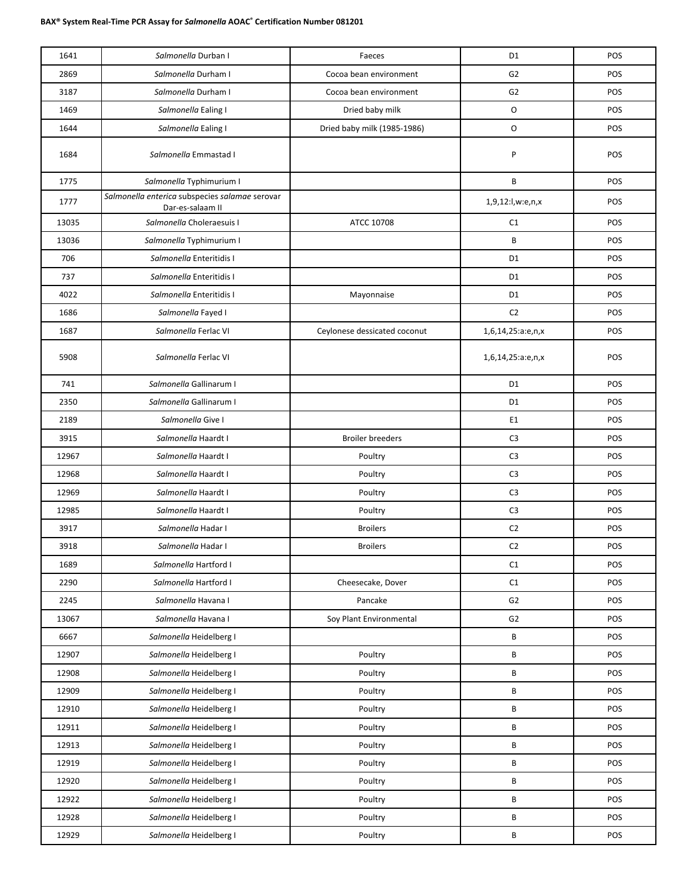| 1641  | Salmonella Durban I                                                | Faeces                       | D <sub>1</sub>    | POS |
|-------|--------------------------------------------------------------------|------------------------------|-------------------|-----|
| 2869  | Salmonella Durham I                                                | Cocoa bean environment       | G <sub>2</sub>    | POS |
| 3187  | Salmonella Durham I                                                | Cocoa bean environment       | G <sub>2</sub>    | POS |
| 1469  | Salmonella Ealing I                                                | Dried baby milk              | O                 | POS |
| 1644  | Salmonella Ealing I                                                | Dried baby milk (1985-1986)  | O                 | POS |
| 1684  | Salmonella Emmastad I                                              |                              | P                 | POS |
| 1775  | Salmonella Typhimurium I                                           |                              | B                 | POS |
| 1777  | Salmonella enterica subspecies salamae serovar<br>Dar-es-salaam II |                              | 1,9,12:l,w:e,n,x  | POS |
| 13035 | Salmonella Choleraesuis I                                          | ATCC 10708                   | C1                | POS |
| 13036 | Salmonella Typhimurium I                                           |                              | B                 | POS |
| 706   | Salmonella Enteritidis I                                           |                              | D <sub>1</sub>    | POS |
| 737   | Salmonella Enteritidis I                                           |                              | D <sub>1</sub>    | POS |
| 4022  | Salmonella Enteritidis I                                           | Mayonnaise                   | D <sub>1</sub>    | POS |
| 1686  | Salmonella Fayed I                                                 |                              | C <sub>2</sub>    | POS |
| 1687  | Salmonella Ferlac VI                                               | Ceylonese dessicated coconut | 1,6,14,25:a:e,n,x | POS |
| 5908  | Salmonella Ferlac VI                                               |                              | 1,6,14,25:a:e,n,x | POS |
| 741   | Salmonella Gallinarum I                                            |                              | D <sub>1</sub>    | POS |
| 2350  | Salmonella Gallinarum I                                            |                              | D <sub>1</sub>    | POS |
| 2189  | Salmonella Give I                                                  |                              | E <sub>1</sub>    | POS |
| 3915  | Salmonella Haardt I                                                | <b>Broiler breeders</b>      | C <sub>3</sub>    | POS |
| 12967 | Salmonella Haardt I                                                | Poultry                      | C <sub>3</sub>    | POS |
| 12968 | Salmonella Haardt I                                                | Poultry                      | C <sub>3</sub>    | POS |
| 12969 | Salmonella Haardt I                                                | Poultry                      | C <sub>3</sub>    | POS |
| 12985 | Salmonella Haardt I                                                | Poultry                      | C <sub>3</sub>    | POS |
| 3917  | Salmonella Hadar I                                                 | <b>Broilers</b>              | C <sub>2</sub>    | POS |
| 3918  | Salmonella Hadar I                                                 | <b>Broilers</b>              | C <sub>2</sub>    | POS |
| 1689  | Salmonella Hartford I                                              |                              | C1                | POS |
| 2290  | Salmonella Hartford I                                              | Cheesecake, Dover            | $\mathsf{C1}$     | POS |
| 2245  | Salmonella Havana I                                                | Pancake                      | G <sub>2</sub>    | POS |
| 13067 | Salmonella Havana I                                                | Soy Plant Environmental      | G <sub>2</sub>    | POS |
| 6667  | Salmonella Heidelberg I                                            |                              | B                 | POS |
| 12907 | Salmonella Heidelberg I                                            | Poultry                      | B                 | POS |
| 12908 | Salmonella Heidelberg I                                            | Poultry                      | B                 | POS |
| 12909 | Salmonella Heidelberg I                                            | Poultry                      | B                 | POS |
| 12910 | Salmonella Heidelberg I                                            | Poultry                      | B                 | POS |
| 12911 | Salmonella Heidelberg I                                            | Poultry                      | B                 | POS |
| 12913 | Salmonella Heidelberg I                                            | Poultry                      | B                 | POS |
| 12919 | Salmonella Heidelberg I                                            | Poultry                      | B                 | POS |
| 12920 | Salmonella Heidelberg I                                            | Poultry                      | B                 | POS |
| 12922 | Salmonella Heidelberg I                                            | Poultry                      | B                 | POS |
| 12928 | Salmonella Heidelberg I                                            | Poultry                      | B                 | POS |
| 12929 | Salmonella Heidelberg I                                            | Poultry                      | B                 | POS |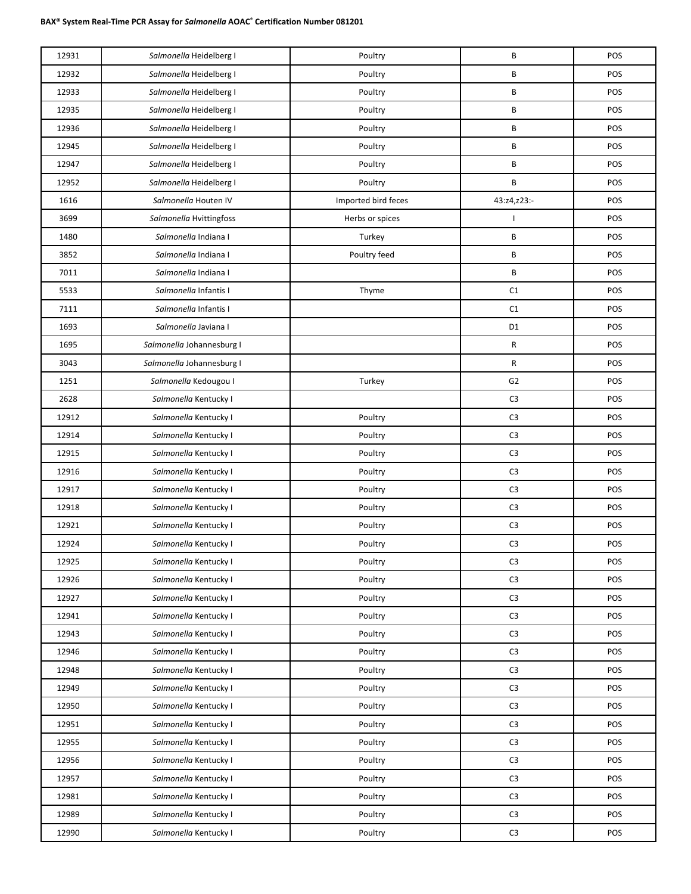| 12931 | Salmonella Heidelberg I   | Poultry             | B              | POS |
|-------|---------------------------|---------------------|----------------|-----|
| 12932 | Salmonella Heidelberg I   | Poultry             | B              | POS |
| 12933 | Salmonella Heidelberg I   | Poultry             | B              | POS |
| 12935 | Salmonella Heidelberg I   | Poultry             | B              | POS |
| 12936 | Salmonella Heidelberg I   | Poultry             | B              | POS |
| 12945 | Salmonella Heidelberg I   | Poultry             | B              | POS |
| 12947 | Salmonella Heidelberg I   | Poultry             | B              | POS |
| 12952 | Salmonella Heidelberg I   | Poultry             | B              | POS |
| 1616  | Salmonella Houten IV      | Imported bird feces | 43:z4,z23:-    | POS |
| 3699  | Salmonella Hvittingfoss   | Herbs or spices     |                | POS |
| 1480  | Salmonella Indiana I      | Turkey              | B              | POS |
| 3852  | Salmonella Indiana I      | Poultry feed        | B              | POS |
| 7011  | Salmonella Indiana I      |                     | В              | POS |
| 5533  | Salmonella Infantis I     | Thyme               | C1             | POS |
| 7111  | Salmonella Infantis I     |                     | C1             | POS |
| 1693  | Salmonella Javiana I      |                     | D <sub>1</sub> | POS |
| 1695  | Salmonella Johannesburg I |                     | R              | POS |
| 3043  | Salmonella Johannesburg I |                     | ${\sf R}$      | POS |
| 1251  | Salmonella Kedougou I     | Turkey              | G <sub>2</sub> | POS |
| 2628  | Salmonella Kentucky I     |                     | C <sub>3</sub> | POS |
| 12912 | Salmonella Kentucky I     | Poultry             | C <sub>3</sub> | POS |
| 12914 | Salmonella Kentucky I     | Poultry             | C <sub>3</sub> | POS |
| 12915 | Salmonella Kentucky I     | Poultry             | C <sub>3</sub> | POS |
| 12916 | Salmonella Kentucky I     | Poultry             | C <sub>3</sub> | POS |
| 12917 | Salmonella Kentucky I     | Poultry             | C <sub>3</sub> | POS |
| 12918 | Salmonella Kentucky I     | Poultry             | C <sub>3</sub> | POS |
| 12921 | Salmonella Kentucky I     | Poultry             | C <sub>3</sub> | POS |
| 12924 | Salmonella Kentucky I     | Poultry             | C <sub>3</sub> | POS |
| 12925 | Salmonella Kentucky I     | Poultry             | C <sub>3</sub> | POS |
| 12926 | Salmonella Kentucky I     | Poultry             | C <sub>3</sub> | POS |
| 12927 | Salmonella Kentucky I     | Poultry             | $\mathsf{C}3$  | POS |
| 12941 | Salmonella Kentucky I     | Poultry             | C <sub>3</sub> | POS |
| 12943 | Salmonella Kentucky I     | Poultry             | C <sub>3</sub> | POS |
| 12946 | Salmonella Kentucky I     | Poultry             | $\mathsf{C}3$  | POS |
| 12948 | Salmonella Kentucky I     | Poultry             | C <sub>3</sub> | POS |
| 12949 | Salmonella Kentucky I     | Poultry             | C <sub>3</sub> | POS |
| 12950 | Salmonella Kentucky I     | Poultry             | $\mathsf{C}3$  | POS |
| 12951 | Salmonella Kentucky I     | Poultry             | C <sub>3</sub> | POS |
| 12955 | Salmonella Kentucky I     | Poultry             | C <sub>3</sub> | POS |
| 12956 | Salmonella Kentucky I     | Poultry             | $\mathsf{C}3$  | POS |
| 12957 | Salmonella Kentucky I     | Poultry             | C <sub>3</sub> | POS |
| 12981 | Salmonella Kentucky I     | Poultry             | C <sub>3</sub> | POS |
| 12989 | Salmonella Kentucky I     | Poultry             | $\mathsf{C}3$  | POS |
| 12990 | Salmonella Kentucky I     | Poultry             | C <sub>3</sub> | POS |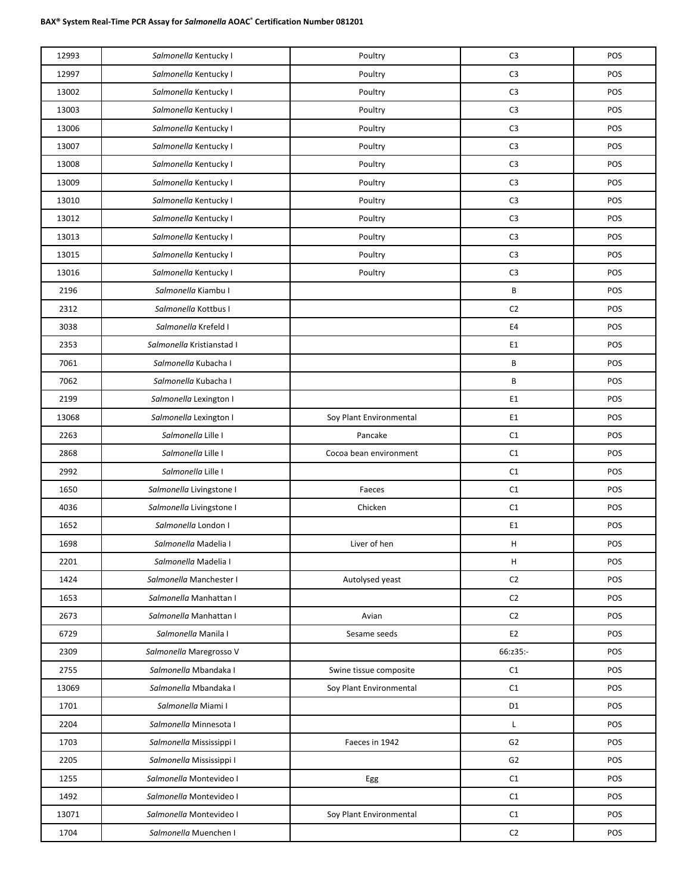| 12993 | Salmonella Kentucky I     | Poultry                 | C <sub>3</sub> | POS |
|-------|---------------------------|-------------------------|----------------|-----|
| 12997 | Salmonella Kentucky I     | Poultry                 | C <sub>3</sub> | POS |
| 13002 | Salmonella Kentucky I     | Poultry                 | C <sub>3</sub> | POS |
| 13003 | Salmonella Kentucky I     | Poultry                 | C <sub>3</sub> | POS |
| 13006 | Salmonella Kentucky I     | Poultry                 | C <sub>3</sub> | POS |
| 13007 | Salmonella Kentucky I     | Poultry                 | C <sub>3</sub> | POS |
| 13008 | Salmonella Kentucky I     | Poultry                 | C <sub>3</sub> | POS |
| 13009 | Salmonella Kentucky I     | Poultry                 | C <sub>3</sub> | POS |
| 13010 | Salmonella Kentucky I     | Poultry                 | C <sub>3</sub> | POS |
| 13012 | Salmonella Kentucky I     | Poultry                 | C <sub>3</sub> | POS |
| 13013 | Salmonella Kentucky I     | Poultry                 | C <sub>3</sub> | POS |
| 13015 | Salmonella Kentucky I     | Poultry                 | C <sub>3</sub> | POS |
| 13016 | Salmonella Kentucky I     | Poultry                 | C <sub>3</sub> | POS |
| 2196  | Salmonella Kiambu I       |                         | B              | POS |
| 2312  | Salmonella Kottbus I      |                         | C2             | POS |
| 3038  | Salmonella Krefeld I      |                         | E4             | POS |
| 2353  | Salmonella Kristianstad I |                         | E <sub>1</sub> | POS |
| 7061  | Salmonella Kubacha I      |                         | B              | POS |
| 7062  | Salmonella Kubacha I      |                         | B              | POS |
| 2199  | Salmonella Lexington I    |                         | E <sub>1</sub> | POS |
| 13068 | Salmonella Lexington I    | Soy Plant Environmental | E1             | POS |
| 2263  | Salmonella Lille I        | Pancake                 | C1             | POS |
| 2868  | Salmonella Lille I        | Cocoa bean environment  | C1             | POS |
| 2992  | Salmonella Lille I        |                         | C1             | POS |
| 1650  | Salmonella Livingstone I  | Faeces                  | C1             | POS |
| 4036  | Salmonella Livingstone I  | Chicken                 | C1             | POS |
| 1652  | Salmonella London I       |                         | E1             | POS |
| 1698  | Salmonella Madelia I      | Liver of hen            | Н              | POS |
| 2201  | Salmonella Madelia I      |                         | н              | POS |
| 1424  | Salmonella Manchester I   | Autolysed yeast         | C <sub>2</sub> | POS |
| 1653  | Salmonella Manhattan I    |                         | C <sub>2</sub> | POS |
| 2673  | Salmonella Manhattan I    | Avian                   | C <sub>2</sub> | POS |
| 6729  | Salmonella Manila I       | Sesame seeds            | E <sub>2</sub> | POS |
| 2309  | Salmonella Maregrosso V   |                         | 66:z35:-       | POS |
| 2755  | Salmonella Mbandaka I     | Swine tissue composite  | C1             | POS |
| 13069 | Salmonella Mbandaka I     | Soy Plant Environmental | C1             | POS |
| 1701  | Salmonella Miami I        |                         | D <sub>1</sub> | POS |
| 2204  | Salmonella Minnesota I    |                         | L              | POS |
| 1703  | Salmonella Mississippi I  | Faeces in 1942          | G <sub>2</sub> | POS |
| 2205  | Salmonella Mississippi I  |                         | G <sub>2</sub> | POS |
| 1255  | Salmonella Montevideo I   | Egg                     | C1             | POS |
| 1492  | Salmonella Montevideo I   |                         | C1             | POS |
| 13071 | Salmonella Montevideo I   | Soy Plant Environmental | C1             | POS |
| 1704  | Salmonella Muenchen I     |                         | C <sub>2</sub> | POS |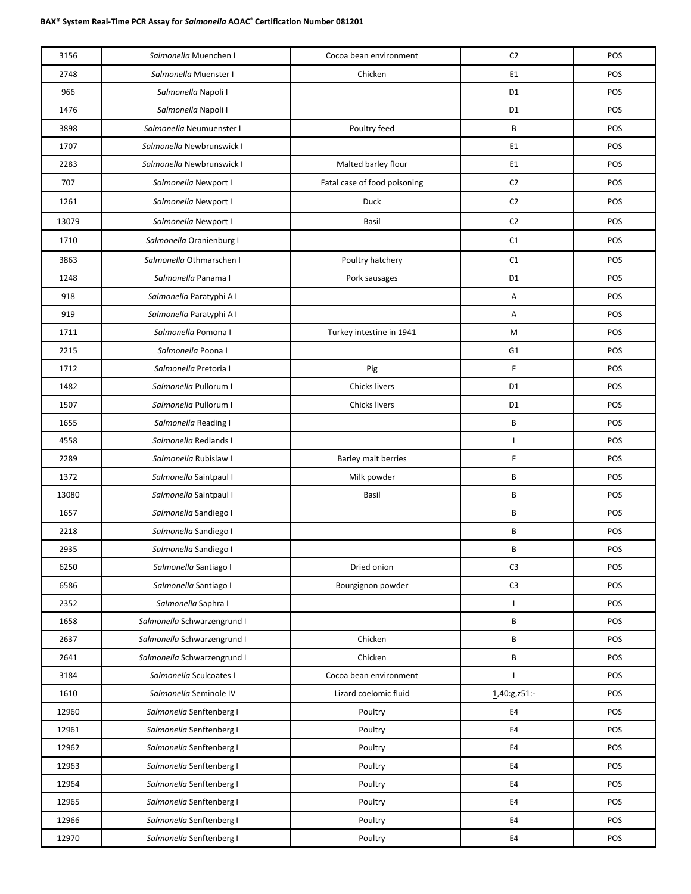| 3156  | Salmonella Muenchen I       | Cocoa bean environment       | C <sub>2</sub>           | POS |
|-------|-----------------------------|------------------------------|--------------------------|-----|
| 2748  | Salmonella Muenster I       | Chicken                      | E1                       | POS |
| 966   | Salmonella Napoli I         |                              | D <sub>1</sub>           | POS |
| 1476  | Salmonella Napoli I         |                              | D <sub>1</sub>           | POS |
| 3898  | Salmonella Neumuenster I    | Poultry feed                 | B                        | POS |
| 1707  | Salmonella Newbrunswick I   |                              | E1                       | POS |
| 2283  | Salmonella Newbrunswick I   | Malted barley flour          | E <sub>1</sub>           | POS |
| 707   | Salmonella Newport I        | Fatal case of food poisoning | C <sub>2</sub>           | POS |
| 1261  | Salmonella Newport I        | Duck                         | C <sub>2</sub>           | POS |
| 13079 | Salmonella Newport I        | Basil                        | C <sub>2</sub>           | POS |
| 1710  | Salmonella Oranienburg I    |                              | C1                       | POS |
| 3863  | Salmonella Othmarschen I    | Poultry hatchery             | C1                       | POS |
| 1248  | Salmonella Panama I         | Pork sausages                | D <sub>1</sub>           | POS |
| 918   | Salmonella Paratyphi A I    |                              | Α                        | POS |
| 919   | Salmonella Paratyphi A I    |                              | A                        | POS |
| 1711  | Salmonella Pomona I         | Turkey intestine in 1941     | M                        | POS |
| 2215  | Salmonella Poona I          |                              | G <sub>1</sub>           | POS |
| 1712  | Salmonella Pretoria I       | Pig                          | F                        | POS |
| 1482  | Salmonella Pullorum I       | Chicks livers                | D <sub>1</sub>           | POS |
| 1507  | Salmonella Pullorum I       | Chicks livers                | D <sub>1</sub>           | POS |
| 1655  | Salmonella Reading I        |                              | B                        | POS |
| 4558  | Salmonella Redlands I       |                              | $\overline{\phantom{a}}$ | POS |
| 2289  | Salmonella Rubislaw I       | Barley malt berries          | F                        | POS |
| 1372  | Salmonella Saintpaul I      | Milk powder                  | B                        | POS |
| 13080 | Salmonella Saintpaul I      | Basil                        | B                        | POS |
| 1657  | Salmonella Sandiego I       |                              | B                        | POS |
| 2218  | Salmonella Sandiego I       |                              | B                        | POS |
| 2935  | Salmonella Sandiego I       |                              | B                        | POS |
| 6250  | Salmonella Santiago I       | Dried onion                  | C <sub>3</sub>           | POS |
| 6586  | Salmonella Santiago I       | Bourgignon powder            | C <sub>3</sub>           | POS |
| 2352  | Salmonella Saphra I         |                              | $\mathbf{I}$             | POS |
| 1658  | Salmonella Schwarzengrund I |                              | В                        | POS |
| 2637  | Salmonella Schwarzengrund I | Chicken                      | B                        | POS |
| 2641  | Salmonella Schwarzengrund I | Chicken                      | В                        | POS |
| 3184  | Salmonella Sculcoates I     | Cocoa bean environment       | $\overline{\phantom{a}}$ | POS |
| 1610  | Salmonella Seminole IV      | Lizard coelomic fluid        | 1,40:g,z51:-             | POS |
| 12960 | Salmonella Senftenberg I    | Poultry                      | E4                       | POS |
| 12961 | Salmonella Senftenberg I    | Poultry                      | E4                       | POS |
| 12962 | Salmonella Senftenberg I    | Poultry                      | E4                       | POS |
| 12963 | Salmonella Senftenberg I    | Poultry                      | E4                       | POS |
| 12964 | Salmonella Senftenberg I    | Poultry                      | E4                       | POS |
| 12965 | Salmonella Senftenberg I    | Poultry                      | E4                       | POS |
| 12966 | Salmonella Senftenberg I    | Poultry                      | E4                       | POS |
| 12970 | Salmonella Senftenberg I    | Poultry                      | $\mathsf{E}4$            | POS |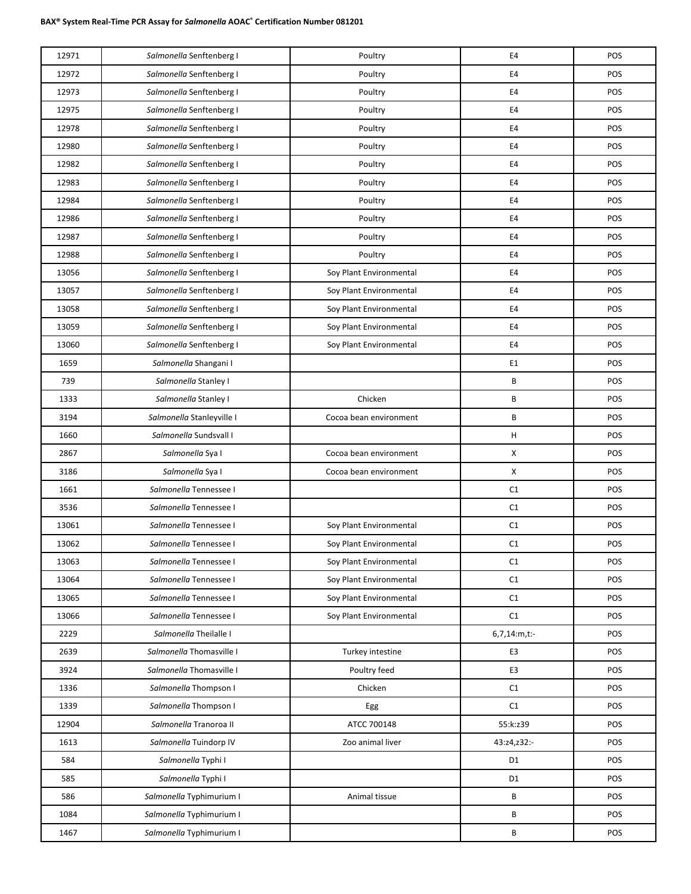| 12971 | Salmonella Senftenberg I  | Poultry                 | E4             | POS |
|-------|---------------------------|-------------------------|----------------|-----|
| 12972 | Salmonella Senftenberg I  | Poultry                 | E4             | POS |
| 12973 | Salmonella Senftenberg I  | Poultry                 | E4             | POS |
| 12975 | Salmonella Senftenberg I  | Poultry                 | E4             | POS |
| 12978 | Salmonella Senftenberg I  | Poultry                 | E4             | POS |
| 12980 | Salmonella Senftenberg I  | Poultry                 | E4             | POS |
| 12982 | Salmonella Senftenberg I  | Poultry                 | E4             | POS |
| 12983 | Salmonella Senftenberg I  | Poultry                 | E4             | POS |
| 12984 | Salmonella Senftenberg I  | Poultry                 | E4             | POS |
| 12986 | Salmonella Senftenberg I  | Poultry                 | E4             | POS |
| 12987 | Salmonella Senftenberg I  | Poultry                 | E4             | POS |
| 12988 | Salmonella Senftenberg I  | Poultry                 | E4             | POS |
| 13056 | Salmonella Senftenberg I  | Soy Plant Environmental | E4             | POS |
| 13057 | Salmonella Senftenberg I  | Soy Plant Environmental | E4             | POS |
| 13058 | Salmonella Senftenberg I  | Soy Plant Environmental | E4             | POS |
| 13059 | Salmonella Senftenberg I  | Soy Plant Environmental | E4             | POS |
| 13060 | Salmonella Senftenberg I  | Soy Plant Environmental | E4             | POS |
| 1659  | Salmonella Shangani I     |                         | E1             | POS |
| 739   | Salmonella Stanley I      |                         | B              | POS |
| 1333  | Salmonella Stanley I      | Chicken                 | B              | POS |
| 3194  | Salmonella Stanleyville I | Cocoa bean environment  | B              | POS |
| 1660  | Salmonella Sundsvall I    |                         | н              | POS |
| 2867  | Salmonella Sya I          | Cocoa bean environment  | X              | POS |
| 3186  | Salmonella Sya I          | Cocoa bean environment  | X              | POS |
| 1661  | Salmonella Tennessee I    |                         | C1             | POS |
| 3536  | Salmonella Tennessee I    |                         | C1             | POS |
| 13061 | Salmonella Tennessee I    | Soy Plant Environmental | C1             | POS |
| 13062 | Salmonella Tennessee I    | Soy Plant Environmental | C1             | POS |
| 13063 | Salmonella Tennessee I    | Soy Plant Environmental | $\mathsf{C1}$  | POS |
| 13064 | Salmonella Tennessee I    | Soy Plant Environmental | C1             | POS |
| 13065 | Salmonella Tennessee I    | Soy Plant Environmental | C1             | POS |
| 13066 | Salmonella Tennessee I    | Soy Plant Environmental | C1             | POS |
| 2229  | Salmonella Theilalle I    |                         | 6,7,14:m,t:-   | POS |
| 2639  | Salmonella Thomasville I  | Turkey intestine        | E3             | POS |
| 3924  | Salmonella Thomasville I  | Poultry feed            | E3             | POS |
| 1336  | Salmonella Thompson I     | Chicken                 | C1             | POS |
| 1339  | Salmonella Thompson I     | Egg                     | C1             | POS |
| 12904 | Salmonella Tranoroa II    | ATCC 700148             | 55:k:z39       | POS |
| 1613  | Salmonella Tuindorp IV    | Zoo animal liver        | 43:z4,z32:-    | POS |
| 584   | Salmonella Typhi I        |                         | D1             | POS |
| 585   | Salmonella Typhi I        |                         | D <sub>1</sub> | POS |
| 586   | Salmonella Typhimurium I  | Animal tissue           | В              | POS |
| 1084  | Salmonella Typhimurium I  |                         | В              | POS |
| 1467  | Salmonella Typhimurium I  |                         | В              | POS |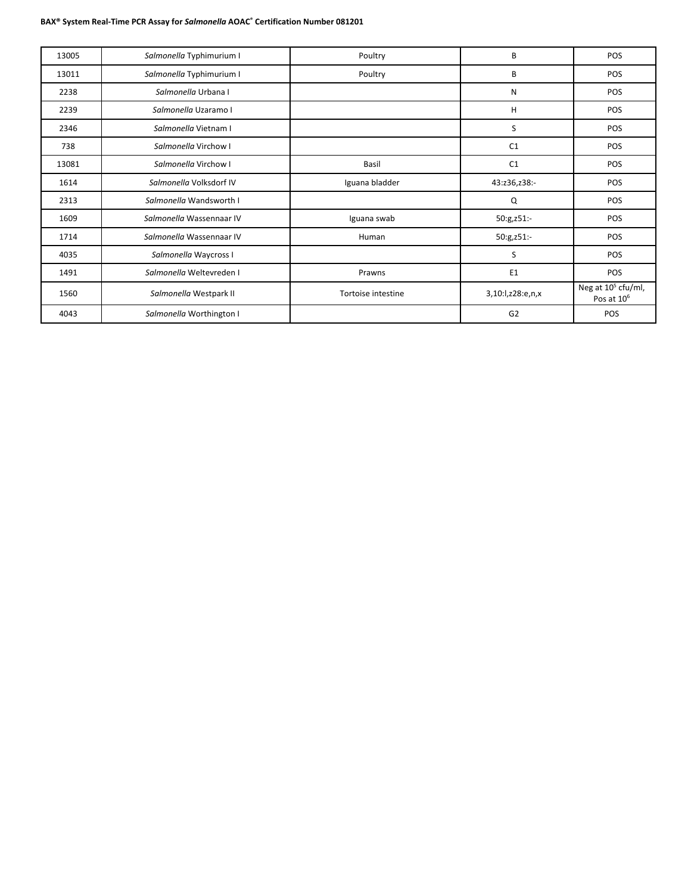| 13005 | Salmonella Typhimurium I | Poultry            | B                | POS                                                      |
|-------|--------------------------|--------------------|------------------|----------------------------------------------------------|
| 13011 | Salmonella Typhimurium I | Poultry            | B                | POS                                                      |
| 2238  | Salmonella Urbana I      |                    | N                | <b>POS</b>                                               |
| 2239  | Salmonella Uzaramo I     |                    | н                | POS                                                      |
| 2346  | Salmonella Vietnam I     |                    | S                | POS                                                      |
| 738   | Salmonella Virchow I     |                    | C <sub>1</sub>   | <b>POS</b>                                               |
| 13081 | Salmonella Virchow I     | Basil              | C <sub>1</sub>   | POS                                                      |
| 1614  | Salmonella Volksdorf IV  | Iguana bladder     | 43:z36,z38:-     | POS                                                      |
| 2313  | Salmonella Wandsworth I  |                    | Q                | <b>POS</b>                                               |
| 1609  | Salmonella Wassennaar IV | Iguana swab        | 50:g,z51:-       | <b>POS</b>                                               |
| 1714  | Salmonella Wassennaar IV | Human              | 50:g,z51:-       | <b>POS</b>                                               |
| 4035  | Salmonella Waycross I    |                    | S                | POS                                                      |
| 1491  | Salmonella Weltevreden I | Prawns             | E <sub>1</sub>   | POS                                                      |
| 1560  | Salmonella Westpark II   | Tortoise intestine | 3,10:1,z28:e,n,x | Neg at 10 <sup>5</sup> cfu/ml,<br>Pos at 10 <sup>6</sup> |
| 4043  | Salmonella Worthington I |                    | G <sub>2</sub>   | POS                                                      |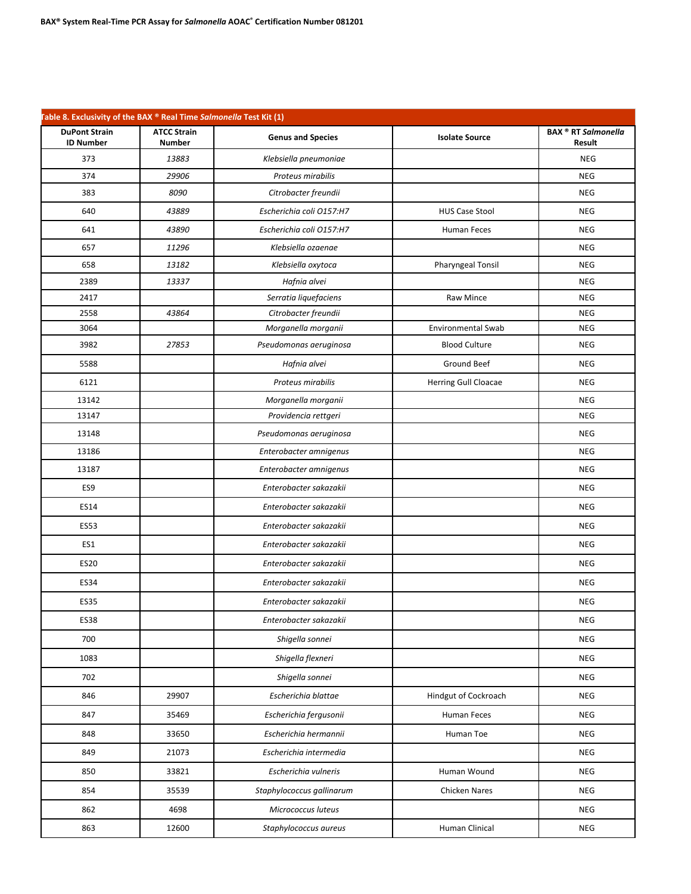| Table 8. Exclusivity of the BAX ® Real Time Salmonella Test Kit (1) |                                     |                           |                             |                                      |
|---------------------------------------------------------------------|-------------------------------------|---------------------------|-----------------------------|--------------------------------------|
| <b>DuPont Strain</b><br><b>ID Number</b>                            | <b>ATCC Strain</b><br><b>Number</b> | <b>Genus and Species</b>  | <b>Isolate Source</b>       | <b>BAX ® RT Salmonella</b><br>Result |
| 373                                                                 | 13883                               | Klebsiella pneumoniae     |                             | <b>NEG</b>                           |
| 374                                                                 | 29906                               | Proteus mirabilis         |                             | <b>NEG</b>                           |
| 383                                                                 | 8090                                | Citrobacter freundii      |                             | <b>NEG</b>                           |
| 640                                                                 | 43889                               | Escherichia coli O157:H7  | <b>HUS Case Stool</b>       | <b>NEG</b>                           |
| 641                                                                 | 43890                               | Escherichia coli O157:H7  | Human Feces                 | <b>NEG</b>                           |
| 657                                                                 | 11296                               | Klebsiella ozaenae        |                             | <b>NEG</b>                           |
| 658                                                                 | 13182                               | Klebsiella oxytoca        | <b>Pharyngeal Tonsil</b>    | <b>NEG</b>                           |
| 2389                                                                | 13337                               | Hafnia alvei              |                             | <b>NEG</b>                           |
| 2417                                                                |                                     | Serratia liquefaciens     | Raw Mince                   | <b>NEG</b>                           |
| 2558                                                                | 43864                               | Citrobacter freundii      |                             | <b>NEG</b>                           |
| 3064                                                                |                                     | Morganella morganii       | <b>Environmental Swab</b>   | <b>NEG</b>                           |
| 3982                                                                | 27853                               | Pseudomonas aeruginosa    | <b>Blood Culture</b>        | <b>NEG</b>                           |
| 5588                                                                |                                     | Hafnia alvei              | Ground Beef                 | <b>NEG</b>                           |
| 6121                                                                |                                     | Proteus mirabilis         | <b>Herring Gull Cloacae</b> | <b>NEG</b>                           |
| 13142                                                               |                                     | Morganella morganii       |                             | <b>NEG</b>                           |
| 13147                                                               |                                     | Providencia rettgeri      |                             | <b>NEG</b>                           |
| 13148                                                               |                                     | Pseudomonas aeruginosa    |                             | <b>NEG</b>                           |
| 13186                                                               |                                     | Enterobacter amnigenus    |                             | <b>NEG</b>                           |
| 13187                                                               |                                     | Enterobacter amnigenus    |                             | <b>NEG</b>                           |
| ES9                                                                 |                                     | Enterobacter sakazakii    |                             | <b>NEG</b>                           |
| ES14                                                                |                                     | Enterobacter sakazakii    |                             | <b>NEG</b>                           |
| <b>ES53</b>                                                         |                                     | Enterobacter sakazakii    |                             | <b>NEG</b>                           |
| ES1                                                                 |                                     | Enterobacter sakazakii    |                             | <b>NEG</b>                           |
| <b>ES20</b>                                                         |                                     | Enterobacter sakazakii    |                             | <b>NEG</b>                           |
| <b>ES34</b>                                                         |                                     | Enterobacter sakazakii    |                             | <b>NEG</b>                           |
| <b>ES35</b>                                                         |                                     | Enterobacter sakazakii    |                             | <b>NEG</b>                           |
| <b>ES38</b>                                                         |                                     | Enterobacter sakazakii    |                             | <b>NEG</b>                           |
| 700                                                                 |                                     | Shigella sonnei           |                             | <b>NEG</b>                           |
| 1083                                                                |                                     | Shigella flexneri         |                             | <b>NEG</b>                           |
| 702                                                                 |                                     | Shigella sonnei           |                             | <b>NEG</b>                           |
| 846                                                                 | 29907                               | Escherichia blattae       | Hindgut of Cockroach        | <b>NEG</b>                           |
| 847                                                                 | 35469                               | Escherichia fergusonii    | Human Feces                 | <b>NEG</b>                           |
| 848                                                                 | 33650                               | Escherichia hermannii     | Human Toe                   | <b>NEG</b>                           |
| 849                                                                 | 21073                               | Escherichia intermedia    |                             | <b>NEG</b>                           |
| 850                                                                 | 33821                               | Escherichia vulneris      | Human Wound                 | <b>NEG</b>                           |
| 854                                                                 | 35539                               | Staphylococcus gallinarum | Chicken Nares               | <b>NEG</b>                           |
| 862                                                                 | 4698                                | Micrococcus luteus        |                             | <b>NEG</b>                           |
| 863                                                                 | 12600                               | Staphylococcus aureus     | Human Clinical              | <b>NEG</b>                           |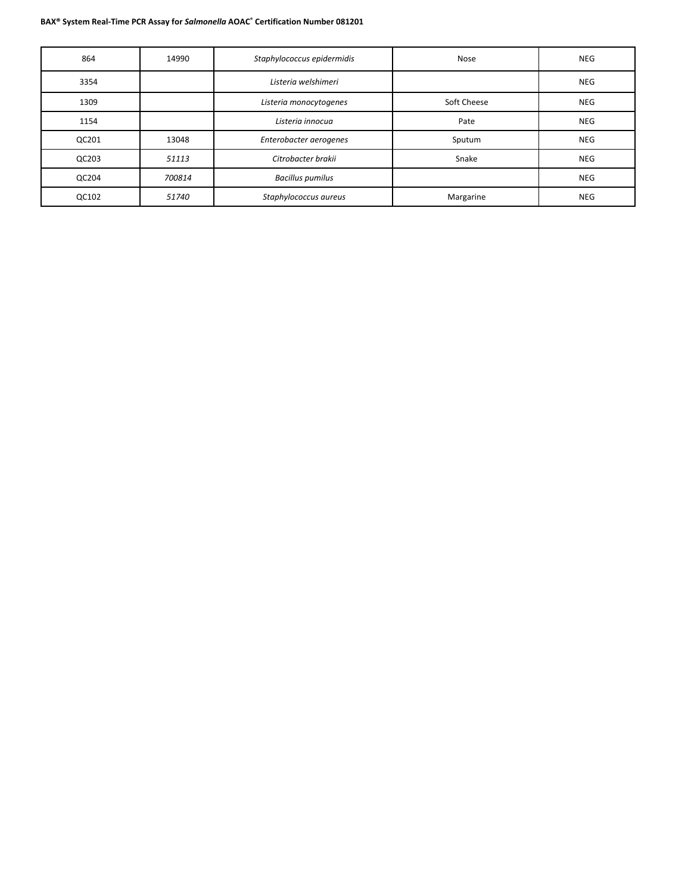| 864   | 14990  | Staphylococcus epidermidis | Nose        | <b>NEG</b> |
|-------|--------|----------------------------|-------------|------------|
| 3354  |        | Listeria welshimeri        |             | <b>NEG</b> |
| 1309  |        | Listeria monocytogenes     | Soft Cheese | <b>NEG</b> |
| 1154  |        | Listeria innocua           | Pate        | <b>NEG</b> |
| QC201 | 13048  | Enterobacter aerogenes     | Sputum      | <b>NEG</b> |
| QC203 | 51113  | Citrobacter brakii         | Snake       | <b>NEG</b> |
| QC204 | 700814 | <b>Bacillus pumilus</b>    |             | <b>NEG</b> |
| QC102 | 51740  | Staphylococcus aureus      | Margarine   | <b>NEG</b> |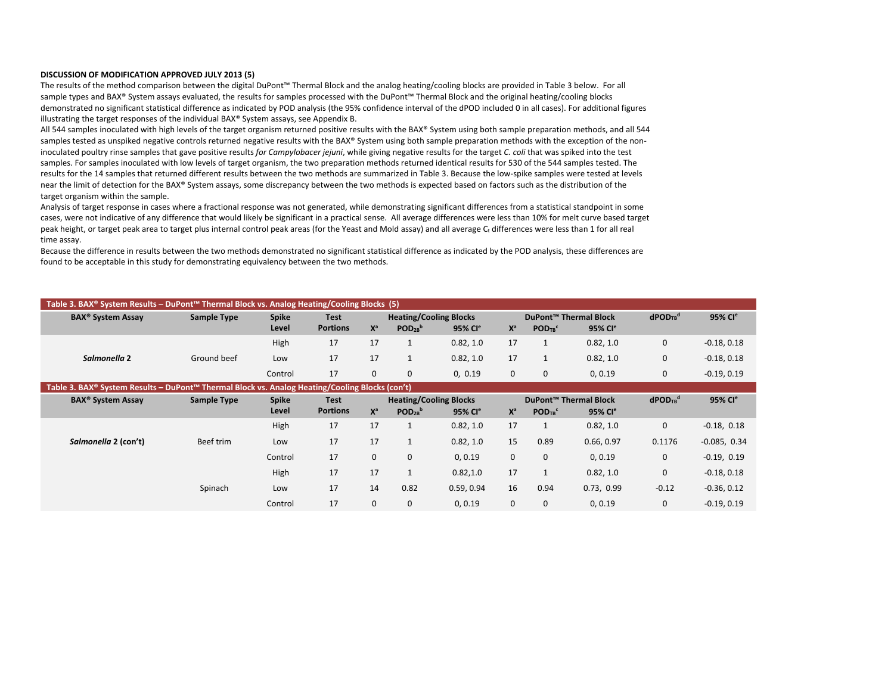#### **DISCUSSION OF MODIFICATION APPROVED JULY 2013 (5)**

The results of the method comparison between the digital DuPont™ Thermal Block and the analog heating/cooling blocks are provided in Table 3 below. For all sample types and BAX® System assays evaluated, the results for samples processed with the DuPont™ Thermal Block and the original heating/cooling blocks demonstrated no significant statistical difference as indicated by POD analysis (the 95% confidence interval of the dPOD included 0 in all cases). For additional figures illustrating the target responses of the individual BAX® System assays, see Appendix B.

All 544 samples inoculated with high levels of the target organism returned positive results with the BAX® System using both sample preparation methods, and all 544 samples tested as unspiked negative controls returned negative results with the BAX® System using both sample preparation methods with the exception of the noninoculated poultry rinse samples that gave positive results *for Campylobacer jejuni*, while giving negative results for the target *C. coli* that was spiked into the test samples. For samples inoculated with low levels of target organism, the two preparation methods returned identical results for 530 of the 544 samples tested. The results for the 14 samples that returned different results between the two methods are summarized in Table 3. Because the low-spike samples were tested at levels near the limit of detection for the BAX® System assays, some discrepancy between the two methods is expected based on factors such as the distribution of the target organism within the sample.

Analysis of target response in cases where a fractional response was not generated, while demonstrating significant differences from a statistical standpoint in some cases, were not indicative of any difference that would likely be significant in a practical sense. All average differences were less than 10% for melt curve based target peak height, or target peak area to target plus internal control peak areas (for the Yeast and Mold assay) and all average C<sub>t</sub> differences were less than 1 for all real time assay.

Because the difference in results between the two methods demonstrated no significant statistical difference as indicated by the POD analysis, these differences are found to be acceptable in this study for demonstrating equivalency between the two methods.

|                                                                                                | Table 3. BAX® System Results – DuPont™ Thermal Block vs. Analog Heating/Cooling Blocks (5) |         |                 |       |                               |                     |       |                                   |                     |                                    |                     |  |  |  |
|------------------------------------------------------------------------------------------------|--------------------------------------------------------------------------------------------|---------|-----------------|-------|-------------------------------|---------------------|-------|-----------------------------------|---------------------|------------------------------------|---------------------|--|--|--|
| <b>BAX<sup>®</sup> System Assay</b>                                                            | Sample Type                                                                                | Spike   | <b>Test</b>     |       | <b>Heating/Cooling Blocks</b> |                     |       | DuPont <sup>™</sup> Thermal Block |                     | $d$ POD <sub>TB</sub> <sup>d</sup> | 95% Cl <sup>e</sup> |  |  |  |
|                                                                                                |                                                                                            | Level   | <b>Portions</b> | $X^a$ | $POD_{2B}^b$                  | 95% Cl <sup>e</sup> | $X^a$ | POD <sub>TB</sub> <sup>c</sup>    | 95% Cl <sup>e</sup> |                                    |                     |  |  |  |
|                                                                                                |                                                                                            | High    | 17              |       |                               | 0.82.1.0            | 17    |                                   | 0.82.1.0            | 0                                  | $-0.18, 0.18$       |  |  |  |
| Salmonella 2                                                                                   | Ground beef                                                                                | Low     |                 | 17    |                               | 0.82.1.0            | 17    |                                   | 0.82.1.0            | 0                                  | $-0.18, 0.18$       |  |  |  |
|                                                                                                |                                                                                            | Control |                 |       | $\Omega$                      | 0.0.19              | 0     |                                   | 0, 0.19             | 0                                  | $-0.19, 0.19$       |  |  |  |
| Table 3. BAX® System Results – DuPont™ Thermal Block vs. Analog Heating/Cooling Blocks (con't) |                                                                                            |         |                 |       |                               |                     |       |                                   |                     |                                    |                     |  |  |  |

|                                     | -----<br>$1.11$ and $1.11$ and $1.11$ and $1.11$ and $1.11$ and $1.11$ and $1.11$ and $1.11$ and $1.11$ and $1.11$ and $1.11$ and $1.11$ and $1.11$ and $1.11$ and $1.11$ and $1.11$ and $1.11$ and $1.11$ and $1.11$ and $1.11$ and |              |                 |       |              |                               |       |                                |                                   |                                    |                     |
|-------------------------------------|--------------------------------------------------------------------------------------------------------------------------------------------------------------------------------------------------------------------------------------|--------------|-----------------|-------|--------------|-------------------------------|-------|--------------------------------|-----------------------------------|------------------------------------|---------------------|
| <b>BAX<sup>®</sup> System Assay</b> | Sample Type                                                                                                                                                                                                                          | <b>Spike</b> | <b>Test</b>     |       |              | <b>Heating/Cooling Blocks</b> |       |                                | DuPont <sup>™</sup> Thermal Block | $d$ POD <sub>TB</sub> <sup>d</sup> | 95% Cl <sup>e</sup> |
|                                     |                                                                                                                                                                                                                                      | Level        | <b>Portions</b> | $X^a$ | $POD_{2B}^b$ | 95% Cl <sup>e</sup>           | $X^a$ | POD <sub>TB</sub> <sup>c</sup> | 95% Cl <sup>e</sup>               |                                    |                     |
|                                     |                                                                                                                                                                                                                                      | High         | 17              | 17    |              | 0.82, 1.0                     | 17    |                                | 0.82, 1.0                         | 0                                  | $-0.18, 0.18$       |
| Salmonella 2 (con't)                | Beef trim                                                                                                                                                                                                                            | Low          | 17              | 17    |              | 0.82, 1.0                     | 15    | 0.89                           | 0.66, 0.97                        | 0.1176                             | $-0.085, 0.34$      |
|                                     |                                                                                                                                                                                                                                      | Control      | 17              | 0     | $\mathbf{0}$ | 0, 0.19                       | 0     | 0                              | 0, 0.19                           | 0                                  | $-0.19, 0.19$       |
|                                     |                                                                                                                                                                                                                                      | High         | 17              | 17    |              | 0.82, 1.0                     | 17    |                                | 0.82, 1.0                         | $\mathbf 0$                        | $-0.18, 0.18$       |
|                                     | Spinach                                                                                                                                                                                                                              | Low          | 17              | 14    | 0.82         | 0.59, 0.94                    | 16    | 0.94                           | 0.73, 0.99                        | $-0.12$                            | $-0.36, 0.12$       |
|                                     |                                                                                                                                                                                                                                      | Control      | 17              | 0     | 0            | 0, 0.19                       | 0     |                                | 0, 0.19                           | 0                                  | $-0.19, 0.19$       |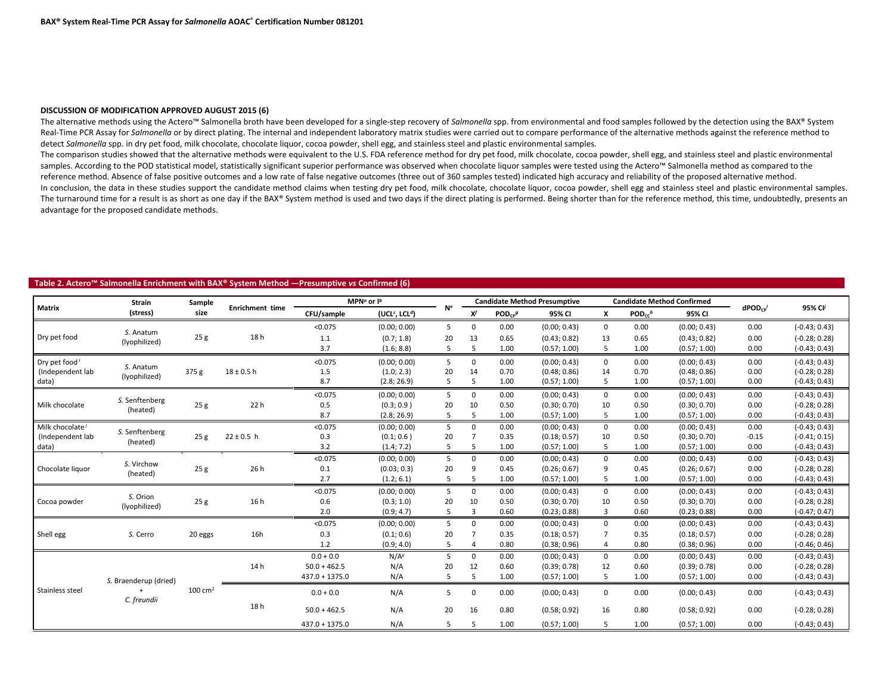#### **DISCUSSION OF MODIFICATION APPROVED AUGUST 2015 (6)**

The alternative methods using the Actero™ Salmonella broth have been developed for a single-step recovery of *Salmonella* spp. from environmental and food samples followed by the detection using the BAX® System Real-Time PCR Assay for *Salmonella* or by direct plating. The internal and independent laboratory matrix studies were carried out to compare performance of the alternative methods against the reference method to detect *Salmonella* spp. in dry pet food, milk chocolate, chocolate liquor, cocoa powder, shell egg, and stainless steel and plastic environmental samples.

The comparison studies showed that the alternative methods were equivalent to the U.S. FDA reference method for dry pet food, milk chocolate, cocoa powder, shell egg, and stainless steel and plastic environmental samples. According to the POD statistical model, statistically significant superior performance was observed when chocolate liquor samples were tested using the Actero™ Salmonella method as compared to the reference method. Absence of false positive outcomes and a low rate of false negative outcomes (three out of 360 samples tested) indicated high accuracy and reliability of the proposed alternative method. In conclusion, the data in these studies support the candidate method claims when testing dry pet food, milk chocolate, chocolate liquor, cocoa powder, shell egg and stainless steel and plastic environmental samples. The turnaround time for a result is as short as one day if the BAX® System method is used and two days if the direct plating is performed. Being shorter than for the reference method, this time, undoubtedly, presents an advantage for the proposed candidate methods.

#### **Table 2. Actero™ Salmonella Enrichment with BAX® System Method ―Presumptive** *vs* **Confirmed (6)**

|                             | <b>Strain</b>              | Sample             |                        |                  | MPN <sup>a</sup> or $I^b$              |                |          |                         | <b>Candidate Method Presumptive</b> |              |                         | <b>Candidate Method Confirmed</b> |                 |                     |
|-----------------------------|----------------------------|--------------------|------------------------|------------------|----------------------------------------|----------------|----------|-------------------------|-------------------------------------|--------------|-------------------------|-----------------------------------|-----------------|---------------------|
| <b>Matrix</b>               | (stress)                   | size               | <b>Enrichment time</b> | CFU/sample       | (UCL <sup>c</sup> , LCL <sup>d</sup> ) | N <sup>e</sup> | $\chi f$ | $POD_{CP}$ <sup>g</sup> | 95% CI                              | X            | $POD_{cc}$ <sup>h</sup> | 95% CI                            | $d$ POD $_{CP}$ | 95% Cl <sup>j</sup> |
|                             |                            |                    |                        | < 0.075          | (0.00; 0.00)                           | 5              | 0        | 0.00                    | (0.00; 0.43)                        | 0            | 0.00                    | (0.00; 0.43)                      | 0.00            | $(-0.43; 0.43)$     |
| Dry pet food                | S. Anatum<br>(lyophilized) | 25g                | 18h                    | 1.1              | (0.7; 1.8)                             | 20             | 13       | 0.65                    | (0.43; 0.82)                        | 13           | 0.65                    | (0.43; 0.82)                      | 0.00            | $(-0.28; 0.28)$     |
|                             |                            |                    |                        | 3.7              | (1.6; 8.8)                             | 5              | 5        | 1.00                    | (0.57; 1.00)                        | 5            | 1.00                    | (0.57; 1.00)                      | 0.00            | $(-0.43; 0.43)$     |
| Dry pet food <sup>1</sup>   | S. Anatum                  |                    |                        | < 0.075          | (0.00; 0.00)                           | 5              | 0        | 0.00                    | (0.00; 0.43)                        | $\mathbf{0}$ | 0.00                    | (0.00; 0.43)                      | 0.00            | $(-0.43; 0.43)$     |
| (Independent lab            | (lyophilized)              | 375 g              | $18 \pm 0.5$ h         | 1.5              | (1.0; 2.3)                             | 20             | 14       | 0.70                    | (0.48; 0.86)                        | 14           | 0.70                    | (0.48; 0.86)                      | 0.00            | $(-0.28; 0.28)$     |
| data)                       |                            |                    |                        | 8.7              | (2.8; 26.9)                            | 5              | 5        | 1.00                    | (0.57; 1.00)                        | 5            | 1.00                    | (0.57; 1.00)                      | 0.00            | $(-0.43; 0.43)$     |
|                             |                            |                    |                        | < 0.075          | (0.00; 0.00)                           | 5              | 0        | 0.00                    | (0.00; 0.43)                        | $\mathbf{0}$ | 0.00                    | (0.00; 0.43)                      | 0.00            | $(-0.43; 0.43)$     |
| Milk chocolate              | S. Senftenberg<br>(heated) | 25 <sub>g</sub>    | 22 h                   | 0.5              | (0.3; 0.9)                             | 20             | 10       | 0.50                    | (0.30; 0.70)                        | 10           | 0.50                    | (0.30; 0.70)                      | 0.00            | $(-0.28; 0.28)$     |
|                             |                            |                    |                        | 8.7              | (2.8; 26.9)                            | 5              | 5        | 1.00                    | (0.57; 1.00)                        | 5            | 1.00                    | (0.57; 1.00)                      | 0.00            | $(-0.43; 0.43)$     |
| Milk chocolate <sup>/</sup> |                            |                    |                        | < 0.075          | (0.00; 0.00)                           | 5              | $\Omega$ | 0.00                    | (0.00; 0.43)                        | $\mathbf 0$  | 0.00                    | (0.00; 0.43)                      | 0.00            | $(-0.43; 0.43)$     |
| (Independent lab            | S. Senftenberg<br>(heated) | 25g                | $22 \pm 0.5$ h         | 0.3              | (0.1; 0.6)                             | 20             |          | 0.35                    | (0.18; 0.57)                        | 10           | 0.50                    | (0.30; 0.70)                      | $-0.15$         | $(-0.41; 0.15)$     |
| data)                       |                            |                    |                        | 3.2              | (1.4; 7.2)                             | 5              | 5        | 1.00                    | (0.57; 1.00)                        | 5            | 1.00                    | (0.57; 1.00)                      | 0.00            | $(-0.43; 0.43)$     |
|                             | S. Virchow                 |                    |                        | < 0.075          | (0.00; 0.00)                           | 5              | 0        | 0.00                    | (0.00; 0.43)                        | 0            | 0.00                    | (0.00; 0.43)                      | 0.00            | $(-0.43; 0.43)$     |
| Chocolate liquor            | (heated)                   | 25g                | 26 h                   | 0.1              | (0.03; 0.3)                            | 20             | 9        | 0.45                    | (0.26; 0.67)                        | 9            | 0.45                    | (0.26; 0.67)                      | 0.00            | $(-0.28; 0.28)$     |
|                             |                            |                    |                        | 2.7              | (1.2; 6.1)                             | 5              | 5        | 1.00                    | (0.57; 1.00)                        | 5            | 1.00                    | (0.57; 1.00)                      | 0.00            | $(-0.43; 0.43)$     |
|                             | S. Orion                   |                    |                        | < 0.075          | (0.00; 0.00)                           | 5              | 0        | 0.00                    | (0.00; 0.43)                        | $\mathbf{0}$ | 0.00                    | (0.00; 0.43)                      | 0.00            | $(-0.43; 0.43)$     |
| Cocoa powder                | (lyophilized)              | 25g                | 16 h                   | 0.6              | (0.3; 1.0)                             | 20             | 10       | 0.50                    | (0.30; 0.70)                        | 10           | 0.50                    | (0.30; 0.70)                      | 0.00            | $(-0.28; 0.28)$     |
|                             |                            |                    |                        | 2.0              | (0.9; 4.7)                             | 5              | 3        | 0.60                    | (0.23; 0.88)                        | 3            | 0.60                    | (0.23; 0.88)                      | 0.00            | $(-0.47; 0.47)$     |
|                             |                            |                    |                        | < 0.075          | (0.00; 0.00)                           | 5              | $\Omega$ | 0.00                    | (0.00; 0.43)                        | $\mathbf{0}$ | 0.00                    | (0.00; 0.43)                      | 0.00            | $(-0.43; 0.43)$     |
| Shell egg                   | S. Cerro                   | 20 eggs            | 16h                    | 0.3              | (0.1; 0.6)                             | 20             |          | 0.35                    | (0.18; 0.57)                        |              | 0.35                    | (0.18; 0.57)                      | 0.00            | $(-0.28; 0.28)$     |
|                             |                            |                    |                        | 1.2              | (0.9; 4.0)                             | 5              |          | 0.80                    | (0.38; 0.96)                        | 4            | 0.80                    | (0.38; 0.96)                      | 0.00            | $(-0.46; 0.46)$     |
|                             |                            |                    |                        | $0.0 + 0.0$      | $N/A^k$                                | 5              | 0        | 0.00                    | (0.00; 0.43)                        | $\mathbf 0$  | 0.00                    | (0.00; 0.43)                      | 0.00            | $(-0.43; 0.43)$     |
|                             |                            |                    | 14 h                   | $50.0 + 462.5$   | N/A                                    | 20             | 12       | 0.60                    | (0.39; 0.78)                        | 12           | 0.60                    | (0.39; 0.78)                      | 0.00            | $(-0.28; 0.28)$     |
|                             | S. Braenderup (dried)      |                    |                        | $437.0 + 1375.0$ | N/A                                    | 5              | 5        | 1.00                    | (0.57; 1.00)                        | 5            | 1.00                    | (0.57; 1.00)                      | 0.00            | $(-0.43; 0.43)$     |
| Stainless steel             | $+$<br>C. freundii         | $100 \text{ cm}^2$ |                        | $0.0 + 0.0$      | N/A                                    | 5              | $\Omega$ | 0.00                    | (0.00; 0.43)                        | 0            | 0.00                    | (0.00; 0.43)                      | 0.00            | $(-0.43; 0.43)$     |
|                             |                            |                    | 18 h                   | $50.0 + 462.5$   | N/A                                    | 20             | 16       | 0.80                    | (0.58; 0.92)                        | 16           | 0.80                    | (0.58; 0.92)                      | 0.00            | $(-0.28; 0.28)$     |
|                             |                            |                    |                        | $437.0 + 1375.0$ | N/A                                    | 5              |          | 1.00                    | (0.57; 1.00)                        | 5            | 1.00                    | (0.57; 1.00)                      | 0.00            | $(-0.43; 0.43)$     |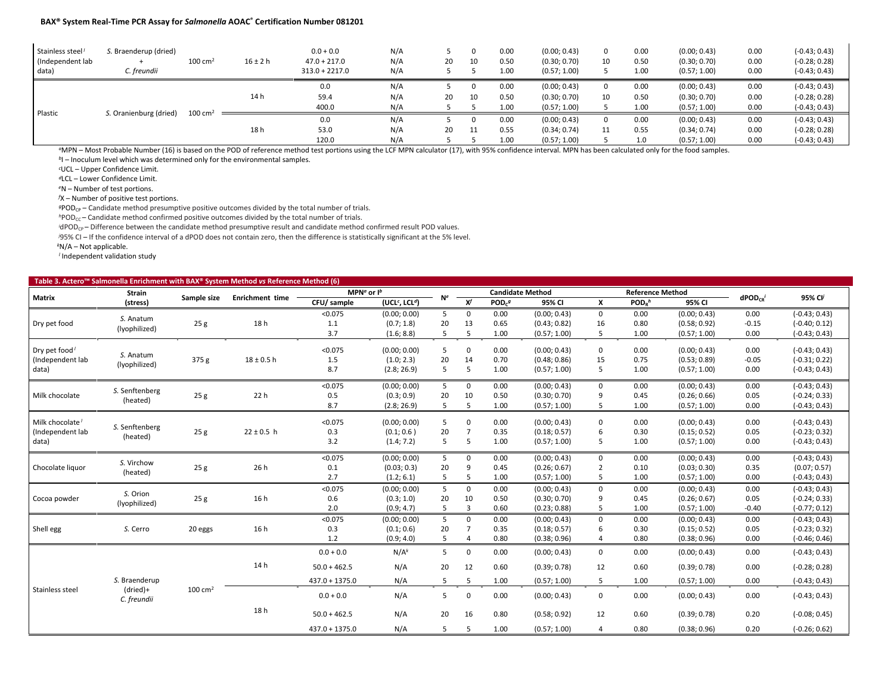| Stainless steel <sup>/</sup><br>(Independent lab<br>data) | S. Braenderup (dried)<br>C. freundii | $100 \text{ cm}^2$ | $16 \pm 2 h$ | $0.0 + 0.0$<br>$47.0 + 217.0$<br>$313.0 + 2217.0$ | N/A<br>N/A<br>N/A | 20 | 10 | 0.00<br>0.50<br>1.00 | (0.00; 0.43)<br>(0.30; 0.70)<br>(0.57; 1.00) | 10 | 0.00<br>0.50<br>1.00 | (0.00; 0.43)<br>(0.30; 0.70)<br>(0.57; 1.00) | 0.00<br>0.00<br>0.00 | $(-0.43; 0.43)$<br>$(-0.28; 0.28)$<br>$(-0.43; 0.43)$ |
|-----------------------------------------------------------|--------------------------------------|--------------------|--------------|---------------------------------------------------|-------------------|----|----|----------------------|----------------------------------------------|----|----------------------|----------------------------------------------|----------------------|-------------------------------------------------------|
|                                                           |                                      |                    |              | 0.0                                               | N/A               |    |    | 0.00                 | (0.00; 0.43)                                 |    | 0.00                 | (0.00; 0.43)                                 | 0.00                 | $(-0.43; 0.43)$                                       |
|                                                           |                                      |                    | 14 h         | 59.4                                              | N/A               | 20 | 10 | 0.50                 | (0.30; 0.70)                                 | 10 | 0.50                 | (0.30; 0.70)                                 | 0.00                 | $(-0.28; 0.28)$                                       |
|                                                           |                                      | $100 \text{ cm}^2$ |              | 400.0                                             | N/A               |    |    | 1.00                 | (0.57; 1.00)                                 |    | 1.00                 | (0.57; 1.00)                                 | 0.00                 | $(-0.43; 0.43)$                                       |
| Plastic<br>S. Oranienburg (dried)                         |                                      |                    |              | 0.0                                               | N/A               |    |    | 0.00                 | (0.00; 0.43)                                 |    | 0.00                 | (0.00; 0.43)                                 | 0.00                 | $(-0.43; 0.43)$                                       |
|                                                           |                                      |                    | 18 h         | 53.0                                              | N/A               | 20 | 11 | 0.55                 | (0.34; 0.74)                                 | 11 | 0.55                 | (0.34; 0.74)                                 | 0.00                 | $(-0.28; 0.28)$                                       |
|                                                           |                                      |                    |              | 120.0                                             | N/A               |    |    | 1.00                 | (0.57; 1.00)                                 |    | 1.0                  | (0.57; 1.00)                                 | 0.00                 | $(-0.43; 0.43)$                                       |

*<sup>a</sup>*MPN – Most Probable Number (16) is based on the POD of reference method test portions using the LCF MPN calculator (17), with 95% confidence interval. MPN has been calculated only for the food samples.

*<sup>b</sup>*I – Inoculum level which was determined only for the environmental samples.

*c* UCL – Upper Confidence Limit.

*<sup>d</sup>*LCL – Lower Confidence Limit.

*<sup>e</sup>*N – Number of test portions.

*f* X – Number of positive test portions.

*<sup>g</sup>*PODCP – Candidate method presumptive positive outcomes divided by the total number of trials.

*h*POD<sub>CC</sub> – Candidate method confirmed positive outcomes divided by the total number of trials.

*i*dPOD<sub>CP</sub> – Difference between the candidate method presumptive result and candidate method confirmed result POD values.

*j* 95% CI – If the confidence interval of a dPOD does not contain zero, then the difference is statistically significant at the 5% level.

*<sup>k</sup>*N/A – Not applicable.

*<sup>l</sup>* Independent validation study

| Table 3. Actero <sup>™</sup> Salmonella Enrichment with BAX® System Method vs Reference Method (6) |                            |                    |                        |                           |                                        |             |                           |                         |              |                |                         |              |                 |                 |
|----------------------------------------------------------------------------------------------------|----------------------------|--------------------|------------------------|---------------------------|----------------------------------------|-------------|---------------------------|-------------------------|--------------|----------------|-------------------------|--------------|-----------------|-----------------|
|                                                                                                    | Strain                     |                    |                        | MPN <sup>a</sup> or $I^b$ |                                        |             |                           | <b>Candidate Method</b> |              |                | <b>Reference Method</b> |              |                 |                 |
| Matrix                                                                                             | (stress)                   | Sample size        | <b>Enrichment time</b> | CFU/ sample               | (UCL <sup>c</sup> , LCL <sup>d</sup> ) | Ne.         | $\overline{\mathbf{x}^f}$ | POD <sub>c</sub> g      | 95% CI       | X              | $PODB$ h                | 95% CI       | $d$ POD $_{CR}$ | 95% CV          |
|                                                                                                    |                            |                    |                        | < 0.075                   | (0.00; 0.00)                           | 5           | 0                         | 0.00                    | (0.00; 0.43) | 0              | 0.00                    | (0.00; 0.43) | 0.00            | $(-0.43; 0.43)$ |
| Dry pet food                                                                                       | S. Anatum<br>(lyophilized) | 25g                | 18h                    | 1.1                       | (0.7; 1.8)                             | 20          | 13                        | 0.65                    | (0.43; 0.82) | 16             | 0.80                    | (0.58; 0.92) | $-0.15$         | $(-0.40; 0.12)$ |
|                                                                                                    |                            |                    |                        | 3.7                       | (1.6; 8.8)                             | 5           | 5                         | 1.00                    | (0.57; 1.00) | 5              | 1.00                    | (0.57; 1.00) | 0.00            | $(-0.43; 0.43)$ |
| Dry pet food <sup>/</sup>                                                                          |                            |                    |                        | < 0.075                   | (0.00; 0.00)                           | 5           | $\mathbf 0$               | 0.00                    | (0.00; 0.43) | 0              | 0.00                    | (0.00; 0.43) | 0.00            | $(-0.43; 0.43)$ |
| (Independent lab                                                                                   | S. Anatum                  | 375 g              | $18 \pm 0.5$ h         | 1.5                       | (1.0; 2.3)                             | 20          | 14                        | 0.70                    | (0.48; 0.86) | 15             | 0.75                    | (0.53; 0.89) | $-0.05$         | $(-0.31; 0.22)$ |
| data)                                                                                              | (lyophilized)              |                    |                        | 8.7                       | (2.8; 26.9)                            | 5           | 5                         | 1.00                    | (0.57; 1.00) | 5              | 1.00                    | (0.57; 1.00) | 0.00            | $(-0.43; 0.43)$ |
|                                                                                                    |                            |                    |                        | < 0.075                   | (0.00; 0.00)                           | 5           | $\mathbf 0$               | 0.00                    | (0.00; 0.43) | $\mathbf 0$    | 0.00                    | (0.00; 0.43) | 0.00            | $(-0.43; 0.43)$ |
| Milk chocolate                                                                                     | S. Senftenberg             | 25g                | 22 <sub>h</sub>        | 0.5                       | (0.3; 0.9)                             | 20          | 10                        | 0.50                    | (0.30; 0.70) | 9              | 0.45                    | (0.26; 0.66) | 0.05            | $(-0.24; 0.33)$ |
|                                                                                                    | (heated)                   |                    |                        | 8.7                       | (2.8; 26.9)                            | 5           | 5                         | 1.00                    | (0.57; 1.00) | 5              | 1.00                    | (0.57; 1.00) | 0.00            | $(-0.43; 0.43)$ |
| Milk chocolate <sup>1</sup>                                                                        |                            |                    |                        | < 0.075                   | (0.00; 0.00)                           | 5           | $\mathbf 0$               | 0.00                    | (0.00; 0.43) | 0              | 0.00                    | (0.00; 0.43) | 0.00            | $(-0.43; 0.43)$ |
| (Independent lab                                                                                   | S. Senftenberg             | 25g                | $22 \pm 0.5$ h         | 0.3                       | (0.1; 0.6)                             | 20          | $\overline{7}$            | 0.35                    | (0.18; 0.57) | 6              | 0.30                    | (0.15; 0.52) | 0.05            | $(-0.23; 0.32)$ |
| data)                                                                                              | (heated)                   |                    |                        | 3.2                       | (1.4; 7.2)                             | 5           | 5                         | 1.00                    | (0.57; 1.00) | 5              | 1.00                    | (0.57; 1.00) | 0.00            | $(-0.43; 0.43)$ |
| S. Virchow                                                                                         |                            |                    | < 0.075                | (0.00; 0.00)              | 5                                      | $\mathbf 0$ | 0.00                      | (0.00; 0.43)            | 0            | 0.00           | (0.00; 0.43)            | 0.00         | $(-0.43; 0.43)$ |                 |
| Chocolate liquor                                                                                   |                            | 25g                | 26 h                   | 0.1                       | (0.03; 0.3)                            | 20          | 9                         | 0.45                    | (0.26; 0.67) | $\overline{2}$ | 0.10                    | (0.03; 0.30) | 0.35            | (0.07; 0.57)    |
|                                                                                                    | (heated)                   |                    |                        | 2.7                       | (1.2; 6.1)                             | 5           | 5                         | 1.00                    | (0.57; 1.00) | 5              | 1.00                    | (0.57; 1.00) | 0.00            | $(-0.43; 0.43)$ |
|                                                                                                    | S. Orion                   |                    |                        | < 0.075                   | (0.00; 0.00)                           | 5           | 0                         | 0.00                    | (0.00; 0.43) | $\mathbf 0$    | 0.00                    | (0.00; 0.43) | 0.00            | $(-0.43; 0.43)$ |
| Cocoa powder                                                                                       | (lyophilized)              | 25g                | 16 h                   | 0.6                       | (0.3; 1.0)                             | 20          | 10                        | 0.50                    | (0.30; 0.70) | 9              | 0.45                    | (0.26; 0.67) | 0.05            | $(-0.24; 0.33)$ |
|                                                                                                    |                            |                    |                        | 2.0                       | (0.9; 4.7)                             | 5           | $\overline{3}$            | 0.60                    | (0.23; 0.88) | 5              | 1.00                    | (0.57; 1.00) | $-0.40$         | $(-0.77; 0.12)$ |
|                                                                                                    |                            |                    |                        | < 0.075                   | (0.00; 0.00)                           | 5           | $\mathbf 0$               | 0.00                    | (0.00; 0.43) | 0              | 0.00                    | (0.00; 0.43) | 0.00            | $(-0.43; 0.43)$ |
| Shell egg                                                                                          | S. Cerro                   | 20 eggs            | 16 h                   | 0.3                       | (0.1; 0.6)                             | 20          | $\overline{7}$            | 0.35                    | (0.18; 0.57) | 6              | 0.30                    | (0.15; 0.52) | 0.05            | $(-0.23; 0.32)$ |
|                                                                                                    |                            |                    |                        | 1.2                       | (0.9; 4.0)                             | 5           | $\overline{4}$            | 0.80                    | (0.38; 0.96) | 4              | 0.80                    | (0.38; 0.96) | 0.00            | $(-0.46; 0.46)$ |
|                                                                                                    |                            |                    |                        | $0.0 + 0.0$               | N/A <sup>k</sup>                       | 5           | $\mathbf 0$               | 0.00                    | (0.00; 0.43) | $\mathbf 0$    | 0.00                    | (0.00; 0.43) | 0.00            | $(-0.43; 0.43)$ |
|                                                                                                    |                            |                    | 14 h                   | $50.0 + 462.5$            | N/A                                    | 20          | 12                        | 0.60                    | (0.39; 0.78) | 12             | 0.60                    | (0.39; 0.78) | 0.00            | $(-0.28; 0.28)$ |
|                                                                                                    | S. Braenderup              |                    |                        | $437.0 + 1375.0$          | N/A                                    | 5           | 5                         | 1.00                    | (0.57; 1.00) | 5              | 1.00                    | (0.57; 1.00) | 0.00            | $(-0.43; 0.43)$ |
| Stainless steel                                                                                    | (dried)+<br>C. freundii    | $100 \text{ cm}^2$ |                        | $0.0 + 0.0$               | N/A                                    | 5           | $\mathbf 0$               | 0.00                    | (0.00; 0.43) | $\mathbf 0$    | 0.00                    | (0.00; 0.43) | 0.00            | $(-0.43; 0.43)$ |
|                                                                                                    |                            |                    | 18 h                   | $50.0 + 462.5$            | N/A                                    | 20          | 16                        | 0.80                    | (0.58; 0.92) | 12             | 0.60                    | (0.39; 0.78) | 0.20            | $(-0.08; 0.45)$ |
|                                                                                                    |                            |                    |                        | $437.0 + 1375.0$          | N/A                                    | 5           | 5                         | 1.00                    | (0.57; 1.00) | $\overline{4}$ | 0.80                    | (0.38; 0.96) | 0.20            | $(-0.26; 0.62)$ |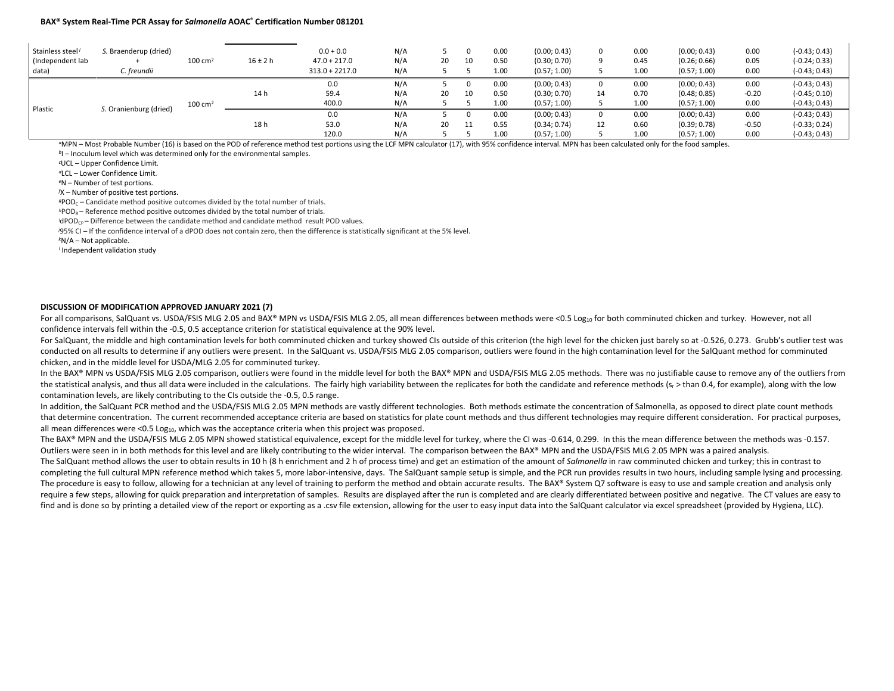| Stainless steel<br>(Independent lab<br>data) | S. Braenderup (dried)<br>C. freundii | $100 \text{ cm}^2$ | $16 \pm 2 h$         | $0.0 + 0.0$<br>$47.0 + 217.0$<br>$313.0 + 2217.0$ | N/A<br>N/A<br>N/A | 20 | 10                   | 0.00<br>0.50<br>1.00                         | (0.00; 0.43)<br>(0.30; 0.70)<br>(0.57; 1.00) |                      | 0.00<br>0.45<br>1.00                         | (0.00; 0.43)<br>(0.26; 0.66)<br>(0.57; 1.00) | 0.00<br>0.05<br>0.00                                  | $(-0.43; 0.43)$<br>$(-0.24; 0.33)$<br>$(-0.43; 0.43)$ |
|----------------------------------------------|--------------------------------------|--------------------|----------------------|---------------------------------------------------|-------------------|----|----------------------|----------------------------------------------|----------------------------------------------|----------------------|----------------------------------------------|----------------------------------------------|-------------------------------------------------------|-------------------------------------------------------|
|                                              | $100 \text{ cm}^2$                   | 14 h               | 0.0<br>59.4<br>400.0 | N/A<br>N/A<br>N/A                                 | 20                | 10 | 0.00<br>0.50<br>1.00 | (0.00; 0.43)<br>(0.30; 0.70)<br>(0.57; 1.00) | 14                                           | 0.00<br>0.70<br>1.00 | (0.00; 0.43)<br>(0.48; 0.85)<br>(0.57; 1.00) | 0.00<br>$-0.20$<br>0.00                      | $(-0.43; 0.43)$<br>$(-0.45; 0.10)$<br>$(-0.43; 0.43)$ |                                                       |
| <b>Plastic</b>                               | S. Oranienburg (dried)               |                    | 18 h                 | 0.0<br>53.0<br>120.0                              | N/A<br>N/A<br>N/A | 20 |                      | 0.00<br>0.55<br>1.00                         | (0.00; 0.43)<br>(0.34; 0.74)<br>(0.57; 1.00) | 12                   | 0.00<br>0.60<br>1.00                         | (0.00; 0.43)<br>(0.39; 0.78)<br>(0.57; 1.00) | 0.00<br>$-0.50$<br>0.00                               | $(-0.43; 0.43)$<br>$(-0.33; 0.24)$<br>$(-0.43; 0.43)$ |

*<sup>a</sup>*MPN – Most Probable Number (16) is based on the POD of reference method test portions using the LCF MPN calculator (17), with 95% confidence interval. MPN has been calculated only for the food samples.

<sup>b</sup>I – Inoculum level which was determined only for the environmental samples.

*c* UCL – Upper Confidence Limit.

*<sup>d</sup>*LCL – Lower Confidence Limit.

*<sup>e</sup>*N – Number of test portions.

*f* X – Number of positive test portions.

 $gPOD<sub>C</sub>$  – Candidate method positive outcomes divided by the total number of trials.

 $h$ POD<sub>R</sub> – Reference method positive outcomes divided by the total number of trials.

*i*dPOD<sub>CP</sub> – Difference between the candidate method and candidate method result POD values.

*j* 95% CI – If the confidence interval of a dPOD does not contain zero, then the difference is statistically significant at the 5% level.

*<sup>k</sup>*N/A – Not applicable.

*<sup>l</sup>* Independent validation study

#### **DISCUSSION OF MODIFICATION APPROVED JANUARY 2021 (7)**

For all comparisons, SalQuant vs. USDA/FSIS MLG 2.05 and BAX® MPN vs USDA/FSIS MLG 2.05, all mean differences between methods were <0.5 Log10 for both comminuted chicken and turkey. However, not all confidence intervals fell within the -0.5, 0.5 acceptance criterion for statistical equivalence at the 90% level.

For SalQuant, the middle and high contamination levels for both comminuted chicken and turkey showed CIs outside of this criterion (the high level for the chicken just barely so at -0.526, 0.273. Grubb's outlier test was conducted on all results to determine if any outliers were present. In the SalQuant vs. USDA/FSIS MLG 2.05 comparison, outliers were found in the high contamination level for the SalQuant method for comminuted chicken, and in the middle level for USDA/MLG 2.05 for comminuted turkey.

In the BAX® MPN vs USDA/FSIS MLG 2.05 comparison, outliers were found in the middle level for both the BAX® MPN and USDA/FSIS MLG 2.05 methods. There was no justifiable cause to remove any of the outliers from the statistical analysis, and thus all data were included in the calculations. The fairly high variability between the replicates for both the candidate and reference methods (sr > than 0.4, for example), along with the lo contamination levels, are likely contributing to the CIs outside the -0.5, 0.5 range.

In addition, the SalQuant PCR method and the USDA/FSIS MLG 2.05 MPN methods are vastly different technologies. Both methods estimate the concentration of Salmonella, as opposed to direct plate count methods that determine concentration. The current recommended acceptance criteria are based on statistics for plate count methods and thus different technologies may require different consideration. For practical purposes, all mean differences were <0.5  $Log<sub>10</sub>$ , which was the acceptance criteria when this project was proposed.

The BAX® MPN and the USDA/FSIS MLG 2.05 MPN showed statistical equivalence, except for the middle level for turkey, where the CI was -0.614, 0.299. In this the mean difference between the methods was -0.157. Outliers were seen in in both methods for this level and are likely contributing to the wider interval. The comparison between the BAX® MPN and the USDA/FSIS MLG 2.05 MPN was a paired analysis.

The SalQuant method allows the user to obtain results in 10 h (8 h enrichment and 2 h of process time) and get an estimation of the amount of *Salmonella* in raw comminuted chicken and turkey; this in contrast to completing the full cultural MPN reference method which takes 5, more labor-intensive, days. The SalQuant sample setup is simple, and the PCR run provides results in two hours, including sample lysing and processing. The procedure is easy to follow, allowing for a technician at any level of training to perform the method and obtain accurate results. The BAX® System Q7 software is easy to use and sample creation and analysis only require a few steps, allowing for quick preparation and interpretation of samples. Results are displayed after the run is completed and are clearly differentiated between positive and negative. The CT values are easy to find and is done so by printing a detailed view of the report or exporting as a .csv file extension, allowing for the user to easy input data into the SalQuant calculator via excel spreadsheet (provided by Hygiena, LLC).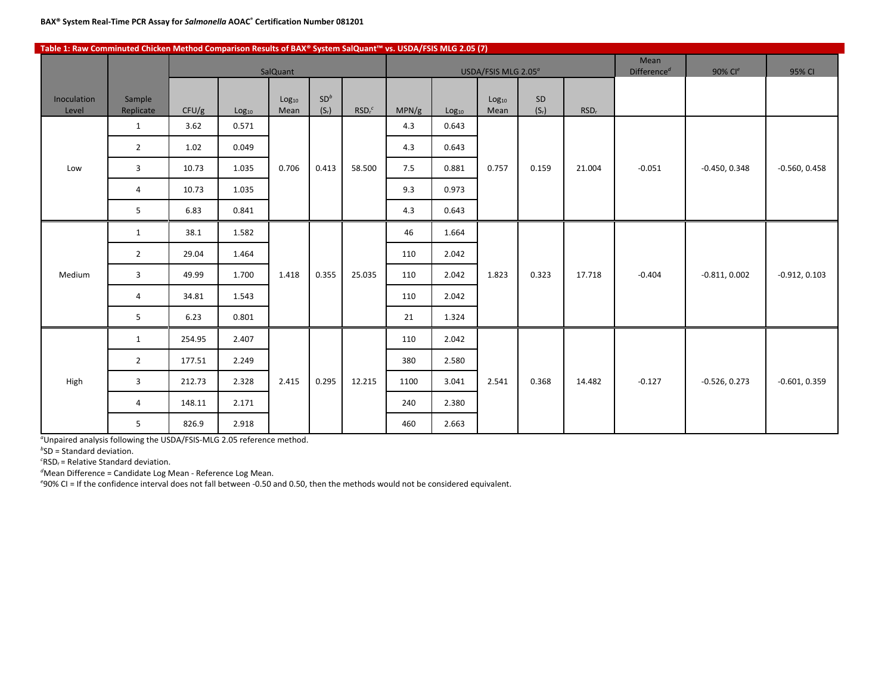#### **Table 1: Raw Comminuted Chicken Method Comparison Results of BAX® System SalQuant™ vs. USDA/FSIS MLG 2.05 (7)**

|                      |                     |        |                   | SalQuant                  |                            |                               |       |                   | USDA/FSIS MLG 2.05 <sup>a</sup> |               |                  | Mean<br>Difference <sup>d</sup> | 90% Cle         | 95% CI          |
|----------------------|---------------------|--------|-------------------|---------------------------|----------------------------|-------------------------------|-------|-------------------|---------------------------------|---------------|------------------|---------------------------------|-----------------|-----------------|
| Inoculation<br>Level | Sample<br>Replicate | CFU/g  | Log <sub>10</sub> | Log <sub>10</sub><br>Mean | SD <sup>b</sup><br>$(S_r)$ | RSD <sub>r</sub> <sup>c</sup> | MPN/g | Log <sub>10</sub> | Log <sub>10</sub><br>Mean       | SD<br>$(S_r)$ | RSD <sub>r</sub> |                                 |                 |                 |
|                      | $\mathbf{1}$        | 3.62   | 0.571             |                           |                            |                               | 4.3   | 0.643             |                                 |               |                  |                                 |                 |                 |
|                      | $\overline{2}$      | 1.02   | 0.049             |                           |                            |                               | 4.3   | 0.643             |                                 |               |                  |                                 |                 |                 |
| Low                  | $\overline{3}$      | 10.73  | 1.035             | 0.706                     | 0.413                      | 58.500                        | 7.5   | 0.881             | 0.757                           | 0.159         | 21.004           | $-0.051$                        | $-0.450, 0.348$ | $-0.560, 0.458$ |
|                      | $\overline{4}$      | 10.73  | 1.035             |                           |                            |                               | 9.3   | 0.973             |                                 |               |                  |                                 |                 |                 |
|                      | 5                   | 6.83   | 0.841             |                           |                            |                               | 4.3   | 0.643             |                                 |               |                  |                                 |                 |                 |
|                      | $\mathbf{1}$        | 38.1   | 1.582             |                           |                            |                               | 46    | 1.664             |                                 |               |                  |                                 |                 |                 |
|                      | $\overline{2}$      | 29.04  | 1.464             |                           |                            |                               | 110   | 2.042             |                                 |               |                  |                                 |                 |                 |
| Medium               | 3                   | 49.99  | 1.700             | 1.418                     | 0.355                      | 25.035                        | 110   | 2.042             | 1.823                           | 0.323         | 17.718           | $-0.404$                        | $-0.811, 0.002$ | $-0.912, 0.103$ |
|                      | 4                   | 34.81  | 1.543             |                           |                            |                               | 110   | 2.042             |                                 |               |                  |                                 |                 |                 |
|                      | 5                   | 6.23   | 0.801             |                           |                            |                               | 21    | 1.324             |                                 |               |                  |                                 |                 |                 |
|                      | $\mathbf{1}$        | 254.95 | 2.407             |                           |                            |                               | 110   | 2.042             |                                 |               |                  |                                 |                 |                 |
|                      | $\overline{2}$      | 177.51 | 2.249             |                           |                            |                               | 380   | 2.580             |                                 |               |                  |                                 |                 |                 |
| High                 | 3                   | 212.73 | 2.328             | 2.415                     | 0.295                      | 12.215                        | 1100  | 3.041             | 2.541                           | 0.368         | 14.482           | $-0.127$                        | $-0.526, 0.273$ | $-0.601, 0.359$ |
|                      | 4                   | 148.11 | 2.171             |                           |                            |                               | 240   | 2.380             |                                 |               |                  |                                 |                 |                 |
|                      | 5                   | 826.9  | 2.918             |                           |                            |                               | 460   | 2.663             |                                 |               |                  |                                 |                 |                 |

*a* Unpaired analysis following the USDA/FSIS-MLG 2.05 reference method.

*b* SD = Standard deviation.

*c* RSDr = Relative Standard deviation.

*d* Mean Difference = Candidate Log Mean - Reference Log Mean.

*e* 90% CI = If the confidence interval does not fall between -0.50 and 0.50, then the methods would not be considered equivalent.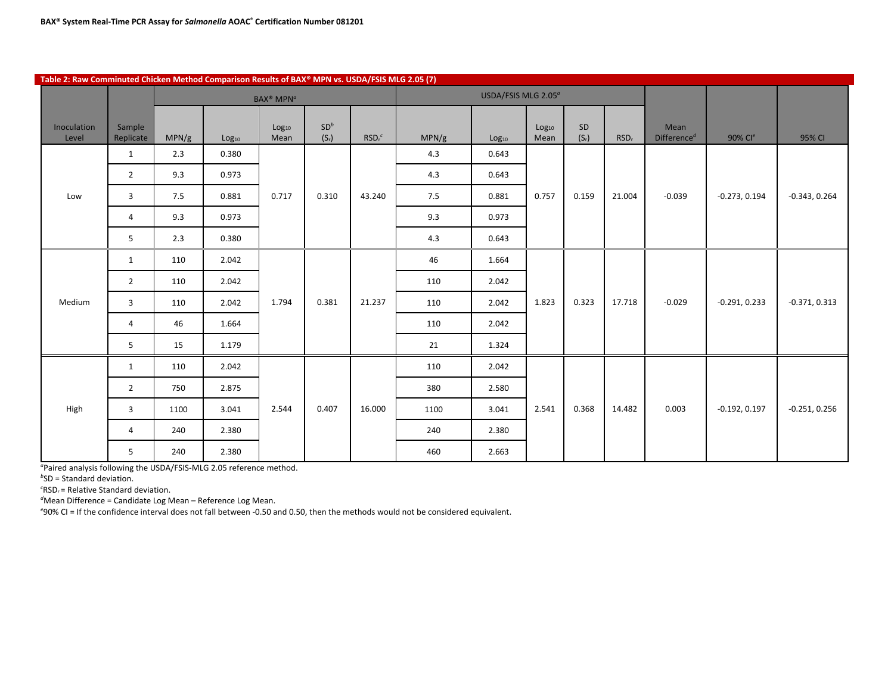| Table 2: Raw Comminuted Chicken Method Comparison Results of BAX® MPN vs. USDA/FSIS MLG 2.05 (7) |                     |       |                   |                                        |                            |                               |       |                                 |                           |               |                  |                                              |                     |                 |
|--------------------------------------------------------------------------------------------------|---------------------|-------|-------------------|----------------------------------------|----------------------------|-------------------------------|-------|---------------------------------|---------------------------|---------------|------------------|----------------------------------------------|---------------------|-----------------|
|                                                                                                  |                     |       |                   | <b>BAX<sup>®</sup> MPN<sup>a</sup></b> |                            |                               |       | USDA/FSIS MLG 2.05 <sup>a</sup> |                           |               |                  |                                              |                     |                 |
| Inoculation<br>Level                                                                             | Sample<br>Replicate | MPN/g | Log <sub>10</sub> | Log <sub>10</sub><br>Mean              | SD <sup>b</sup><br>$(S_r)$ | RSD <sub>r</sub> <sup>c</sup> | MPN/g | Log <sub>10</sub>               | Log <sub>10</sub><br>Mean | SD<br>$(S_r)$ | RSD <sub>r</sub> | Mean<br>Difference <sup><math>d</math></sup> | 90% Cl <sup>e</sup> | 95% CI          |
|                                                                                                  | $\mathbf{1}$        | 2.3   | 0.380             |                                        |                            |                               | 4.3   | 0.643                           |                           |               |                  |                                              |                     |                 |
|                                                                                                  | $\overline{2}$      | 9.3   | 0.973             |                                        |                            |                               | 4.3   | 0.643                           |                           |               |                  |                                              |                     |                 |
| Low                                                                                              | $\overline{3}$      | 7.5   | 0.881             | 0.717                                  | 0.310                      | 43.240                        | 7.5   | 0.881                           | 0.757                     | 0.159         | 21.004           | $-0.039$                                     | $-0.273, 0.194$     | $-0.343, 0.264$ |
|                                                                                                  | $\overline{4}$      | 9.3   | 0.973             |                                        |                            |                               | 9.3   | 0.973                           |                           |               |                  |                                              |                     |                 |
|                                                                                                  | 5                   | 2.3   | 0.380             |                                        |                            |                               | 4.3   | 0.643                           |                           |               |                  |                                              |                     |                 |
|                                                                                                  | 1                   | 110   | 2.042             |                                        |                            |                               | 46    | 1.664                           |                           |               |                  |                                              |                     |                 |
|                                                                                                  | $\overline{2}$      | 110   | 2.042             |                                        |                            |                               | 110   | 2.042                           |                           |               |                  |                                              |                     |                 |
| Medium                                                                                           | 3                   | 110   | 2.042             | 1.794                                  | 0.381                      | 21.237                        | 110   | 2.042                           | 1.823                     | 0.323         | 17.718           | $-0.029$                                     | $-0.291, 0.233$     | $-0.371, 0.313$ |
|                                                                                                  | 4                   | 46    | 1.664             |                                        |                            |                               | 110   | 2.042                           |                           |               |                  |                                              |                     |                 |
|                                                                                                  | 5                   | 15    | 1.179             |                                        |                            |                               | 21    | 1.324                           |                           |               |                  |                                              |                     |                 |
|                                                                                                  | $\mathbf{1}$        | 110   | 2.042             |                                        |                            |                               | 110   | 2.042                           |                           |               |                  |                                              |                     |                 |
|                                                                                                  | $\overline{2}$      | 750   | 2.875             |                                        |                            |                               | 380   | 2.580                           |                           |               |                  |                                              |                     |                 |
| High                                                                                             | $\mathbf{3}$        | 1100  | 3.041             | 2.544                                  | 0.407                      | 16.000                        | 1100  | 3.041                           | 2.541                     | 0.368         | 14.482           | 0.003                                        | $-0.192, 0.197$     | $-0.251, 0.256$ |
|                                                                                                  | $\overline{4}$      | 240   | 2.380             |                                        |                            |                               | 240   | 2.380                           |                           |               |                  |                                              |                     |                 |
|                                                                                                  | 5                   | 240   | 2.380             |                                        |                            |                               | 460   | 2.663                           |                           |               |                  |                                              |                     |                 |

*a* Paired analysis following the USDA/FSIS-MLG 2.05 reference method.

*b* SD = Standard deviation.

*c* RSDr = Relative Standard deviation.

*d* Mean Difference = Candidate Log Mean – Reference Log Mean. *e* 90% CI = If the confidence interval does not fall between -0.50 and 0.50, then the methods would not be considered equivalent.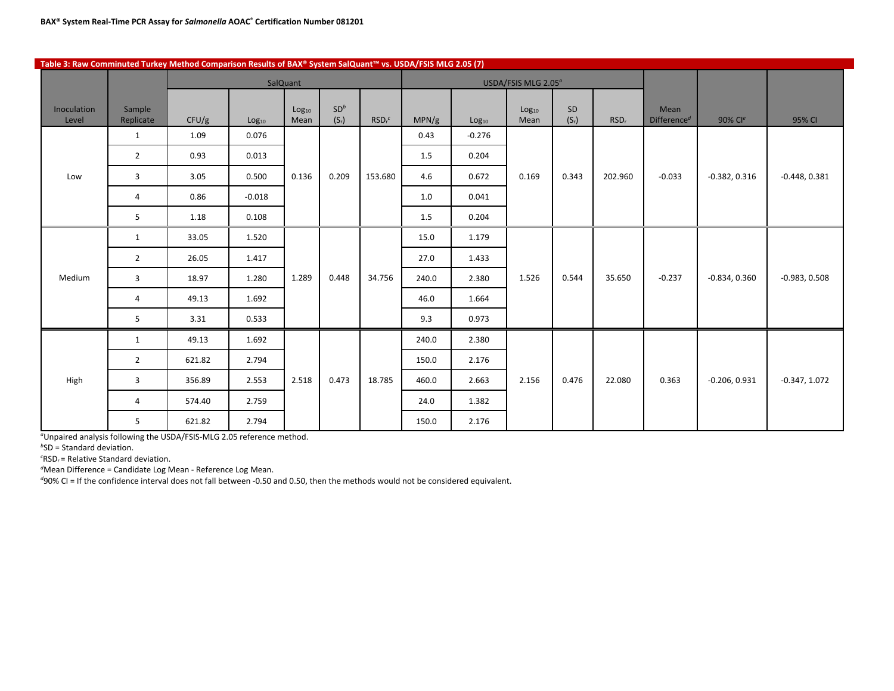| Table 3: Raw Comminuted Turkey Method Comparison Results of BAX® System SalQuant™ vs. USDA/FSIS MLG 2.05 (7) |                     |        |                   |                           |                            |                               |       |                   |                                 |               |                  |                                              |                 |                 |
|--------------------------------------------------------------------------------------------------------------|---------------------|--------|-------------------|---------------------------|----------------------------|-------------------------------|-------|-------------------|---------------------------------|---------------|------------------|----------------------------------------------|-----------------|-----------------|
|                                                                                                              |                     |        |                   | SalQuant                  |                            |                               |       |                   | USDA/FSIS MLG 2.05 <sup>°</sup> |               |                  |                                              |                 |                 |
| Inoculation<br>Level                                                                                         | Sample<br>Replicate | CFU/g  | Log <sub>10</sub> | Log <sub>10</sub><br>Mean | SD <sup>b</sup><br>$(S_r)$ | RSD <sub>r</sub> <sup>c</sup> | MPN/g | Log <sub>10</sub> | Log <sub>10</sub><br>Mean       | SD<br>$(S_r)$ | RSD <sub>r</sub> | Mean<br>Difference <sup><math>d</math></sup> | 90% Cle         | 95% CI          |
|                                                                                                              | $\mathbf{1}$        | 1.09   | 0.076             |                           |                            |                               | 0.43  | $-0.276$          |                                 |               |                  |                                              |                 |                 |
|                                                                                                              | $\overline{2}$      | 0.93   | 0.013             |                           |                            |                               | 1.5   | 0.204             |                                 |               |                  |                                              |                 |                 |
| Low                                                                                                          | 3                   | 3.05   | 0.500             | 0.136                     | 0.209                      | 153.680                       | 4.6   | 0.672             | 0.169                           | 0.343         | 202.960          | $-0.033$                                     | $-0.382, 0.316$ | $-0.448, 0.381$ |
|                                                                                                              | 4                   | 0.86   | $-0.018$          |                           |                            |                               | 1.0   | 0.041             |                                 |               |                  |                                              |                 |                 |
|                                                                                                              | 5                   | 1.18   | 0.108             |                           |                            |                               | 1.5   | 0.204             |                                 |               |                  |                                              |                 |                 |
|                                                                                                              | $\mathbf{1}$        | 33.05  | 1.520             |                           |                            |                               | 15.0  | 1.179             |                                 |               |                  |                                              |                 |                 |
|                                                                                                              | $\overline{2}$      | 26.05  | 1.417             |                           |                            |                               | 27.0  | 1.433             |                                 |               |                  |                                              |                 |                 |
| Medium                                                                                                       | 3                   | 18.97  | 1.280             | 1.289                     | 0.448                      | 34.756                        | 240.0 | 2.380             | 1.526                           | 0.544         | 35.650           | $-0.237$                                     | $-0.834, 0.360$ | $-0.983, 0.508$ |
|                                                                                                              | $\overline{4}$      | 49.13  | 1.692             |                           |                            |                               | 46.0  | 1.664             |                                 |               |                  |                                              |                 |                 |
|                                                                                                              | 5                   | 3.31   | 0.533             |                           |                            |                               | 9.3   | 0.973             |                                 |               |                  |                                              |                 |                 |
|                                                                                                              | $\mathbf{1}$        | 49.13  | 1.692             |                           |                            |                               | 240.0 | 2.380             |                                 |               |                  |                                              |                 |                 |
|                                                                                                              | $\overline{2}$      | 621.82 | 2.794             |                           |                            |                               | 150.0 | 2.176             |                                 |               |                  |                                              |                 |                 |
| High                                                                                                         | 3                   | 356.89 | 2.553             | 2.518                     | 0.473                      | 18.785                        | 460.0 | 2.663             | 2.156                           | 0.476         | 22.080           | 0.363                                        | $-0.206, 0.931$ | $-0.347, 1.072$ |
|                                                                                                              | 4                   | 574.40 | 2.759             |                           |                            |                               | 24.0  | 1.382             |                                 |               |                  |                                              |                 |                 |
|                                                                                                              | 5                   | 621.82 | 2.794             |                           |                            |                               | 150.0 | 2.176             |                                 |               |                  |                                              |                 |                 |

*a* Unpaired analysis following the USDA/FSIS-MLG 2.05 reference method.

*b* SD = Standard deviation.

*c* RSDr = Relative Standard deviation.

*d* Mean Difference = Candidate Log Mean - Reference Log Mean.

*d* 90% CI = If the confidence interval does not fall between -0.50 and 0.50, then the methods would not be considered equivalent.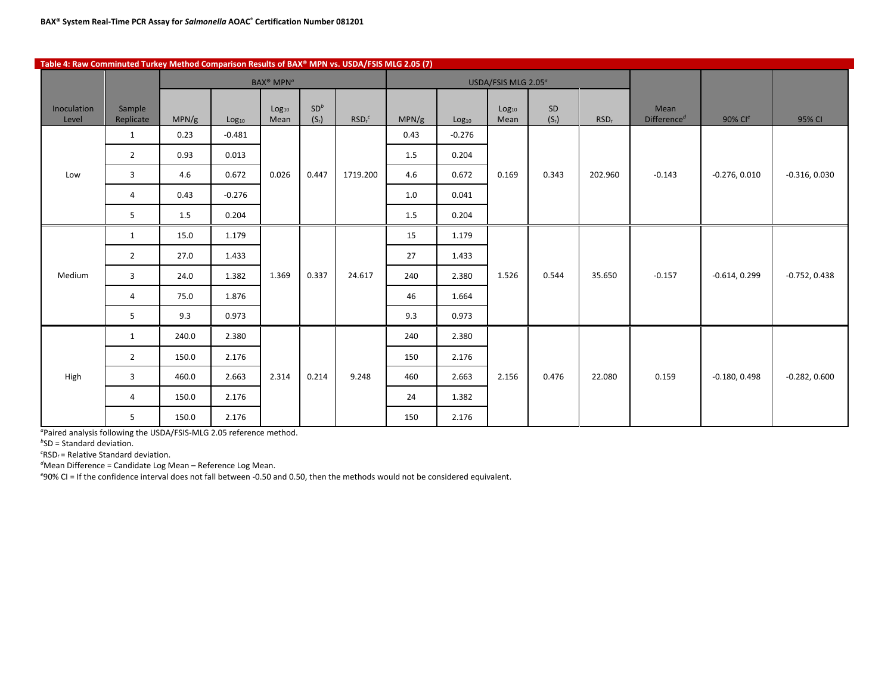| Table 4: Raw Comminuted Turkey Method Comparison Results of BAX® MPN vs. USDA/FSIS MLG 2.05 (7) |                     |       |                   |                                        |                            |                               |       |                   |                                 |               |                  |                                 |                     |                 |
|-------------------------------------------------------------------------------------------------|---------------------|-------|-------------------|----------------------------------------|----------------------------|-------------------------------|-------|-------------------|---------------------------------|---------------|------------------|---------------------------------|---------------------|-----------------|
|                                                                                                 |                     |       |                   | <b>BAX<sup>®</sup> MPN<sup>a</sup></b> |                            |                               |       |                   | USDA/FSIS MLG 2.05 <sup>a</sup> |               |                  |                                 |                     |                 |
| Inoculation<br>Level                                                                            | Sample<br>Replicate | MPN/g | Log <sub>10</sub> | Log <sub>10</sub><br>Mean              | SD <sup>b</sup><br>$(S_r)$ | RSD <sub>r</sub> <sup>c</sup> | MPN/g | Log <sub>10</sub> | Log <sub>10</sub><br>Mean       | SD<br>$(S_r)$ | RSD <sub>r</sub> | Mean<br>Difference <sup>d</sup> | 90% Cl <sup>e</sup> | 95% CI          |
|                                                                                                 | $\mathbf{1}$        | 0.23  | $-0.481$          |                                        |                            |                               | 0.43  | $-0.276$          |                                 |               |                  |                                 |                     |                 |
|                                                                                                 | $\overline{2}$      | 0.93  | 0.013             |                                        |                            |                               | 1.5   | 0.204             |                                 |               |                  |                                 |                     |                 |
| Low                                                                                             | 3                   | 4.6   | 0.672             | 0.026                                  | 0.447                      | 1719.200                      | 4.6   | 0.672             | 0.169                           | 0.343         | 202.960          | $-0.143$                        | $-0.276, 0.010$     | $-0.316, 0.030$ |
|                                                                                                 | 4                   | 0.43  | $-0.276$          |                                        |                            |                               | 1.0   | 0.041             |                                 |               |                  |                                 |                     |                 |
|                                                                                                 | 5                   | 1.5   | 0.204             |                                        |                            |                               | 1.5   | 0.204             |                                 |               |                  |                                 |                     |                 |
|                                                                                                 | $\mathbf{1}$        | 15.0  | 1.179             |                                        |                            |                               | 15    | 1.179             |                                 |               |                  |                                 |                     |                 |
|                                                                                                 | $\overline{2}$      | 27.0  | 1.433             |                                        |                            |                               | 27    | 1.433             |                                 |               |                  |                                 |                     |                 |
| Medium                                                                                          | 3                   | 24.0  | 1.382             | 1.369                                  | 0.337                      | 24.617                        | 240   | 2.380             | 1.526                           | 0.544         | 35.650           | $-0.157$                        | $-0.614, 0.299$     | $-0.752, 0.438$ |
|                                                                                                 | $\overline{4}$      | 75.0  | 1.876             |                                        |                            |                               | 46    | 1.664             |                                 |               |                  |                                 |                     |                 |
|                                                                                                 | 5                   | 9.3   | 0.973             |                                        |                            |                               | 9.3   | 0.973             |                                 |               |                  |                                 |                     |                 |
|                                                                                                 | $\mathbf{1}$        | 240.0 | 2.380             |                                        |                            |                               | 240   | 2.380             |                                 |               |                  |                                 |                     |                 |
|                                                                                                 | $\overline{2}$      | 150.0 | 2.176             |                                        |                            |                               | 150   | 2.176             |                                 |               |                  |                                 |                     |                 |
| High                                                                                            | $\overline{3}$      | 460.0 | 2.663             | 2.314                                  | 0.214                      | 9.248                         | 460   | 2.663             | 2.156                           | 0.476         | 22.080           | 0.159                           | $-0.180, 0.498$     | $-0.282, 0.600$ |
|                                                                                                 | 4                   | 150.0 | 2.176             |                                        |                            |                               | 24    | 1.382             |                                 |               |                  |                                 |                     |                 |
|                                                                                                 | 5                   | 150.0 | 2.176             |                                        |                            |                               | 150   | 2.176             |                                 |               |                  |                                 |                     |                 |

*a* Paired analysis following the USDA/FSIS-MLG 2.05 reference method.

*b* SD = Standard deviation.

*c* RSDr = Relative Standard deviation.

*d* Mean Difference = Candidate Log Mean – Reference Log Mean.

*e* 90% CI = If the confidence interval does not fall between -0.50 and 0.50, then the methods would not be considered equivalent.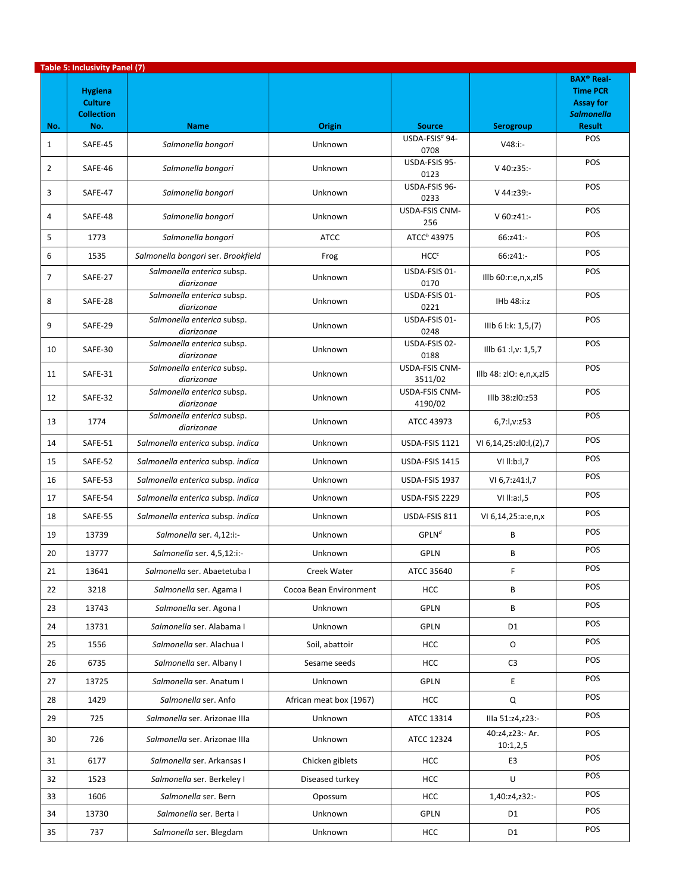|                | <b>Table 5: Inclusivity Panel (7)</b>                        |                                          |                         |                                    |                             |                                                                                                           |
|----------------|--------------------------------------------------------------|------------------------------------------|-------------------------|------------------------------------|-----------------------------|-----------------------------------------------------------------------------------------------------------|
| No.            | <b>Hygiena</b><br><b>Culture</b><br><b>Collection</b><br>No. | <b>Name</b>                              | Origin                  | <b>Source</b>                      | Serogroup                   | <b>BAX<sup>®</sup> Real-</b><br><b>Time PCR</b><br><b>Assay for</b><br><b>Salmonella</b><br><b>Result</b> |
| $\mathbf{1}$   | SAFE-45                                                      | Salmonella bongori                       | Unknown                 | USDA-FSIS <sup>a</sup> 94-<br>0708 | $V48: i:-$                  | POS                                                                                                       |
| $\overline{2}$ | SAFE-46                                                      | Salmonella bongori                       | Unknown                 | USDA-FSIS 95-<br>0123              | $V$ 40:z35:-                | POS                                                                                                       |
| 3              | SAFE-47                                                      | Salmonella bongori                       | Unknown                 | USDA-FSIS 96-<br>0233              | V 44:z39:-                  | POS                                                                                                       |
| 4              | SAFE-48                                                      | Salmonella bongori                       | Unknown                 | USDA-FSIS CNM-<br>256              | $V$ 60:z41:-                | POS                                                                                                       |
| 5              | 1773                                                         | Salmonella bongori                       | <b>ATCC</b>             | ATCC <sup>b</sup> 43975            | 66:z41:-                    | POS                                                                                                       |
| 6              | 1535                                                         | Salmonella bongori ser. Brookfield       | Frog                    | HCC <sup>c</sup>                   | 66:z41:-                    | POS                                                                                                       |
| 7              | SAFE-27                                                      | Salmonella enterica subsp.<br>diarizonae | Unknown                 | USDA-FSIS 01-<br>0170              | Illb $60:$ r:e,n,x,zl $5$   | POS                                                                                                       |
| 8              | SAFE-28                                                      | Salmonella enterica subsp.<br>diarizonae | Unknown                 | USDA-FSIS 01-<br>0221              | IHb 48:i:z                  | POS                                                                                                       |
| 9              | SAFE-29                                                      | Salmonella enterica subsp.<br>diarizonae | Unknown                 | USDA-FSIS 01-<br>0248              | IIIb 6 l:k: 1,5,(7)         | POS                                                                                                       |
| 10             | SAFE-30                                                      | Salmonella enterica subsp.<br>diarizonae | Unknown                 | USDA-FSIS 02-<br>0188              | Illb 61 :l,v: 1,5,7         | POS                                                                                                       |
| 11             | SAFE-31                                                      | Salmonella enterica subsp.<br>diarizonae | Unknown                 | USDA-FSIS CNM-<br>3511/02          | Illb 48: zlO: e,n,x,zl5     | POS                                                                                                       |
| 12             | SAFE-32                                                      | Salmonella enterica subsp.<br>diarizonae | Unknown                 | USDA-FSIS CNM-<br>4190/02          | Illb 38:zl0:z53             | POS                                                                                                       |
| 13             | 1774                                                         | Salmonella enterica subsp.<br>diarizonae | Unknown                 | ATCC 43973                         | 6,7:1,v:z53                 | POS                                                                                                       |
| 14             | SAFE-51                                                      | Salmonella enterica subsp. indica        | Unknown                 | USDA-FSIS 1121                     | VI 6,14,25:zl0:l,(2),7      | POS                                                                                                       |
| 15             | SAFE-52                                                      | Salmonella enterica subsp. indica        | Unknown                 | USDA-FSIS 1415                     | VI II:b:I,7                 | POS                                                                                                       |
| 16             | SAFE-53                                                      | Salmonella enterica subsp. indica        | Unknown                 | USDA-FSIS 1937                     | VI 6,7:z41:I,7              | POS                                                                                                       |
| 17             | SAFE-54                                                      | Salmonella enterica subsp. indica        | Unknown                 | USDA-FSIS 2229                     | VI II: a: I, 5              | POS                                                                                                       |
| 18             | SAFE-55                                                      | Salmonella enterica subsp. indica        | <b>Unknown</b>          | USDA-FSIS 811                      | VI 6,14,25:a:e,n,x          | POS                                                                                                       |
| 19             | 13739                                                        | Salmonella ser. 4,12:i:-                 | Unknown                 | $GPLN^d$                           | B                           | POS                                                                                                       |
| 20             | 13777                                                        | Salmonella ser. 4,5,12:i:-               | Unknown                 | <b>GPLN</b>                        | B                           | POS                                                                                                       |
| 21             | 13641                                                        | Salmonella ser. Abaetetuba I             | Creek Water             | ATCC 35640                         | F                           | POS                                                                                                       |
| 22             | 3218                                                         | Salmonella ser. Agama I                  | Cocoa Bean Environment  | <b>HCC</b>                         | B                           | POS                                                                                                       |
| 23             | 13743                                                        | Salmonella ser. Agona I                  | <b>Unknown</b>          | <b>GPLN</b>                        | B                           | POS                                                                                                       |
| 24             | 13731                                                        | Salmonella ser. Alabama I                | Unknown                 | <b>GPLN</b>                        | D1                          | <b>POS</b>                                                                                                |
| 25             | 1556                                                         | Salmonella ser. Alachua I                | Soil, abattoir          | <b>HCC</b>                         | O                           | POS                                                                                                       |
| 26             | 6735                                                         | Salmonella ser. Albany I                 | Sesame seeds            | <b>HCC</b>                         | C <sub>3</sub>              | POS                                                                                                       |
| 27             | 13725                                                        | Salmonella ser. Anatum I                 | Unknown                 | <b>GPLN</b>                        | E                           | <b>POS</b>                                                                                                |
| 28             | 1429                                                         | Salmonella ser. Anfo                     | African meat box (1967) | <b>HCC</b>                         | Q                           | POS                                                                                                       |
| 29             | 725                                                          | Salmonella ser. Arizonae IIIa            | Unknown                 | ATCC 13314                         | IIIa 51:z4,z23:-            | <b>POS</b>                                                                                                |
| 30             | 726                                                          | Salmonella ser. Arizonae IIIa            | Unknown                 | ATCC 12324                         | 40:z4,z23:- Ar.<br>10:1,2,5 | <b>POS</b>                                                                                                |
| 31             | 6177                                                         | Salmonella ser. Arkansas I               | Chicken giblets         | <b>HCC</b>                         | E3                          | POS                                                                                                       |
| 32             | 1523                                                         | Salmonella ser. Berkeley I               | Diseased turkey         | <b>HCC</b>                         | U                           | <b>POS</b>                                                                                                |
| 33             | 1606                                                         | Salmonella ser. Bern                     | Opossum                 | <b>HCC</b>                         | 1,40:z4,z32:-               | <b>POS</b>                                                                                                |
| 34             | 13730                                                        | Salmonella ser. Berta I                  | Unknown                 | <b>GPLN</b>                        | D1                          | <b>POS</b>                                                                                                |
| 35             | 737                                                          | Salmonella ser. Blegdam                  | Unknown                 | HCC                                | D1                          | POS                                                                                                       |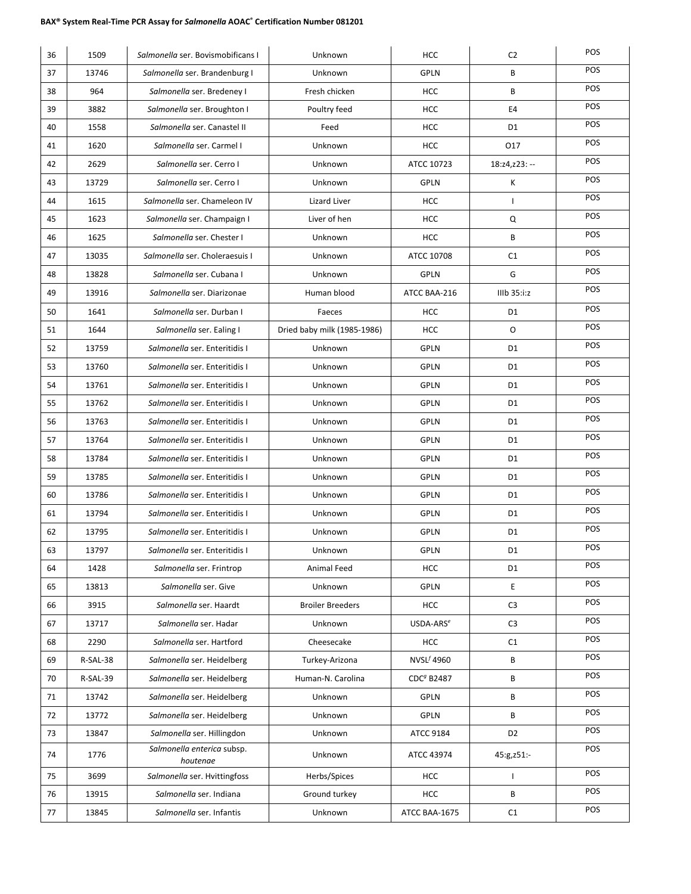| 36 | 1509     | Salmonella ser. Bovismobificans I      | Unknown                     | <b>HCC</b>             | C <sub>2</sub> | POS        |
|----|----------|----------------------------------------|-----------------------------|------------------------|----------------|------------|
| 37 | 13746    | Salmonella ser. Brandenburg I          | Unknown                     | <b>GPLN</b>            | В              | POS        |
| 38 | 964      | Salmonella ser. Bredeney I             | Fresh chicken               | <b>HCC</b>             | B              | POS        |
| 39 | 3882     | Salmonella ser. Broughton I            | Poultry feed                | <b>HCC</b>             | E4             | POS        |
| 40 | 1558     | Salmonella ser. Canastel II            | Feed                        | <b>HCC</b>             | D1             | POS        |
| 41 | 1620     | Salmonella ser. Carmel I               | Unknown                     | <b>HCC</b>             | 017            | POS        |
| 42 | 2629     | Salmonella ser. Cerro I                | Unknown                     | ATCC 10723             | 18:z4,z23: --  | POS        |
| 43 | 13729    | Salmonella ser. Cerro I                | Unknown                     | <b>GPLN</b>            | Κ              | POS        |
| 44 | 1615     | Salmonella ser. Chameleon IV           | Lizard Liver                | <b>HCC</b>             | $\mathbf{I}$   | POS        |
| 45 | 1623     | Salmonella ser. Champaign I            | Liver of hen                | <b>HCC</b>             | Q              | POS        |
| 46 | 1625     | Salmonella ser. Chester I              | Unknown                     | <b>HCC</b>             | В              | POS        |
| 47 | 13035    | Salmonella ser. Choleraesuis I         | Unknown                     | ATCC 10708             | C1             | POS        |
| 48 | 13828    | Salmonella ser. Cubana I               | Unknown                     | <b>GPLN</b>            | G              | POS        |
| 49 | 13916    | Salmonella ser. Diarizonae             | Human blood                 | ATCC BAA-216           | IIIb 35:i:z    | POS        |
| 50 | 1641     | Salmonella ser. Durban I               | Faeces                      | <b>HCC</b>             | D1             | POS        |
| 51 | 1644     | Salmonella ser. Ealing I               | Dried baby milk (1985-1986) | <b>HCC</b>             | O              | POS        |
| 52 | 13759    | Salmonella ser. Enteritidis I          | Unknown                     | <b>GPLN</b>            | D <sub>1</sub> | POS        |
| 53 | 13760    | Salmonella ser. Enteritidis I          | Unknown                     | GPLN                   | D1             | POS        |
| 54 | 13761    | Salmonella ser. Enteritidis I          | Unknown                     | <b>GPLN</b>            | D1             | POS        |
| 55 | 13762    | Salmonella ser. Enteritidis I          | Unknown                     | <b>GPLN</b>            | D1             | POS        |
| 56 | 13763    | Salmonella ser. Enteritidis I          | Unknown                     | <b>GPLN</b>            | D1             | POS        |
| 57 | 13764    | Salmonella ser. Enteritidis I          | Unknown                     | <b>GPLN</b>            | D1             | POS        |
| 58 | 13784    | Salmonella ser. Enteritidis I          | Unknown                     | <b>GPLN</b>            | D1             | POS        |
| 59 | 13785    | Salmonella ser. Enteritidis I          | Unknown                     | <b>GPLN</b>            | D1             | POS        |
| 60 | 13786    | Salmonella ser. Enteritidis I          | Unknown                     | <b>GPLN</b>            | D1             | POS        |
| 61 | 13794    | Salmonella ser. Enteritidis I          | Unknown                     | <b>GPLN</b>            | D1             | POS        |
| 62 | 13795    | Salmonella ser. Enteritidis I          | Unknown                     | <b>GPLN</b>            | D1             | POS        |
| 63 | 13797    | Salmonella ser. Enteritidis I          | Unknown                     | GPLN                   | D1             | <b>POS</b> |
| 64 | 1428     | Salmonella ser. Frintrop               | Animal Feed                 | <b>HCC</b>             | D1             | POS        |
| 65 | 13813    | Salmonella ser. Give                   | Unknown                     | <b>GPLN</b>            | Ε              | POS        |
| 66 | 3915     | Salmonella ser. Haardt                 | <b>Broiler Breeders</b>     | <b>HCC</b>             | C <sub>3</sub> | POS        |
| 67 | 13717    | Salmonella ser. Hadar                  | Unknown                     | USDA-ARS <sup>e</sup>  | C <sub>3</sub> | POS        |
| 68 | 2290     | Salmonella ser. Hartford               | Cheesecake                  | <b>HCC</b>             | C1             | POS        |
| 69 | R-SAL-38 | Salmonella ser. Heidelberg             | Turkey-Arizona              | $NVSL^{f}$ 4960        | В              | POS        |
| 70 | R-SAL-39 | Salmonella ser. Heidelberg             | Human-N. Carolina           | CDC <sup>g</sup> B2487 | В              | POS        |
| 71 | 13742    | Salmonella ser. Heidelberg             | Unknown                     | <b>GPLN</b>            | В              | POS        |
| 72 | 13772    | Salmonella ser. Heidelberg             | Unknown                     | GPLN                   | В              | POS        |
| 73 | 13847    | Salmonella ser. Hillingdon             | Unknown                     | ATCC 9184              | D <sub>2</sub> | POS        |
| 74 | 1776     | Salmonella enterica subsp.<br>houtenae | Unknown                     | ATCC 43974             | 45:g,z51:-     | POS        |
| 75 | 3699     | Salmonella ser. Hvittingfoss           | Herbs/Spices                | <b>HCC</b>             | $\mathbf{I}$   | POS        |
| 76 | 13915    | Salmonella ser. Indiana                | Ground turkey               | HCC                    | В              | POS        |
| 77 | 13845    | Salmonella ser. Infantis               | Unknown                     | ATCC BAA-1675          | C1             | POS        |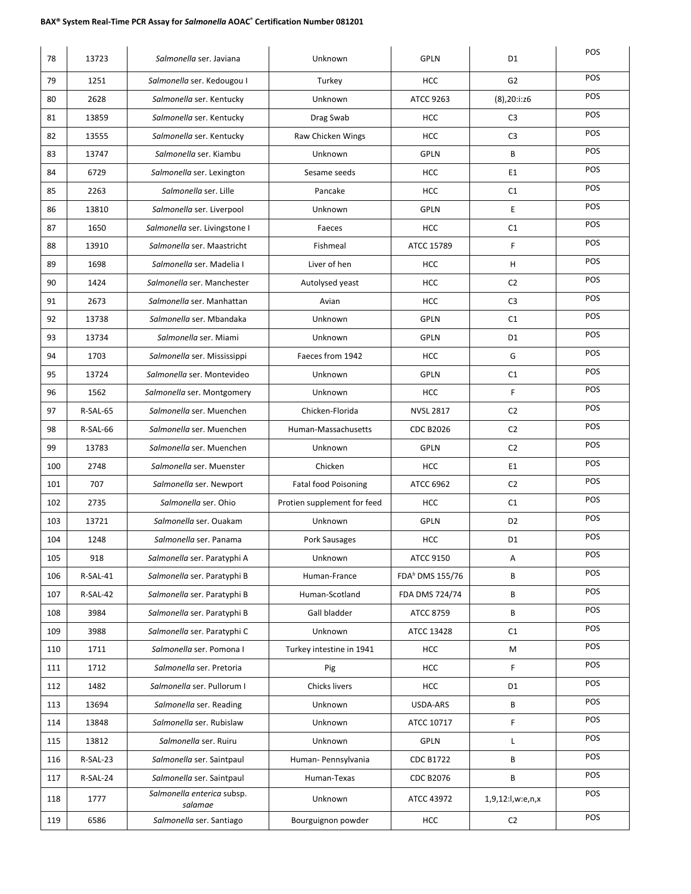| 78  | 13723    | Salmonella ser. Javiana               | Unknown                     | <b>GPLN</b>                 | D <sub>1</sub>     | POS        |
|-----|----------|---------------------------------------|-----------------------------|-----------------------------|--------------------|------------|
| 79  | 1251     | Salmonella ser. Kedougou I            | Turkey                      | <b>HCC</b>                  | G <sub>2</sub>     | POS        |
| 80  | 2628     | Salmonella ser. Kentucky              | Unknown                     | ATCC 9263                   | $(8)$ , 20:i: $z6$ | POS        |
| 81  | 13859    | Salmonella ser. Kentucky              | Drag Swab                   | <b>HCC</b>                  | C <sub>3</sub>     | POS        |
| 82  | 13555    | Salmonella ser. Kentucky              | Raw Chicken Wings           | <b>HCC</b>                  | C <sub>3</sub>     | POS        |
| 83  | 13747    | Salmonella ser. Kiambu                | Unknown                     | <b>GPLN</b>                 | B                  | POS        |
| 84  | 6729     | Salmonella ser. Lexington             | Sesame seeds                | <b>HCC</b>                  | E1                 | POS        |
| 85  | 2263     | Salmonella ser. Lille                 | Pancake                     | <b>HCC</b>                  | C1                 | POS        |
| 86  | 13810    | Salmonella ser. Liverpool             | Unknown                     | <b>GPLN</b>                 | E                  | POS        |
| 87  | 1650     | Salmonella ser. Livingstone I         | Faeces                      | <b>HCC</b>                  | C1                 | POS        |
| 88  | 13910    | Salmonella ser. Maastricht            | Fishmeal                    | ATCC 15789                  | F.                 | POS        |
| 89  | 1698     | Salmonella ser. Madelia I             | Liver of hen                | <b>HCC</b>                  | н                  | POS        |
| 90  | 1424     | Salmonella ser. Manchester            | Autolysed yeast             | <b>HCC</b>                  | C <sub>2</sub>     | POS        |
| 91  | 2673     | Salmonella ser. Manhattan             | Avian                       | <b>HCC</b>                  | C <sub>3</sub>     | POS        |
| 92  | 13738    | Salmonella ser. Mbandaka              | Unknown                     | <b>GPLN</b>                 | C1                 | POS        |
| 93  | 13734    | Salmonella ser. Miami                 | Unknown                     | <b>GPLN</b>                 | D <sub>1</sub>     | POS        |
| 94  | 1703     | Salmonella ser. Mississippi           | Faeces from 1942            | <b>HCC</b>                  | G                  | POS        |
| 95  | 13724    | Salmonella ser. Montevideo            | Unknown                     | <b>GPLN</b>                 | C1                 | POS        |
| 96  | 1562     | Salmonella ser. Montgomery            | Unknown                     | <b>HCC</b>                  | F                  | POS        |
| 97  | R-SAL-65 | Salmonella ser. Muenchen              | Chicken-Florida             | <b>NVSL 2817</b>            | C <sub>2</sub>     | POS        |
| 98  | R-SAL-66 | Salmonella ser. Muenchen              | Human-Massachusetts         | <b>CDC B2026</b>            | C <sub>2</sub>     | POS        |
| 99  | 13783    | Salmonella ser. Muenchen              | Unknown                     | <b>GPLN</b>                 | C <sub>2</sub>     | POS        |
| 100 | 2748     | Salmonella ser. Muenster              | Chicken                     | <b>HCC</b>                  | E1                 | POS        |
| 101 | 707      | Salmonella ser. Newport               | <b>Fatal food Poisoning</b> | ATCC 6962                   | C <sub>2</sub>     | POS        |
| 102 | 2735     | Salmonella ser. Ohio                  | Protien supplement for feed | <b>HCC</b>                  | C1                 | POS        |
| 103 | 13721    | Salmonella ser. Ouakam                | Unknown                     | <b>GPLN</b>                 | D <sub>2</sub>     | POS        |
| 104 | 1248     | Salmonella ser. Panama                | Pork Sausages               | <b>HCC</b>                  | D1                 | POS        |
| 105 | 918      | Salmonella ser. Paratyphi A           | Unknown                     | <b>ATCC 9150</b>            | Α                  | POS        |
| 106 | R-SAL-41 | Salmonella ser. Paratyphi B           | Human-France                | FDA <sup>h</sup> DMS 155/76 | В                  | POS        |
| 107 | R-SAL-42 | Salmonella ser. Paratyphi B           | Human-Scotland              | FDA DMS 724/74              | В                  | POS        |
| 108 | 3984     | Salmonella ser. Paratyphi B           | Gall bladder                | ATCC 8759                   | B                  | POS        |
| 109 | 3988     | Salmonella ser. Paratyphi C           | Unknown                     | ATCC 13428                  | C1                 | <b>POS</b> |
| 110 | 1711     | Salmonella ser. Pomona I              | Turkey intestine in 1941    | HCC                         | М                  | POS        |
| 111 | 1712     | Salmonella ser. Pretoria              | Pig                         | <b>HCC</b>                  | F                  | POS        |
| 112 | 1482     | Salmonella ser. Pullorum I            | Chicks livers               | <b>HCC</b>                  | D1                 | POS        |
| 113 | 13694    | Salmonella ser. Reading               | Unknown                     | USDA-ARS                    | В                  | POS        |
| 114 | 13848    | Salmonella ser. Rubislaw              | Unknown                     | ATCC 10717                  | F                  | POS        |
| 115 | 13812    | Salmonella ser. Ruiru                 | Unknown                     | <b>GPLN</b>                 | L                  | POS        |
| 116 | R-SAL-23 | Salmonella ser. Saintpaul             | Human- Pennsylvania         | <b>CDC B1722</b>            | В                  | POS        |
| 117 | R-SAL-24 | Salmonella ser. Saintpaul             | Human-Texas                 | <b>CDC B2076</b>            | В                  | POS        |
| 118 | 1777     | Salmonella enterica subsp.<br>salamae | Unknown                     | ATCC 43972                  | 1,9,12:l,w:e,n,x   | POS        |
| 119 | 6586     | Salmonella ser. Santiago              | Bourguignon powder          | <b>HCC</b>                  | C <sub>2</sub>     | POS        |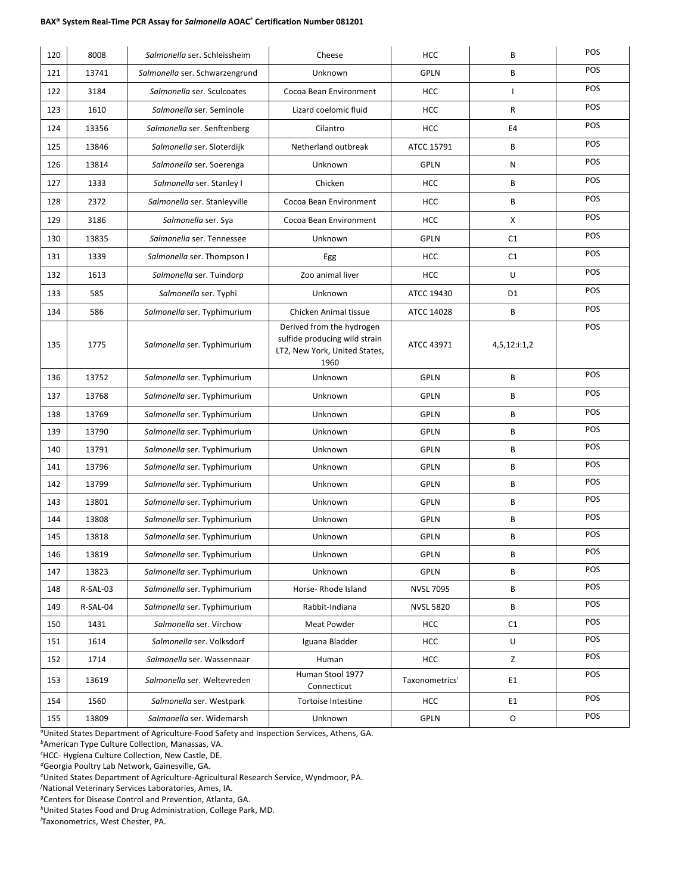| 120 | 8008     | Salmonella ser. Schleissheim   | Cheese                                                                                              | <b>HCC</b>                 | B              | POS        |
|-----|----------|--------------------------------|-----------------------------------------------------------------------------------------------------|----------------------------|----------------|------------|
| 121 | 13741    | Salmonella ser. Schwarzengrund | Unknown                                                                                             | <b>GPLN</b>                | B              | POS        |
| 122 | 3184     | Salmonella ser. Sculcoates     | Cocoa Bean Environment                                                                              | <b>HCC</b>                 | $\mathbf{I}$   | POS        |
| 123 | 1610     | Salmonella ser. Seminole       | Lizard coelomic fluid                                                                               | <b>HCC</b>                 | R              | POS        |
| 124 | 13356    | Salmonella ser. Senftenberg    | Cilantro                                                                                            | <b>HCC</b>                 | E4             | POS        |
| 125 | 13846    | Salmonella ser. Sloterdijk     | Netherland outbreak                                                                                 | ATCC 15791                 | B              | POS        |
| 126 | 13814    | Salmonella ser. Soerenga       | Unknown                                                                                             | <b>GPLN</b>                | N              | POS        |
| 127 | 1333     | Salmonella ser. Stanley I      | Chicken                                                                                             | <b>HCC</b>                 | B              | POS        |
| 128 | 2372     | Salmonella ser. Stanleyville   | Cocoa Bean Environment                                                                              | <b>HCC</b>                 | B              | POS        |
| 129 | 3186     | Salmonella ser. Sya            | Cocoa Bean Environment                                                                              | <b>HCC</b>                 | X              | POS        |
| 130 | 13835    | Salmonella ser. Tennessee      | Unknown                                                                                             | <b>GPLN</b>                | C1             | POS        |
| 131 | 1339     | Salmonella ser. Thompson I     | Egg                                                                                                 | <b>HCC</b>                 | C1             | POS        |
| 132 | 1613     | Salmonella ser. Tuindorp       | Zoo animal liver                                                                                    | <b>HCC</b>                 | U              | POS        |
| 133 | 585      | Salmonella ser. Typhi          | Unknown                                                                                             | ATCC 19430                 | D <sub>1</sub> | POS        |
| 134 | 586      | Salmonella ser. Typhimurium    | Chicken Animal tissue                                                                               | ATCC 14028                 | B              | POS        |
| 135 | 1775     | Salmonella ser. Typhimurium    | Derived from the hydrogen<br>sulfide producing wild strain<br>LT2, New York, United States,<br>1960 | ATCC 43971                 | 4,5,12:i:1,2   | POS        |
| 136 | 13752    | Salmonella ser. Typhimurium    | Unknown                                                                                             | <b>GPLN</b>                | B              | POS        |
| 137 | 13768    | Salmonella ser. Typhimurium    | Unknown                                                                                             | <b>GPLN</b>                | B              | POS        |
| 138 | 13769    | Salmonella ser. Typhimurium    | Unknown                                                                                             | <b>GPLN</b>                | B              | POS        |
| 139 | 13790    | Salmonella ser. Typhimurium    | Unknown                                                                                             | <b>GPLN</b>                | B              | POS        |
| 140 | 13791    | Salmonella ser. Typhimurium    | Unknown                                                                                             | <b>GPLN</b>                | B              | POS        |
| 141 | 13796    | Salmonella ser. Typhimurium    | Unknown                                                                                             | <b>GPLN</b>                | B              | POS        |
| 142 | 13799    | Salmonella ser. Typhimurium    | Unknown                                                                                             | <b>GPLN</b>                | В              | POS        |
| 143 | 13801    | Salmonella ser. Typhimurium    | Unknown                                                                                             | <b>GPLN</b>                | B              | POS        |
| 144 | 13808    | Salmonella ser. Typhimurium    | Unknown                                                                                             | <b>GPLN</b>                | B              | POS        |
| 145 | 13818    | Salmonella ser. Typhimurium    | Unknown                                                                                             | <b>GPLN</b>                | B              | POS        |
| 146 | 13819    | Salmonella ser. Typhimurium    | Unknown                                                                                             | GPLN                       | В              | POS        |
| 147 | 13823    | Salmonella ser. Typhimurium    | Unknown                                                                                             | <b>GPLN</b>                | В              | <b>POS</b> |
| 148 | R-SAL-03 | Salmonella ser. Typhimurium    | Horse-Rhode Island                                                                                  | <b>NVSL 7095</b>           | В              | POS        |
| 149 | R-SAL-04 | Salmonella ser. Typhimurium    | Rabbit-Indiana                                                                                      | <b>NVSL 5820</b>           | В              | <b>POS</b> |
| 150 | 1431     | Salmonella ser. Virchow        | Meat Powder                                                                                         | <b>HCC</b>                 | C1             | POS        |
| 151 | 1614     | Salmonella ser. Volksdorf      | Iguana Bladder                                                                                      | <b>HCC</b>                 | U              | <b>POS</b> |
| 152 | 1714     | Salmonella ser. Wassennaar     | Human                                                                                               | HCC                        | Z              | <b>POS</b> |
| 153 | 13619    | Salmonella ser. Weltevreden    | Human Stool 1977<br>Connecticut                                                                     | Taxonometrics <sup>i</sup> | E1             | POS        |
| 154 | 1560     | Salmonella ser. Westpark       | Tortoise Intestine                                                                                  | HCC                        | E1             | POS        |
| 155 | 13809    | Salmonella ser. Widemarsh      | Unknown                                                                                             | GPLN                       | 0              | POS        |

*a* United States Department of Agriculture-Food Safety and Inspection Services, Athens, GA.

*b* American Type Culture Collection, Manassas, VA.

*c* HCC- Hygiena Culture Collection, New Castle, DE.

*d* Georgia Poultry Lab Network, Gainesville, GA.

*e* United States Department of Agriculture-Agricultural Research Service, Wyndmoor, PA.

*f* National Veterinary Services Laboratories, Ames, IA.

*g* Centers for Disease Control and Prevention, Atlanta, GA.

*h* United States Food and Drug Administration, College Park, MD.

*i* Taxonometrics, West Chester, PA.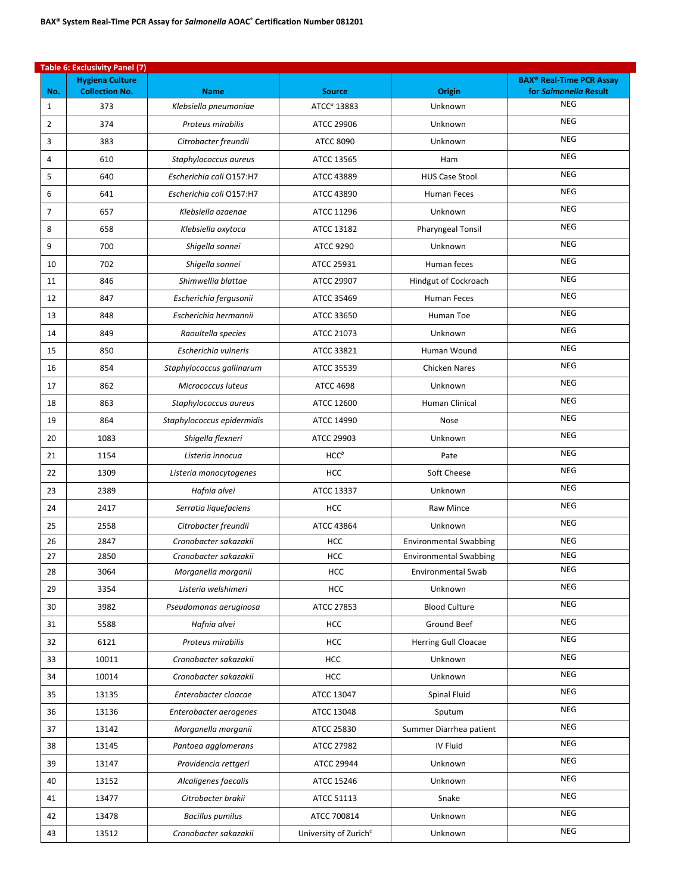|     | <b>Table 6: Exclusivity Panel (7)</b>           |                            |                                   |                               |                                                                     |  |  |  |
|-----|-------------------------------------------------|----------------------------|-----------------------------------|-------------------------------|---------------------------------------------------------------------|--|--|--|
| No. | <b>Hygiena Culture</b><br><b>Collection No.</b> | <b>Name</b>                | <b>Source</b>                     | Origin                        | <b>BAX<sup>®</sup> Real-Time PCR Assay</b><br>for Salmonella Result |  |  |  |
| 1   | 373                                             | Klebsiella pneumoniae      | ATCC <sup>a</sup> 13883           | Unknown                       | <b>NEG</b>                                                          |  |  |  |
| 2   | 374                                             | Proteus mirabilis          | ATCC 29906                        | Unknown                       | <b>NEG</b>                                                          |  |  |  |
| 3   | 383                                             | Citrobacter freundii       | <b>ATCC 8090</b>                  | Unknown                       | <b>NEG</b>                                                          |  |  |  |
| 4   | 610                                             | Staphylococcus aureus      | ATCC 13565                        | Ham                           | <b>NEG</b>                                                          |  |  |  |
| 5   | 640                                             | Escherichia coli O157:H7   | ATCC 43889                        | <b>HUS Case Stool</b>         | <b>NEG</b>                                                          |  |  |  |
| 6   | 641                                             | Escherichia coli O157:H7   | ATCC 43890                        | Human Feces                   | <b>NEG</b>                                                          |  |  |  |
| 7   | 657                                             | Klebsiella ozaenae         | ATCC 11296                        | Unknown                       | <b>NEG</b>                                                          |  |  |  |
| 8   | 658                                             | Klebsiella oxytoca         | ATCC 13182                        | <b>Pharyngeal Tonsil</b>      | <b>NEG</b>                                                          |  |  |  |
| 9   | 700                                             | Shigella sonnei            | <b>ATCC 9290</b>                  | Unknown                       | <b>NEG</b>                                                          |  |  |  |
| 10  | 702                                             | Shigella sonnei            | ATCC 25931                        | Human feces                   | <b>NEG</b>                                                          |  |  |  |
| 11  | 846                                             | Shimwellia blattae         | ATCC 29907                        | Hindgut of Cockroach          | <b>NEG</b>                                                          |  |  |  |
| 12  | 847                                             | Escherichia fergusonii     | ATCC 35469                        | <b>Human Feces</b>            | <b>NEG</b>                                                          |  |  |  |
| 13  | 848                                             | Escherichia hermannii      | ATCC 33650                        | Human Toe                     | <b>NEG</b>                                                          |  |  |  |
| 14  | 849                                             | Raoultella species         | ATCC 21073                        | Unknown                       | <b>NEG</b>                                                          |  |  |  |
| 15  | 850                                             | Escherichia vulneris       | ATCC 33821                        | Human Wound                   | <b>NEG</b>                                                          |  |  |  |
| 16  | 854                                             | Staphylococcus gallinarum  | ATCC 35539                        | <b>Chicken Nares</b>          | <b>NEG</b>                                                          |  |  |  |
| 17  | 862                                             | Micrococcus luteus         | <b>ATCC 4698</b>                  | Unknown                       | <b>NEG</b>                                                          |  |  |  |
| 18  | 863                                             | Staphylococcus aureus      | ATCC 12600                        | Human Clinical                | <b>NEG</b>                                                          |  |  |  |
| 19  | 864                                             | Staphylococcus epidermidis | ATCC 14990                        | Nose                          | <b>NEG</b>                                                          |  |  |  |
| 20  | 1083                                            | Shigella flexneri          | ATCC 29903                        | Unknown                       | <b>NEG</b>                                                          |  |  |  |
| 21  | 1154                                            | Listeria innocua           | $HCC^b$                           | Pate                          | <b>NEG</b>                                                          |  |  |  |
| 22  | 1309                                            | Listeria monocytogenes     | <b>HCC</b>                        | Soft Cheese                   | <b>NEG</b>                                                          |  |  |  |
| 23  | 2389                                            | Hafnia alvei               | ATCC 13337                        | Unknown                       | <b>NEG</b>                                                          |  |  |  |
| 24  | 2417                                            | Serratia liquefaciens      | <b>HCC</b>                        | Raw Mince                     | <b>NEG</b>                                                          |  |  |  |
| 25  | 2558                                            | Citrobacter freundii       | ATCC 43864                        | Unknown                       | <b>NEG</b>                                                          |  |  |  |
| 26  | 2847                                            | Cronobacter sakazakii      | <b>HCC</b>                        | <b>Environmental Swabbing</b> | <b>NEG</b>                                                          |  |  |  |
| 27  | 2850                                            | Cronobacter sakazakii      | <b>HCC</b>                        | <b>Environmental Swabbing</b> | <b>NEG</b>                                                          |  |  |  |
| 28  | 3064                                            | Morganella morganii        | HCC                               | Environmental Swab            | NEG                                                                 |  |  |  |
| 29  | 3354                                            | Listeria welshimeri        | <b>HCC</b>                        | Unknown                       | <b>NEG</b>                                                          |  |  |  |
| 30  | 3982                                            | Pseudomonas aeruginosa     | ATCC 27853                        | <b>Blood Culture</b>          | <b>NEG</b>                                                          |  |  |  |
| 31  | 5588                                            | Hafnia alvei               | <b>HCC</b>                        | Ground Beef                   | <b>NEG</b>                                                          |  |  |  |
| 32  | 6121                                            | Proteus mirabilis          | <b>HCC</b>                        | Herring Gull Cloacae          | <b>NEG</b>                                                          |  |  |  |
| 33  | 10011                                           | Cronobacter sakazakii      | HCC                               | Unknown                       | <b>NEG</b>                                                          |  |  |  |
| 34  | 10014                                           | Cronobacter sakazakii      | HCC                               | Unknown                       | <b>NEG</b>                                                          |  |  |  |
| 35  | 13135                                           | Enterobacter cloacae       | ATCC 13047                        | Spinal Fluid                  | <b>NEG</b>                                                          |  |  |  |
| 36  | 13136                                           | Enterobacter aerogenes     | ATCC 13048                        | Sputum                        | <b>NEG</b>                                                          |  |  |  |
| 37  | 13142                                           | Morganella morganii        | ATCC 25830                        | Summer Diarrhea patient       | <b>NEG</b>                                                          |  |  |  |
| 38  | 13145                                           | Pantoea agglomerans        | ATCC 27982                        | IV Fluid                      | <b>NEG</b>                                                          |  |  |  |
| 39  | 13147                                           | Providencia rettgeri       | ATCC 29944                        | Unknown                       | <b>NEG</b>                                                          |  |  |  |
| 40  | 13152                                           | Alcaligenes faecalis       | ATCC 15246                        | Unknown                       | <b>NEG</b>                                                          |  |  |  |
| 41  | 13477                                           | Citrobacter brakii         | ATCC 51113                        | Snake                         | <b>NEG</b>                                                          |  |  |  |
| 42  | 13478                                           | <b>Bacillus pumilus</b>    | ATCC 700814                       | Unknown                       | <b>NEG</b>                                                          |  |  |  |
| 43  | 13512                                           | Cronobacter sakazakii      | University of Zurich <sup>c</sup> | Unknown                       | <b>NEG</b>                                                          |  |  |  |